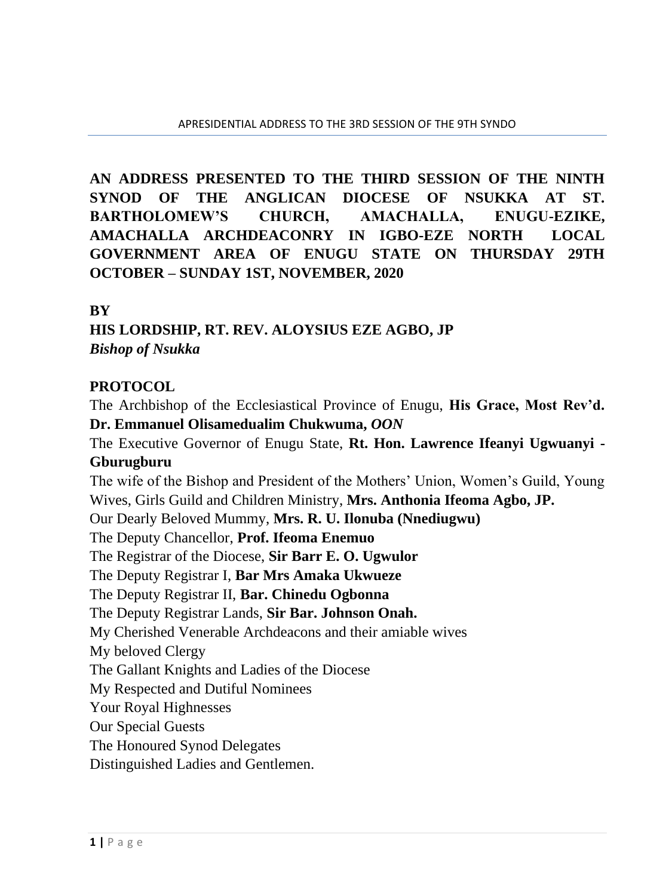**AN ADDRESS PRESENTED TO THE THIRD SESSION OF THE NINTH SYNOD OF THE ANGLICAN DIOCESE OF NSUKKA AT ST. BARTHOLOMEW'S CHURCH, AMACHALLA, ENUGU-EZIKE, AMACHALLA ARCHDEACONRY IN IGBO-EZE NORTH LOCAL GOVERNMENT AREA OF ENUGU STATE ON THURSDAY 29TH OCTOBER – SUNDAY 1ST, NOVEMBER, 2020**

#### **BY**

**HIS LORDSHIP, RT. REV. ALOYSIUS EZE AGBO, JP** *Bishop of Nsukka*

### **PROTOCOL**

The Archbishop of the Ecclesiastical Province of Enugu, **His Grace, Most Rev'd. Dr. Emmanuel Olisamedualim Chukwuma,** *OON*

The Executive Governor of Enugu State, **Rt. Hon. Lawrence Ifeanyi Ugwuanyi - Gburugburu**

The wife of the Bishop and President of the Mothers' Union, Women's Guild, Young Wives, Girls Guild and Children Ministry, **Mrs. Anthonia Ifeoma Agbo, JP.** 

Our Dearly Beloved Mummy, **Mrs. R. U. Ilonuba (Nnediugwu)**

The Deputy Chancellor, **Prof. Ifeoma Enemuo**

The Registrar of the Diocese, **Sir Barr E. O. Ugwulor**

The Deputy Registrar I, **Bar Mrs Amaka Ukwueze**

The Deputy Registrar II, **Bar. Chinedu Ogbonna**

The Deputy Registrar Lands, **Sir Bar. Johnson Onah.**

My Cherished Venerable Archdeacons and their amiable wives

My beloved Clergy

The Gallant Knights and Ladies of the Diocese

My Respected and Dutiful Nominees

Your Royal Highnesses

Our Special Guests

The Honoured Synod Delegates

Distinguished Ladies and Gentlemen.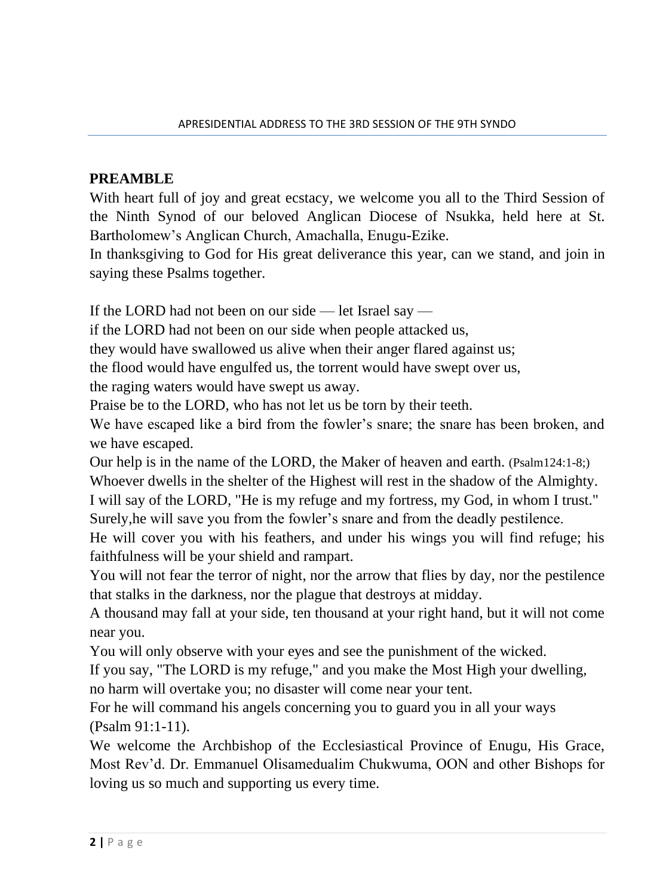### **PREAMBLE**

With heart full of joy and great ecstacy, we welcome you all to the Third Session of the Ninth Synod of our beloved Anglican Diocese of Nsukka, held here at St. Bartholomew's Anglican Church, Amachalla, Enugu-Ezike.

In thanksgiving to God for His great deliverance this year, can we stand, and join in saying these Psalms together.

If the LORD had not been on our side — let Israel say —

if the LORD had not been on our side when people attacked us,

they would have swallowed us alive when their anger flared against us;

the flood would have engulfed us, the torrent would have swept over us,

the raging waters would have swept us away.

Praise be to the LORD, who has not let us be torn by their teeth.

We have escaped like a bird from the fowler's snare; the snare has been broken, and we have escaped.

Our help is in the name of the LORD, the Maker of heaven and earth. (Psalm124:1-8;)

Whoever dwells in the shelter of the Highest will rest in the shadow of the Almighty. I will say of the LORD, "He is my refuge and my fortress, my God, in whom I trust."

Surely,he will save you from the fowler's snare and from the deadly pestilence.

He will cover you with his feathers, and under his wings you will find refuge; his faithfulness will be your shield and rampart.

You will not fear the terror of night, nor the arrow that flies by day, nor the pestilence that stalks in the darkness, nor the plague that destroys at midday.

A thousand may fall at your side, ten thousand at your right hand, but it will not come near you.

You will only observe with your eyes and see the punishment of the wicked.

If you say, "The LORD is my refuge," and you make the Most High your dwelling, no harm will overtake you; no disaster will come near your tent.

For he will command his angels concerning you to guard you in all your ways (Psalm 91:1-11).

We welcome the Archbishop of the Ecclesiastical Province of Enugu, His Grace, Most Rev'd. Dr. Emmanuel Olisamedualim Chukwuma, OON and other Bishops for loving us so much and supporting us every time.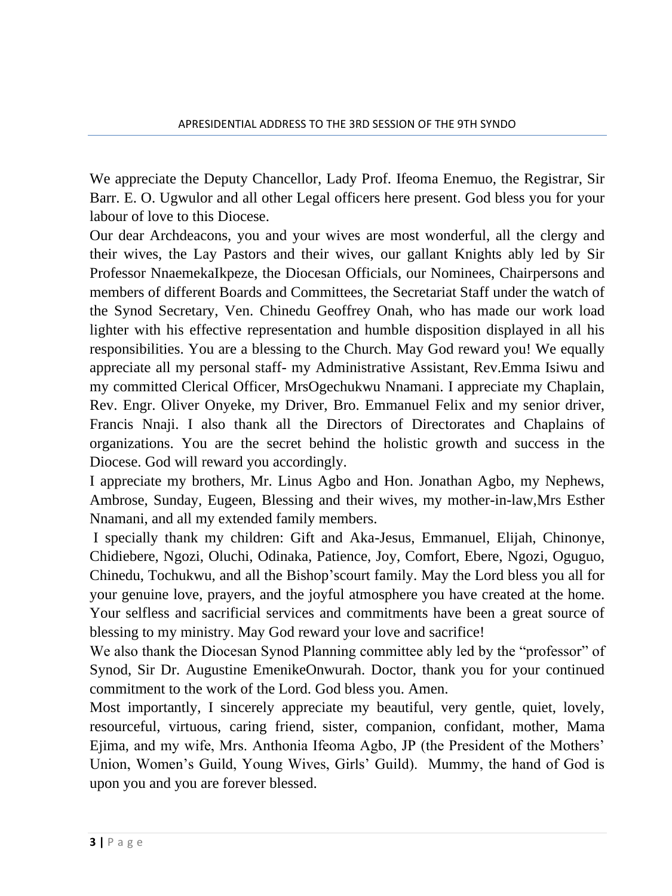We appreciate the Deputy Chancellor, Lady Prof. Ifeoma Enemuo, the Registrar, Sir Barr. E. O. Ugwulor and all other Legal officers here present. God bless you for your labour of love to this Diocese.

Our dear Archdeacons, you and your wives are most wonderful, all the clergy and their wives, the Lay Pastors and their wives, our gallant Knights ably led by Sir Professor NnaemekaIkpeze, the Diocesan Officials, our Nominees, Chairpersons and members of different Boards and Committees, the Secretariat Staff under the watch of the Synod Secretary, Ven. Chinedu Geoffrey Onah, who has made our work load lighter with his effective representation and humble disposition displayed in all his responsibilities. You are a blessing to the Church. May God reward you! We equally appreciate all my personal staff- my Administrative Assistant, Rev.Emma Isiwu and my committed Clerical Officer, MrsOgechukwu Nnamani. I appreciate my Chaplain, Rev. Engr. Oliver Onyeke, my Driver, Bro. Emmanuel Felix and my senior driver, Francis Nnaji. I also thank all the Directors of Directorates and Chaplains of organizations. You are the secret behind the holistic growth and success in the Diocese. God will reward you accordingly.

I appreciate my brothers, Mr. Linus Agbo and Hon. Jonathan Agbo, my Nephews, Ambrose, Sunday, Eugeen, Blessing and their wives, my mother-in-law,Mrs Esther Nnamani, and all my extended family members.

I specially thank my children: Gift and Aka-Jesus, Emmanuel, Elijah, Chinonye, Chidiebere, Ngozi, Oluchi, Odinaka, Patience, Joy, Comfort, Ebere, Ngozi, Oguguo, Chinedu, Tochukwu, and all the Bishop'scourt family. May the Lord bless you all for your genuine love, prayers, and the joyful atmosphere you have created at the home. Your selfless and sacrificial services and commitments have been a great source of blessing to my ministry. May God reward your love and sacrifice!

We also thank the Diocesan Synod Planning committee ably led by the "professor" of Synod, Sir Dr. Augustine EmenikeOnwurah. Doctor, thank you for your continued commitment to the work of the Lord. God bless you. Amen.

Most importantly, I sincerely appreciate my beautiful, very gentle, quiet, lovely, resourceful, virtuous, caring friend, sister, companion, confidant, mother, Mama Ejima, and my wife, Mrs. Anthonia Ifeoma Agbo, JP (the President of the Mothers' Union, Women's Guild, Young Wives, Girls' Guild). Mummy, the hand of God is upon you and you are forever blessed.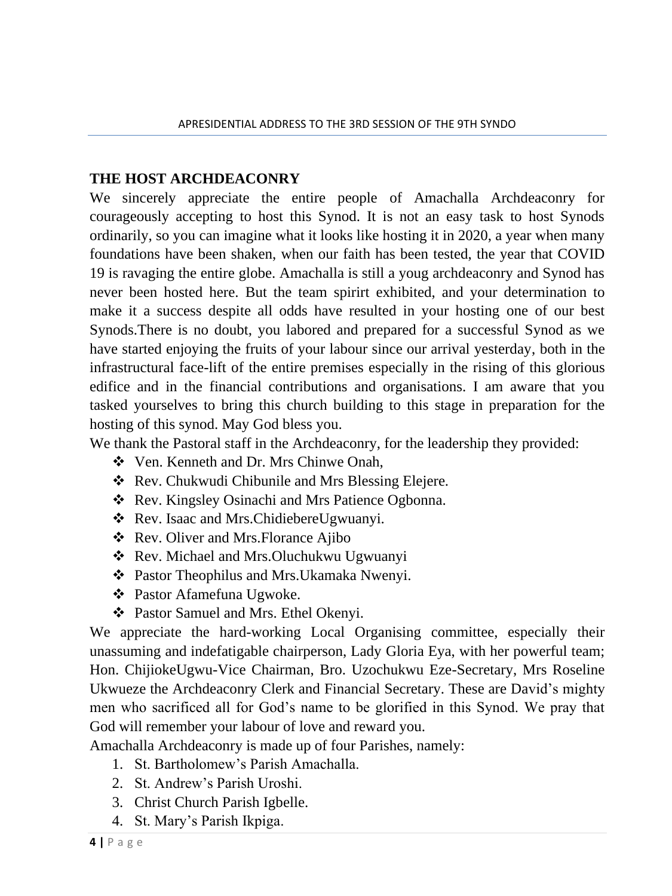#### **THE HOST ARCHDEACONRY**

We sincerely appreciate the entire people of Amachalla Archdeaconry for courageously accepting to host this Synod. It is not an easy task to host Synods ordinarily, so you can imagine what it looks like hosting it in 2020, a year when many foundations have been shaken, when our faith has been tested, the year that COVID 19 is ravaging the entire globe. Amachalla is still a youg archdeaconry and Synod has never been hosted here. But the team spirirt exhibited, and your determination to make it a success despite all odds have resulted in your hosting one of our best Synods.There is no doubt, you labored and prepared for a successful Synod as we have started enjoying the fruits of your labour since our arrival yesterday, both in the infrastructural face-lift of the entire premises especially in the rising of this glorious edifice and in the financial contributions and organisations. I am aware that you tasked yourselves to bring this church building to this stage in preparation for the hosting of this synod. May God bless you.

We thank the Pastoral staff in the Archdeaconry, for the leadership they provided:

- ❖ Ven. Kenneth and Dr. Mrs Chinwe Onah,
- ❖ Rev. Chukwudi Chibunile and Mrs Blessing Elejere.
- ❖ Rev. Kingsley Osinachi and Mrs Patience Ogbonna.
- ❖ Rev. Isaac and Mrs.ChidiebereUgwuanyi.
- ❖ Rev. Oliver and Mrs.Florance Ajibo
- ❖ Rev. Michael and Mrs.Oluchukwu Ugwuanyi
- ❖ Pastor Theophilus and Mrs.Ukamaka Nwenyi.
- ❖ Pastor Afamefuna Ugwoke.
- ❖ Pastor Samuel and Mrs. Ethel Okenyi.

We appreciate the hard-working Local Organising committee, especially their unassuming and indefatigable chairperson, Lady Gloria Eya, with her powerful team; Hon. ChijiokeUgwu-Vice Chairman, Bro. Uzochukwu Eze-Secretary, Mrs Roseline Ukwueze the Archdeaconry Clerk and Financial Secretary. These are David's mighty men who sacrificed all for God's name to be glorified in this Synod. We pray that God will remember your labour of love and reward you.

Amachalla Archdeaconry is made up of four Parishes, namely:

- 1. St. Bartholomew's Parish Amachalla.
- 2. St. Andrew's Parish Uroshi.
- 3. Christ Church Parish Igbelle.
- 4. St. Mary's Parish Ikpiga.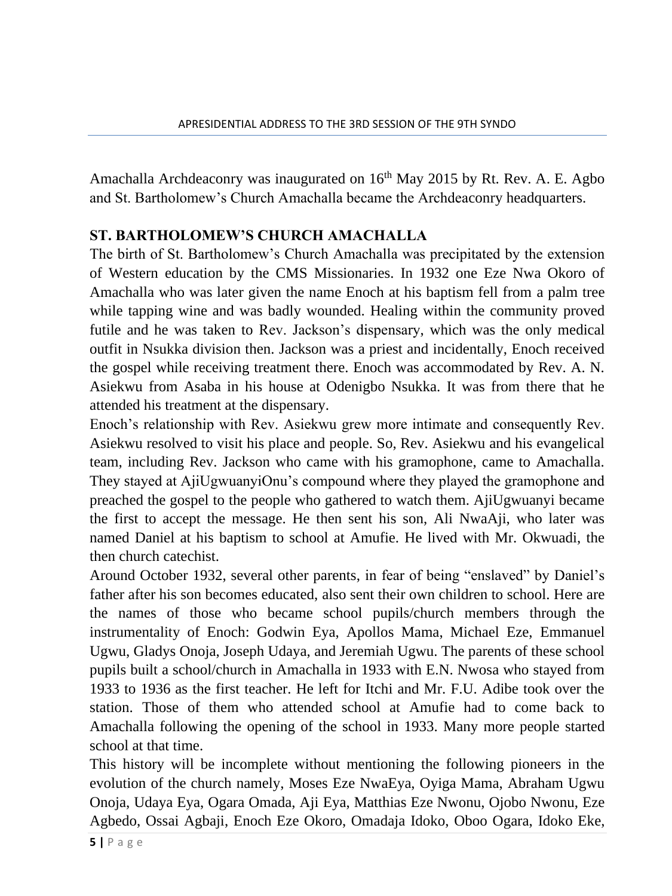Amachalla Archdeaconry was inaugurated on  $16<sup>th</sup>$  May 2015 by Rt. Rev. A. E. Agbo and St. Bartholomew's Church Amachalla became the Archdeaconry headquarters.

### **ST. BARTHOLOMEW'S CHURCH AMACHALLA**

The birth of St. Bartholomew's Church Amachalla was precipitated by the extension of Western education by the CMS Missionaries. In 1932 one Eze Nwa Okoro of Amachalla who was later given the name Enoch at his baptism fell from a palm tree while tapping wine and was badly wounded. Healing within the community proved futile and he was taken to Rev. Jackson's dispensary, which was the only medical outfit in Nsukka division then. Jackson was a priest and incidentally, Enoch received the gospel while receiving treatment there. Enoch was accommodated by Rev. A. N. Asiekwu from Asaba in his house at Odenigbo Nsukka. It was from there that he attended his treatment at the dispensary.

Enoch's relationship with Rev. Asiekwu grew more intimate and consequently Rev. Asiekwu resolved to visit his place and people. So, Rev. Asiekwu and his evangelical team, including Rev. Jackson who came with his gramophone, came to Amachalla. They stayed at AjiUgwuanyiOnu's compound where they played the gramophone and preached the gospel to the people who gathered to watch them. AjiUgwuanyi became the first to accept the message. He then sent his son, Ali NwaAji, who later was named Daniel at his baptism to school at Amufie. He lived with Mr. Okwuadi, the then church catechist.

Around October 1932, several other parents, in fear of being "enslaved" by Daniel's father after his son becomes educated, also sent their own children to school. Here are the names of those who became school pupils/church members through the instrumentality of Enoch: Godwin Eya, Apollos Mama, Michael Eze, Emmanuel Ugwu, Gladys Onoja, Joseph Udaya, and Jeremiah Ugwu. The parents of these school pupils built a school/church in Amachalla in 1933 with E.N. Nwosa who stayed from 1933 to 1936 as the first teacher. He left for Itchi and Mr. F.U. Adibe took over the station. Those of them who attended school at Amufie had to come back to Amachalla following the opening of the school in 1933. Many more people started school at that time.

This history will be incomplete without mentioning the following pioneers in the evolution of the church namely, Moses Eze NwaEya, Oyiga Mama, Abraham Ugwu Onoja, Udaya Eya, Ogara Omada, Aji Eya, Matthias Eze Nwonu, Ojobo Nwonu, Eze Agbedo, Ossai Agbaji, Enoch Eze Okoro, Omadaja Idoko, Oboo Ogara, Idoko Eke,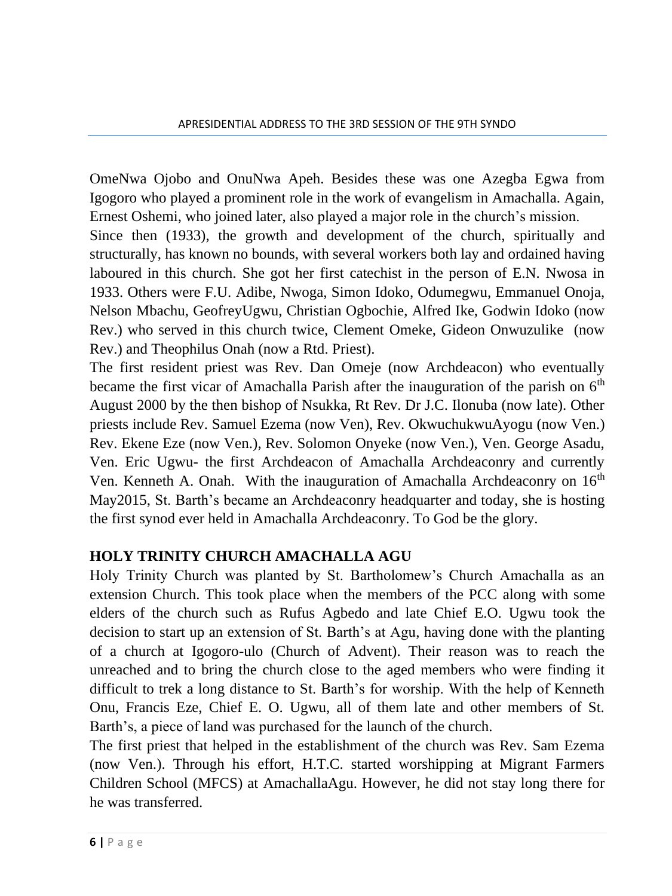OmeNwa Ojobo and OnuNwa Apeh. Besides these was one Azegba Egwa from Igogoro who played a prominent role in the work of evangelism in Amachalla. Again, Ernest Oshemi, who joined later, also played a major role in the church's mission.

Since then (1933), the growth and development of the church, spiritually and structurally, has known no bounds, with several workers both lay and ordained having laboured in this church. She got her first catechist in the person of E.N. Nwosa in 1933. Others were F.U. Adibe, Nwoga, Simon Idoko, Odumegwu, Emmanuel Onoja, Nelson Mbachu, GeofreyUgwu, Christian Ogbochie, Alfred Ike, Godwin Idoko (now Rev.) who served in this church twice, Clement Omeke, Gideon Onwuzulike (now Rev.) and Theophilus Onah (now a Rtd. Priest).

The first resident priest was Rev. Dan Omeje (now Archdeacon) who eventually became the first vicar of Amachalla Parish after the inauguration of the parish on  $6<sup>th</sup>$ August 2000 by the then bishop of Nsukka, Rt Rev. Dr J.C. Ilonuba (now late). Other priests include Rev. Samuel Ezema (now Ven), Rev. OkwuchukwuAyogu (now Ven.) Rev. Ekene Eze (now Ven.), Rev. Solomon Onyeke (now Ven.), Ven. George Asadu, Ven. Eric Ugwu- the first Archdeacon of Amachalla Archdeaconry and currently Ven. Kenneth A. Onah. With the inauguration of Amachalla Archdeaconry on  $16<sup>th</sup>$ May2015, St. Barth's became an Archdeaconry headquarter and today, she is hosting the first synod ever held in Amachalla Archdeaconry. To God be the glory.

## **HOLY TRINITY CHURCH AMACHALLA AGU**

Holy Trinity Church was planted by St. Bartholomew's Church Amachalla as an extension Church. This took place when the members of the PCC along with some elders of the church such as Rufus Agbedo and late Chief E.O. Ugwu took the decision to start up an extension of St. Barth's at Agu, having done with the planting of a church at Igogoro-ulo (Church of Advent). Their reason was to reach the unreached and to bring the church close to the aged members who were finding it difficult to trek a long distance to St. Barth's for worship. With the help of Kenneth Onu, Francis Eze, Chief E. O. Ugwu, all of them late and other members of St. Barth's, a piece of land was purchased for the launch of the church.

The first priest that helped in the establishment of the church was Rev. Sam Ezema (now Ven.). Through his effort, H.T.C. started worshipping at Migrant Farmers Children School (MFCS) at AmachallaAgu. However, he did not stay long there for he was transferred.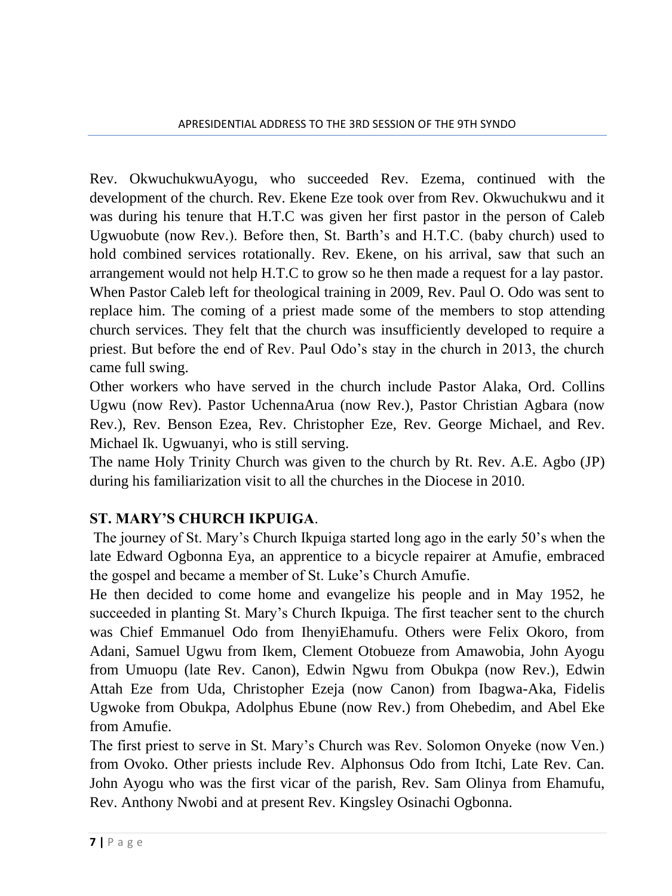Rev. OkwuchukwuAyogu, who succeeded Rev. Ezema, continued with the development of the church. Rev. Ekene Eze took over from Rev. Okwuchukwu and it was during his tenure that H.T.C was given her first pastor in the person of Caleb Ugwuobute (now Rev.). Before then, St. Barth's and H.T.C. (baby church) used to hold combined services rotationally. Rev. Ekene, on his arrival, saw that such an arrangement would not help H.T.C to grow so he then made a request for a lay pastor. When Pastor Caleb left for theological training in 2009, Rev. Paul O. Odo was sent to replace him. The coming of a priest made some of the members to stop attending church services. They felt that the church was insufficiently developed to require a priest. But before the end of Rev. Paul Odo's stay in the church in 2013, the church came full swing.

Other workers who have served in the church include Pastor Alaka, Ord. Collins Ugwu (now Rev). Pastor UchennaArua (now Rev.), Pastor Christian Agbara (now Rev.), Rev. Benson Ezea, Rev. Christopher Eze, Rev. George Michael, and Rev. Michael Ik. Ugwuanyi, who is still serving.

The name Holy Trinity Church was given to the church by Rt. Rev. A.E. Agbo (JP) during his familiarization visit to all the churches in the Diocese in 2010.

# **ST. MARY'S CHURCH IKPUIGA**.

The journey of St. Mary's Church Ikpuiga started long ago in the early 50's when the late Edward Ogbonna Eya, an apprentice to a bicycle repairer at Amufie, embraced the gospel and became a member of St. Luke's Church Amufie.

He then decided to come home and evangelize his people and in May 1952, he succeeded in planting St. Mary's Church Ikpuiga. The first teacher sent to the church was Chief Emmanuel Odo from IhenyiEhamufu. Others were Felix Okoro, from Adani, Samuel Ugwu from Ikem, Clement Otobueze from Amawobia, John Ayogu from Umuopu (late Rev. Canon), Edwin Ngwu from Obukpa (now Rev.), Edwin Attah Eze from Uda, Christopher Ezeja (now Canon) from Ibagwa-Aka, Fidelis Ugwoke from Obukpa, Adolphus Ebune (now Rev.) from Ohebedim, and Abel Eke from Amufie.

The first priest to serve in St. Mary's Church was Rev. Solomon Onyeke (now Ven.) from Ovoko. Other priests include Rev. Alphonsus Odo from Itchi, Late Rev. Can. John Ayogu who was the first vicar of the parish, Rev. Sam Olinya from Ehamufu, Rev. Anthony Nwobi and at present Rev. Kingsley Osinachi Ogbonna.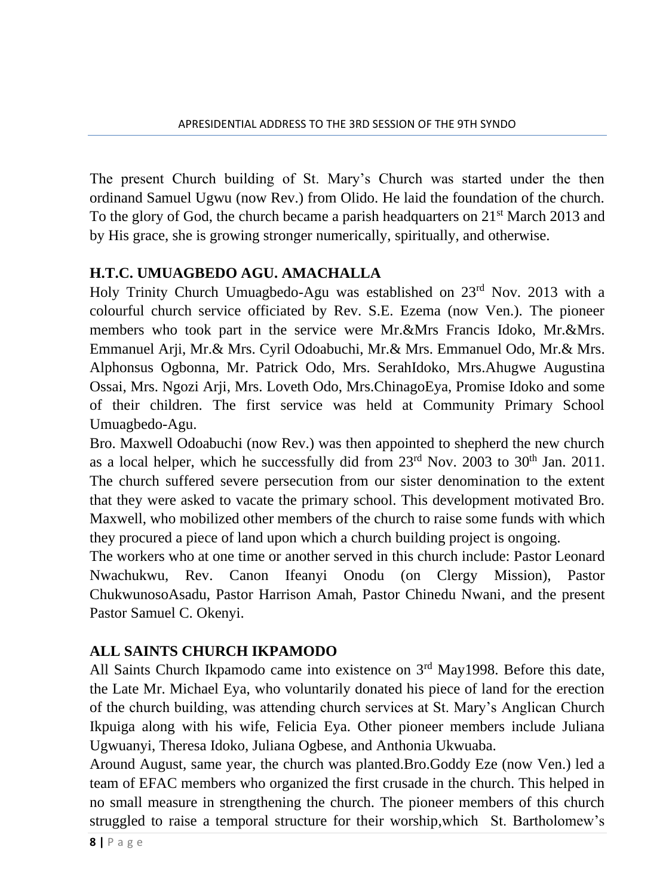The present Church building of St. Mary's Church was started under the then ordinand Samuel Ugwu (now Rev.) from Olido. He laid the foundation of the church. To the glory of God, the church became a parish headquarters on  $21<sup>st</sup>$  March 2013 and by His grace, she is growing stronger numerically, spiritually, and otherwise.

### **H.T.C. UMUAGBEDO AGU. AMACHALLA**

Holy Trinity Church Umuagbedo-Agu was established on 23<sup>rd</sup> Nov. 2013 with a colourful church service officiated by Rev. S.E. Ezema (now Ven.). The pioneer members who took part in the service were Mr.&Mrs Francis Idoko, Mr.&Mrs. Emmanuel Arji, Mr.& Mrs. Cyril Odoabuchi, Mr.& Mrs. Emmanuel Odo, Mr.& Mrs. Alphonsus Ogbonna, Mr. Patrick Odo, Mrs. SerahIdoko, Mrs.Ahugwe Augustina Ossai, Mrs. Ngozi Arji, Mrs. Loveth Odo, Mrs.ChinagoEya, Promise Idoko and some of their children. The first service was held at Community Primary School Umuagbedo-Agu.

Bro. Maxwell Odoabuchi (now Rev.) was then appointed to shepherd the new church as a local helper, which he successfully did from  $23<sup>rd</sup>$  Nov. 2003 to  $30<sup>th</sup>$  Jan. 2011. The church suffered severe persecution from our sister denomination to the extent that they were asked to vacate the primary school. This development motivated Bro. Maxwell, who mobilized other members of the church to raise some funds with which they procured a piece of land upon which a church building project is ongoing.

The workers who at one time or another served in this church include: Pastor Leonard Nwachukwu, Rev. Canon Ifeanyi Onodu (on Clergy Mission), Pastor ChukwunosoAsadu, Pastor Harrison Amah, Pastor Chinedu Nwani, and the present Pastor Samuel C. Okenyi.

### **ALL SAINTS CHURCH IKPAMODO**

All Saints Church Ikpamodo came into existence on 3<sup>rd</sup> May1998. Before this date, the Late Mr. Michael Eya, who voluntarily donated his piece of land for the erection of the church building, was attending church services at St. Mary's Anglican Church Ikpuiga along with his wife, Felicia Eya. Other pioneer members include Juliana Ugwuanyi, Theresa Idoko, Juliana Ogbese, and Anthonia Ukwuaba.

Around August, same year, the church was planted.Bro.Goddy Eze (now Ven.) led a team of EFAC members who organized the first crusade in the church. This helped in no small measure in strengthening the church. The pioneer members of this church struggled to raise a temporal structure for their worship,which St. Bartholomew's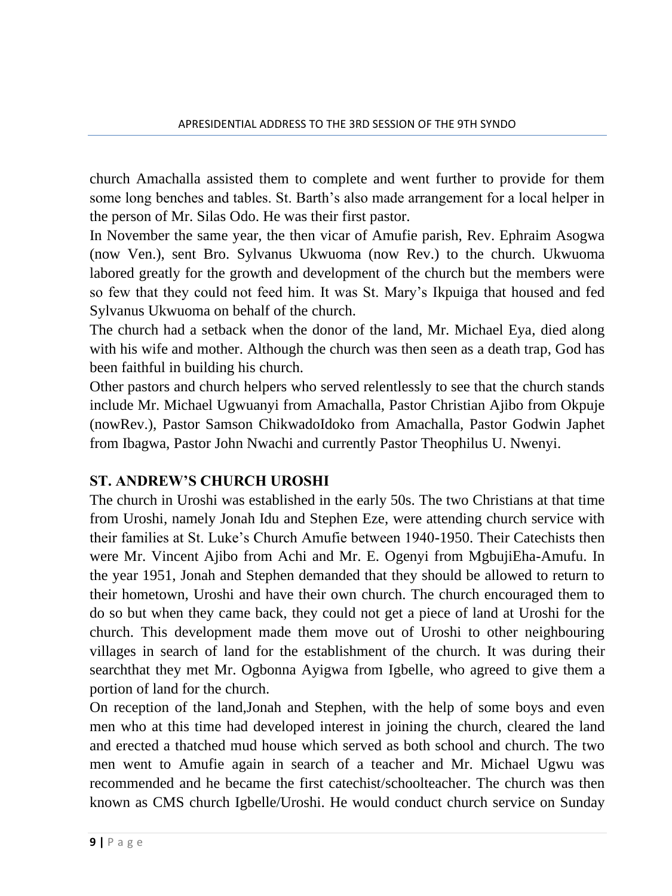church Amachalla assisted them to complete and went further to provide for them some long benches and tables. St. Barth's also made arrangement for a local helper in the person of Mr. Silas Odo. He was their first pastor.

In November the same year, the then vicar of Amufie parish, Rev. Ephraim Asogwa (now Ven.), sent Bro. Sylvanus Ukwuoma (now Rev.) to the church. Ukwuoma labored greatly for the growth and development of the church but the members were so few that they could not feed him. It was St. Mary's Ikpuiga that housed and fed Sylvanus Ukwuoma on behalf of the church.

The church had a setback when the donor of the land, Mr. Michael Eya, died along with his wife and mother. Although the church was then seen as a death trap, God has been faithful in building his church.

Other pastors and church helpers who served relentlessly to see that the church stands include Mr. Michael Ugwuanyi from Amachalla, Pastor Christian Ajibo from Okpuje (nowRev.), Pastor Samson ChikwadoIdoko from Amachalla, Pastor Godwin Japhet from Ibagwa, Pastor John Nwachi and currently Pastor Theophilus U. Nwenyi.

### **ST. ANDREW'S CHURCH UROSHI**

The church in Uroshi was established in the early 50s. The two Christians at that time from Uroshi, namely Jonah Idu and Stephen Eze, were attending church service with their families at St. Luke's Church Amufie between 1940-1950. Their Catechists then were Mr. Vincent Ajibo from Achi and Mr. E. Ogenyi from MgbujiEha-Amufu. In the year 1951, Jonah and Stephen demanded that they should be allowed to return to their hometown, Uroshi and have their own church. The church encouraged them to do so but when they came back, they could not get a piece of land at Uroshi for the church. This development made them move out of Uroshi to other neighbouring villages in search of land for the establishment of the church. It was during their searchthat they met Mr. Ogbonna Ayigwa from Igbelle, who agreed to give them a portion of land for the church.

On reception of the land,Jonah and Stephen, with the help of some boys and even men who at this time had developed interest in joining the church, cleared the land and erected a thatched mud house which served as both school and church. The two men went to Amufie again in search of a teacher and Mr. Michael Ugwu was recommended and he became the first catechist/schoolteacher. The church was then known as CMS church Igbelle/Uroshi. He would conduct church service on Sunday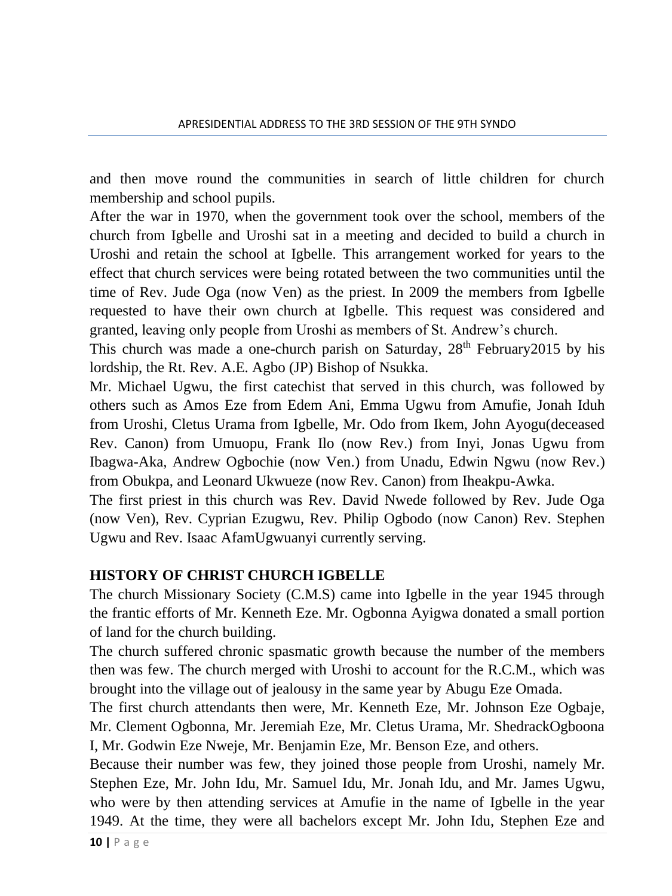and then move round the communities in search of little children for church membership and school pupils.

After the war in 1970, when the government took over the school, members of the church from Igbelle and Uroshi sat in a meeting and decided to build a church in Uroshi and retain the school at Igbelle. This arrangement worked for years to the effect that church services were being rotated between the two communities until the time of Rev. Jude Oga (now Ven) as the priest. In 2009 the members from Igbelle requested to have their own church at Igbelle. This request was considered and granted, leaving only people from Uroshi as members of St. Andrew's church.

This church was made a one-church parish on Saturday,  $28<sup>th</sup>$  February 2015 by his lordship, the Rt. Rev. A.E. Agbo (JP) Bishop of Nsukka.

Mr. Michael Ugwu, the first catechist that served in this church, was followed by others such as Amos Eze from Edem Ani, Emma Ugwu from Amufie, Jonah Iduh from Uroshi, Cletus Urama from Igbelle, Mr. Odo from Ikem, John Ayogu(deceased Rev. Canon) from Umuopu, Frank Ilo (now Rev.) from Inyi, Jonas Ugwu from Ibagwa-Aka, Andrew Ogbochie (now Ven.) from Unadu, Edwin Ngwu (now Rev.) from Obukpa, and Leonard Ukwueze (now Rev. Canon) from Iheakpu-Awka.

The first priest in this church was Rev. David Nwede followed by Rev. Jude Oga (now Ven), Rev. Cyprian Ezugwu, Rev. Philip Ogbodo (now Canon) Rev. Stephen Ugwu and Rev. Isaac AfamUgwuanyi currently serving.

#### **HISTORY OF CHRIST CHURCH IGBELLE**

The church Missionary Society (C.M.S) came into Igbelle in the year 1945 through the frantic efforts of Mr. Kenneth Eze. Mr. Ogbonna Ayigwa donated a small portion of land for the church building.

The church suffered chronic spasmatic growth because the number of the members then was few. The church merged with Uroshi to account for the R.C.M., which was brought into the village out of jealousy in the same year by Abugu Eze Omada.

The first church attendants then were, Mr. Kenneth Eze, Mr. Johnson Eze Ogbaje, Mr. Clement Ogbonna, Mr. Jeremiah Eze, Mr. Cletus Urama, Mr. ShedrackOgboona I, Mr. Godwin Eze Nweje, Mr. Benjamin Eze, Mr. Benson Eze, and others.

Because their number was few, they joined those people from Uroshi, namely Mr. Stephen Eze, Mr. John Idu, Mr. Samuel Idu, Mr. Jonah Idu, and Mr. James Ugwu, who were by then attending services at Amufie in the name of Igbelle in the year 1949. At the time, they were all bachelors except Mr. John Idu, Stephen Eze and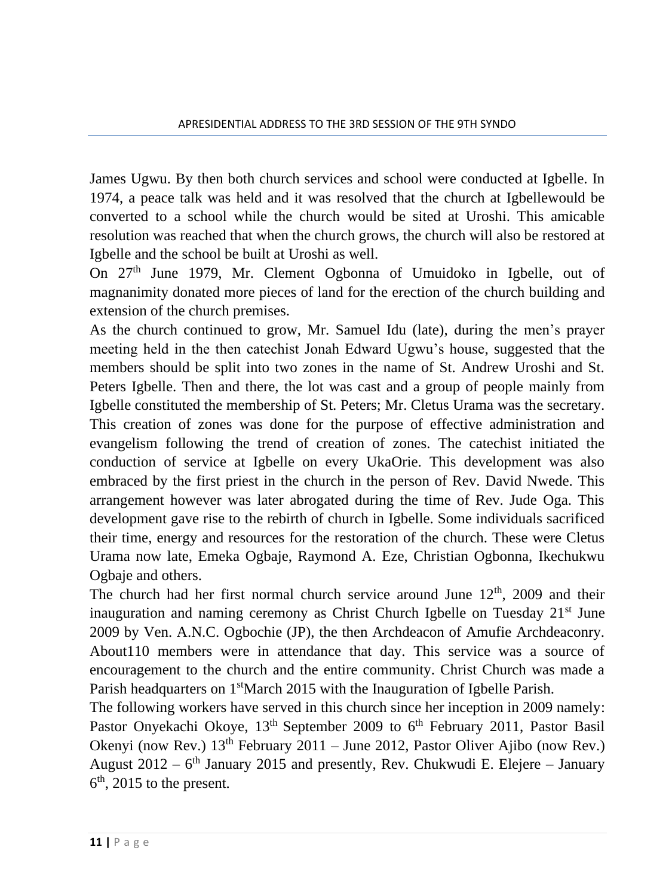James Ugwu. By then both church services and school were conducted at Igbelle. In 1974, a peace talk was held and it was resolved that the church at Igbellewould be converted to a school while the church would be sited at Uroshi. This amicable resolution was reached that when the church grows, the church will also be restored at Igbelle and the school be built at Uroshi as well.

On 27th June 1979, Mr. Clement Ogbonna of Umuidoko in Igbelle, out of magnanimity donated more pieces of land for the erection of the church building and extension of the church premises.

As the church continued to grow, Mr. Samuel Idu (late), during the men's prayer meeting held in the then catechist Jonah Edward Ugwu's house, suggested that the members should be split into two zones in the name of St. Andrew Uroshi and St. Peters Igbelle. Then and there, the lot was cast and a group of people mainly from Igbelle constituted the membership of St. Peters; Mr. Cletus Urama was the secretary. This creation of zones was done for the purpose of effective administration and evangelism following the trend of creation of zones. The catechist initiated the conduction of service at Igbelle on every UkaOrie. This development was also embraced by the first priest in the church in the person of Rev. David Nwede. This arrangement however was later abrogated during the time of Rev. Jude Oga. This development gave rise to the rebirth of church in Igbelle. Some individuals sacrificed their time, energy and resources for the restoration of the church. These were Cletus Urama now late, Emeka Ogbaje, Raymond A. Eze, Christian Ogbonna, Ikechukwu Ogbaje and others.

The church had her first normal church service around June  $12<sup>th</sup>$ , 2009 and their inauguration and naming ceremony as Christ Church Igbelle on Tuesday  $21<sup>st</sup>$  June 2009 by Ven. A.N.C. Ogbochie (JP), the then Archdeacon of Amufie Archdeaconry. About110 members were in attendance that day. This service was a source of encouragement to the church and the entire community. Christ Church was made a Parish headquarters on 1<sup>st</sup>March 2015 with the Inauguration of Igbelle Parish.

The following workers have served in this church since her inception in 2009 namely: Pastor Onyekachi Okoye,  $13<sup>th</sup>$  September 2009 to  $6<sup>th</sup>$  February 2011, Pastor Basil Okenyi (now Rev.)  $13<sup>th</sup>$  February 2011 – June 2012, Pastor Oliver Ajibo (now Rev.) August  $2012 - 6$ <sup>th</sup> January 2015 and presently, Rev. Chukwudi E. Elejere – January  $6<sup>th</sup>$ , 2015 to the present.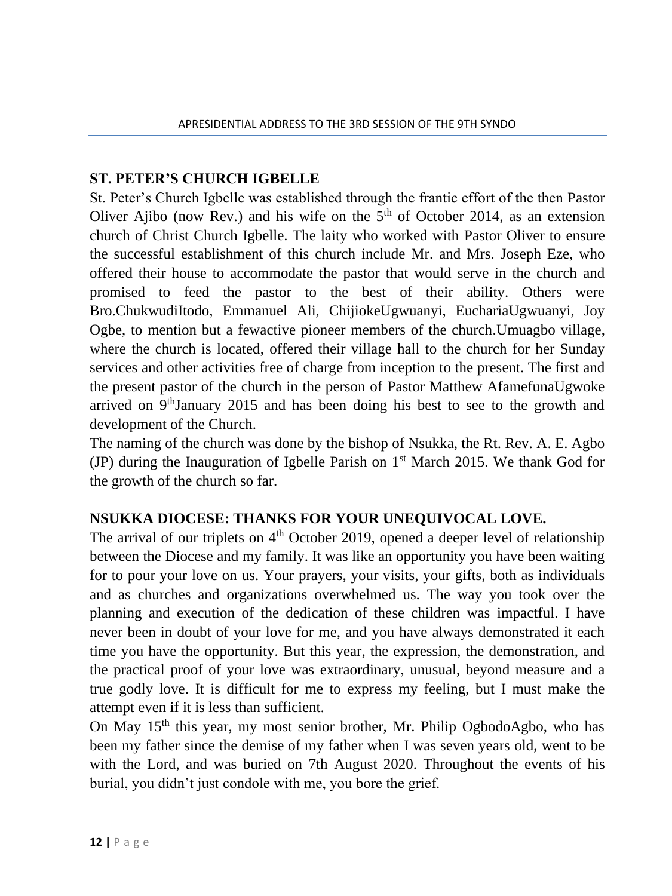### **ST. PETER'S CHURCH IGBELLE**

St. Peter's Church Igbelle was established through the frantic effort of the then Pastor Oliver Ajibo (now Rev.) and his wife on the  $5<sup>th</sup>$  of October 2014, as an extension church of Christ Church Igbelle. The laity who worked with Pastor Oliver to ensure the successful establishment of this church include Mr. and Mrs. Joseph Eze, who offered their house to accommodate the pastor that would serve in the church and promised to feed the pastor to the best of their ability. Others were Bro.ChukwudiItodo, Emmanuel Ali, ChijiokeUgwuanyi, EuchariaUgwuanyi, Joy Ogbe, to mention but a fewactive pioneer members of the church.Umuagbo village, where the church is located, offered their village hall to the church for her Sunday services and other activities free of charge from inception to the present. The first and the present pastor of the church in the person of Pastor Matthew AfamefunaUgwoke arrived on 9thJanuary 2015 and has been doing his best to see to the growth and development of the Church.

The naming of the church was done by the bishop of Nsukka, the Rt. Rev. A. E. Agbo (JP) during the Inauguration of Igbelle Parish on  $1<sup>st</sup>$  March 2015. We thank God for the growth of the church so far.

### **NSUKKA DIOCESE: THANKS FOR YOUR UNEQUIVOCAL LOVE.**

The arrival of our triplets on  $4<sup>th</sup>$  October 2019, opened a deeper level of relationship between the Diocese and my family. It was like an opportunity you have been waiting for to pour your love on us. Your prayers, your visits, your gifts, both as individuals and as churches and organizations overwhelmed us. The way you took over the planning and execution of the dedication of these children was impactful. I have never been in doubt of your love for me, and you have always demonstrated it each time you have the opportunity. But this year, the expression, the demonstration, and the practical proof of your love was extraordinary, unusual, beyond measure and a true godly love. It is difficult for me to express my feeling, but I must make the attempt even if it is less than sufficient.

On May  $15<sup>th</sup>$  this year, my most senior brother, Mr. Philip OgbodoAgbo, who has been my father since the demise of my father when I was seven years old, went to be with the Lord, and was buried on 7th August 2020. Throughout the events of his burial, you didn't just condole with me, you bore the grief.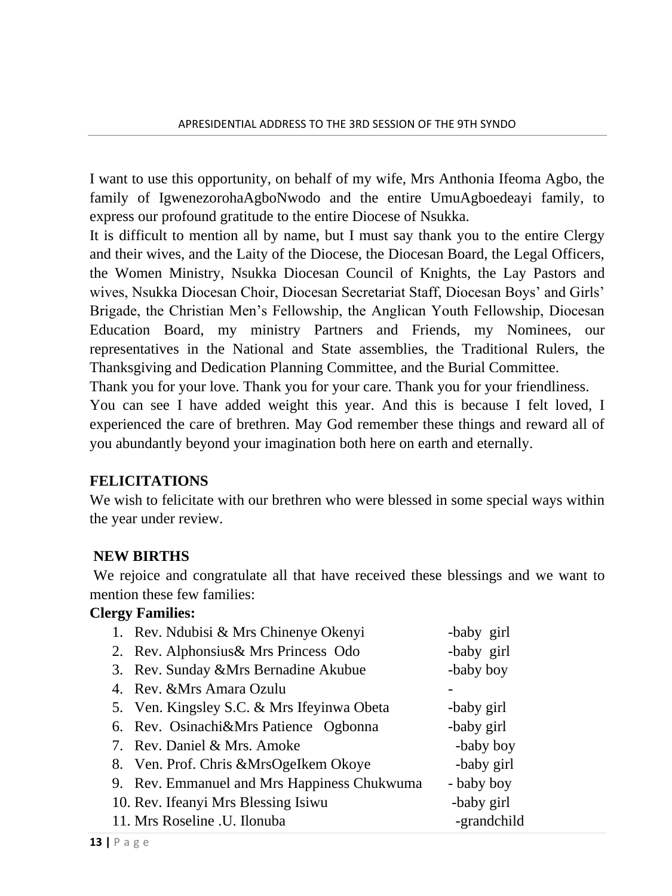I want to use this opportunity, on behalf of my wife, Mrs Anthonia Ifeoma Agbo, the family of IgwenezorohaAgboNwodo and the entire UmuAgboedeayi family, to express our profound gratitude to the entire Diocese of Nsukka.

It is difficult to mention all by name, but I must say thank you to the entire Clergy and their wives, and the Laity of the Diocese, the Diocesan Board, the Legal Officers, the Women Ministry, Nsukka Diocesan Council of Knights, the Lay Pastors and wives, Nsukka Diocesan Choir, Diocesan Secretariat Staff, Diocesan Boys' and Girls' Brigade, the Christian Men's Fellowship, the Anglican Youth Fellowship, Diocesan Education Board, my ministry Partners and Friends, my Nominees, our representatives in the National and State assemblies, the Traditional Rulers, the Thanksgiving and Dedication Planning Committee, and the Burial Committee.

Thank you for your love. Thank you for your care. Thank you for your friendliness.

You can see I have added weight this year. And this is because I felt loved, I experienced the care of brethren. May God remember these things and reward all of you abundantly beyond your imagination both here on earth and eternally.

### **FELICITATIONS**

We wish to felicitate with our brethren who were blessed in some special ways within the year under review.

#### **NEW BIRTHS**

We rejoice and congratulate all that have received these blessings and we want to mention these few families:

#### **Clergy Families:**

| 1. Rev. Ndubisi & Mrs Chinenye Okenyi       | -baby girl  |
|---------------------------------------------|-------------|
| 2. Rev. Alphonsius & Mrs Princess Odo       | -baby girl  |
| 3. Rev. Sunday & Mrs Bernadine Akubue       | -baby boy   |
| 4. Rev. & Mrs Amara Ozulu                   |             |
| 5. Ven. Kingsley S.C. & Mrs Ifeyinwa Obeta  | -baby girl  |
| 6. Rev. Osinachi&Mrs Patience Ogbonna       | -baby girl  |
| 7. Rev. Daniel & Mrs. Amoke                 | -baby boy   |
| 8. Ven. Prof. Chris & MrsOgelkem Okoye      | -baby girl  |
| 9. Rev. Emmanuel and Mrs Happiness Chukwuma | - baby boy  |
| 10. Rev. Ifeanyi Mrs Blessing Isiwu         | -baby girl  |
| 11. Mrs Roseline .U. Ilonuba                | -grandchild |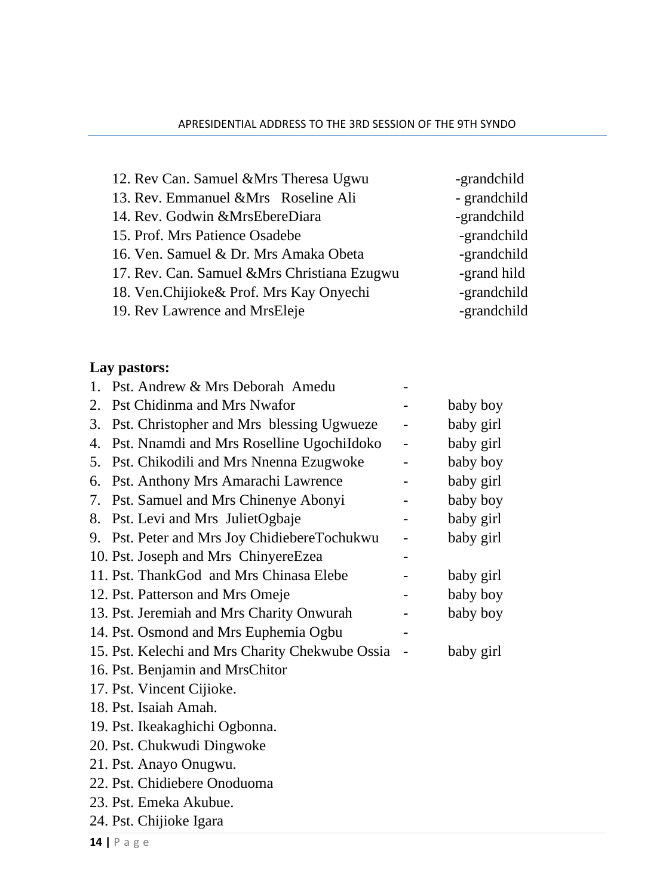| 12. Rev Can. Samuel & Mrs Theresa Ugwu       | -grandchild  |
|----------------------------------------------|--------------|
| 13. Rev. Emmanuel & Mrs Roseline Ali         | - grandchild |
| 14. Rev. Godwin & MrsEbereDiara              | -grandchild  |
| 15. Prof. Mrs Patience Osadebe               | -grandchild  |
| 16. Ven. Samuel & Dr. Mrs Amaka Obeta        | -grandchild  |
| 17. Rev. Can. Samuel & Mrs Christiana Ezugwu | -grand hild  |
| 18. Ven.Chijioke& Prof. Mrs Kay Onyechi      | -grandchild  |
| 19. Rev Lawrence and MrsEleje                | -grandchild  |

# **Lay pastors:**

| $\mathbf{1}$ . | Pst. Andrew & Mrs Deborah Amedu                 |   |           |
|----------------|-------------------------------------------------|---|-----------|
| 2.             | Pst Chidinma and Mrs Nwafor                     |   | baby boy  |
| 3.             | Pst. Christopher and Mrs blessing Ugwueze       |   | baby girl |
| 4.             | Pst. Nnamdi and Mrs Roselline UgochiIdoko       | - | baby girl |
| 5.             | Pst. Chikodili and Mrs Nnenna Ezugwoke          |   | baby boy  |
| 6.             | Pst. Anthony Mrs Amarachi Lawrence              |   | baby girl |
| 7.             | Pst. Samuel and Mrs Chinenye Abonyi             |   | baby boy  |
| 8.             | Pst. Levi and Mrs JulietOgbaje                  |   | baby girl |
|                | 9. Pst. Peter and Mrs Joy ChidiebereTochukwu    |   | baby girl |
|                | 10. Pst. Joseph and Mrs ChinyereEzea            |   |           |
|                | 11. Pst. ThankGod and Mrs Chinasa Elebe         |   | baby girl |
|                | 12. Pst. Patterson and Mrs Omeje                |   | baby boy  |
|                | 13. Pst. Jeremiah and Mrs Charity Onwurah       |   | baby boy  |
|                | 14. Pst. Osmond and Mrs Euphemia Ogbu           |   |           |
|                | 15. Pst. Kelechi and Mrs Charity Chekwube Ossia |   | baby girl |
|                | 16. Pst. Benjamin and MrsChitor                 |   |           |
|                | 17. Pst. Vincent Cijioke.                       |   |           |
|                | 18. Pst. Isaiah Amah.                           |   |           |
|                | 19. Pst. Ikeakaghichi Ogbonna.                  |   |           |
|                | 20. Pst. Chukwudi Dingwoke                      |   |           |
|                | 21. Pst. Anayo Onugwu.                          |   |           |
|                | 22. Pst. Chidiebere Onoduoma                    |   |           |
|                | 23. Pst. Emeka Akubue.                          |   |           |
|                | 24. Pst. Chijioke Igara                         |   |           |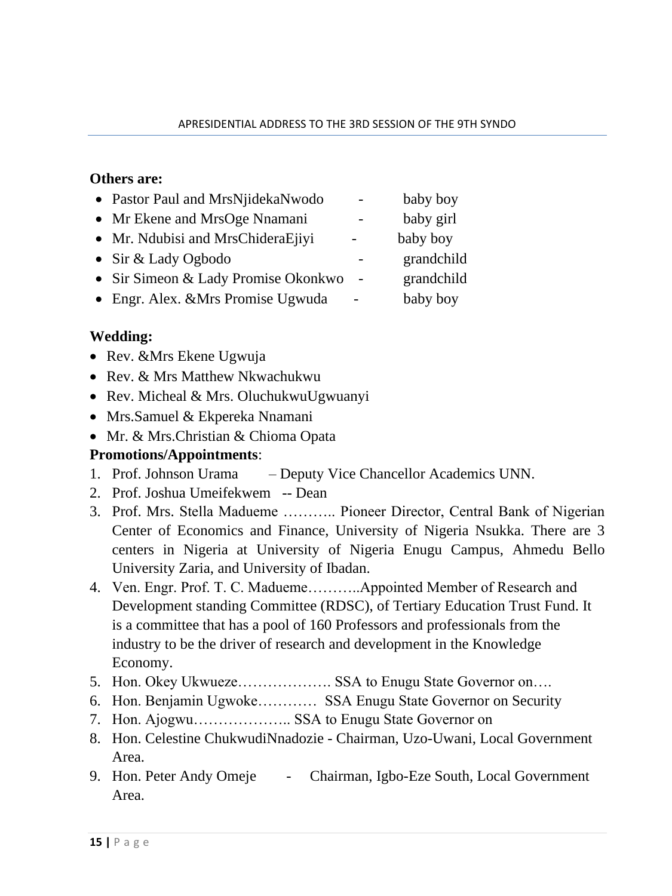#### **Others are:**

| • Pastor Paul and MrsNjidekaNwodo   |        | baby boy   |
|-------------------------------------|--------|------------|
| • Mr Ekene and MrsOge Nnamani       |        | baby girl  |
| • Mr. Ndubisi and MrsChideraEjiyi   |        | baby boy   |
| • Sir & Lady Ogbodo                 |        | grandchild |
| • Sir Simeon & Lady Promise Okonkwo | $\sim$ | grandchild |
| • Engr. Alex. & Mrs Promise Ugwuda  |        | baby boy   |

### **Wedding:**

- Rev. & Mrs Ekene Ugwuja
- Rev. & Mrs Matthew Nkwachukwu
- Rev. Micheal & Mrs. OluchukwuUgwuanyi
- Mrs.Samuel & Ekpereka Nnamani
- Mr. & Mrs. Christian & Chioma Opata

### **Promotions/Appointments**:

- 1. Prof. Johnson Urama Deputy Vice Chancellor Academics UNN.
- 2. Prof. Joshua Umeifekwem -- Dean
- 3. Prof. Mrs. Stella Madueme ……….. Pioneer Director, Central Bank of Nigerian Center of Economics and Finance, University of Nigeria Nsukka. There are 3 centers in Nigeria at University of Nigeria Enugu Campus, Ahmedu Bello University Zaria, and University of Ibadan.
- 4. Ven. Engr. Prof. T. C. Madueme………..Appointed Member of Research and Development standing Committee (RDSC), of Tertiary Education Trust Fund. It is a committee that has a pool of 160 Professors and professionals from the industry to be the driver of research and development in the Knowledge Economy.
- 5. Hon. Okey Ukwueze………………. SSA to Enugu State Governor on….
- 6. Hon. Benjamin Ugwoke………… SSA Enugu State Governor on Security
- 7. Hon. Ajogwu……………….. SSA to Enugu State Governor on
- 8. Hon. Celestine ChukwudiNnadozie Chairman, Uzo-Uwani, Local Government Area.
- 9. Hon. Peter Andy Omeje Chairman, Igbo-Eze South, Local Government Area.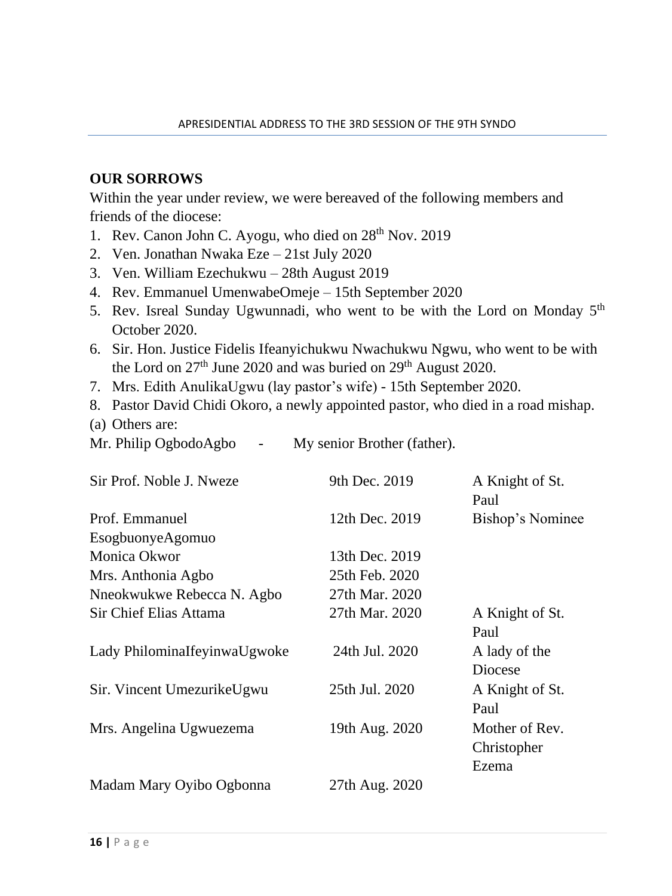#### **OUR SORROWS**

Within the year under review, we were bereaved of the following members and friends of the diocese:

- 1. Rev. Canon John C. Ayogu, who died on  $28<sup>th</sup>$  Nov. 2019
- 2. Ven. Jonathan Nwaka Eze 21st July 2020
- 3. Ven. William Ezechukwu 28th August 2019
- 4. Rev. Emmanuel UmenwabeOmeje 15th September 2020
- 5. Rev. Isreal Sunday Ugwunnadi, who went to be with the Lord on Monday 5<sup>th</sup> October 2020.
- 6. Sir. Hon. Justice Fidelis Ifeanyichukwu Nwachukwu Ngwu, who went to be with the Lord on 27<sup>th</sup> June 2020 and was buried on 29<sup>th</sup> August 2020.
- 7. Mrs. Edith AnulikaUgwu (lay pastor's wife) 15th September 2020.
- 8. Pastor David Chidi Okoro, a newly appointed pastor, who died in a road mishap.
- (a) Others are:
- Mr. Philip OgbodoAgbo My senior Brother (father).

| Sir Prof. Noble J. Nweze     | 9th Dec. 2019  | A Knight of St.<br>Paul                |
|------------------------------|----------------|----------------------------------------|
| Prof. Emmanuel               | 12th Dec. 2019 | Bishop's Nominee                       |
| EsogbuonyeAgomuo             |                |                                        |
| Monica Okwor                 | 13th Dec. 2019 |                                        |
| Mrs. Anthonia Agbo           | 25th Feb. 2020 |                                        |
| Nneokwukwe Rebecca N. Agbo   | 27th Mar. 2020 |                                        |
| Sir Chief Elias Attama       | 27th Mar. 2020 | A Knight of St.<br>Paul                |
| Lady PhilominaIfeyinwaUgwoke | 24th Jul. 2020 | A lady of the<br>Diocese               |
| Sir. Vincent UmezurikeUgwu   | 25th Jul. 2020 | A Knight of St.<br>Paul                |
| Mrs. Angelina Ugwuezema      | 19th Aug. 2020 | Mother of Rev.<br>Christopher<br>Ezema |
| Madam Mary Oyibo Ogbonna     | 27th Aug. 2020 |                                        |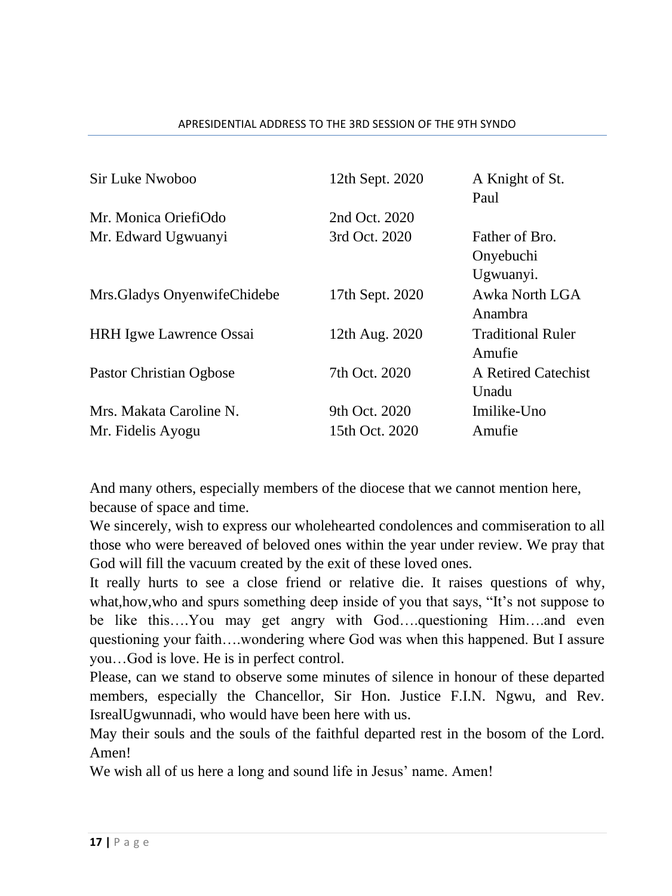#### APRESIDENTIAL ADDRESS TO THE 3RD SESSION OF THE 9TH SYNDO

| Sir Luke Nwoboo                              | 12th Sept. 2020                 | A Knight of St.<br>Paul                  |
|----------------------------------------------|---------------------------------|------------------------------------------|
| Mr. Monica OriefiOdo                         | 2nd Oct. 2020                   |                                          |
| Mr. Edward Ugwuanyi                          | 3rd Oct. 2020                   | Father of Bro.<br>Onyebuchi<br>Ugwuanyi. |
| Mrs. Gladys Onyenwife Chidebe                | 17th Sept. 2020                 | Awka North LGA<br>Anambra                |
| <b>HRH</b> Igwe Lawrence Ossai               | 12th Aug. 2020                  | <b>Traditional Ruler</b><br>Amufie       |
| Pastor Christian Ogbose                      | 7th Oct. 2020                   | A Retired Catechist<br>Unadu             |
| Mrs. Makata Caroline N.<br>Mr. Fidelis Ayogu | 9th Oct. 2020<br>15th Oct. 2020 | Imilike-Uno<br>Amufie                    |

And many others, especially members of the diocese that we cannot mention here, because of space and time.

We sincerely, wish to express our wholehearted condolences and commiseration to all those who were bereaved of beloved ones within the year under review. We pray that God will fill the vacuum created by the exit of these loved ones.

It really hurts to see a close friend or relative die. It raises questions of why, what,how,who and spurs something deep inside of you that says, "It's not suppose to be like this….You may get angry with God….questioning Him….and even questioning your faith….wondering where God was when this happened. But I assure you…God is love. He is in perfect control.

Please, can we stand to observe some minutes of silence in honour of these departed members, especially the Chancellor, Sir Hon. Justice F.I.N. Ngwu, and Rev. IsrealUgwunnadi, who would have been here with us.

May their souls and the souls of the faithful departed rest in the bosom of the Lord. Amen!

We wish all of us here a long and sound life in Jesus' name. Amen!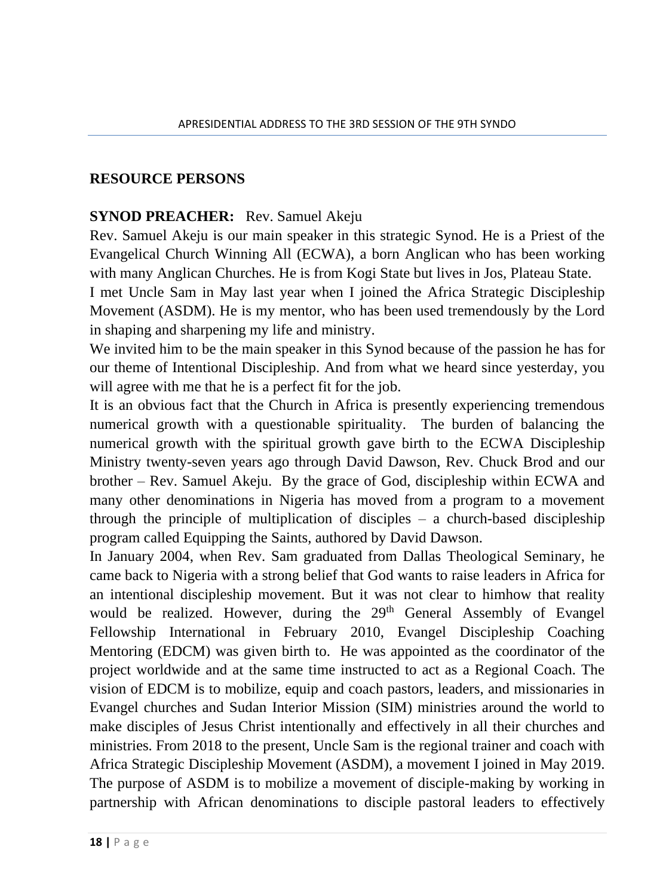#### **RESOURCE PERSONS**

#### **SYNOD PREACHER:** Rev. Samuel Akeju

Rev. Samuel Akeju is our main speaker in this strategic Synod. He is a Priest of the Evangelical Church Winning All (ECWA), a born Anglican who has been working with many Anglican Churches. He is from Kogi State but lives in Jos, Plateau State.

I met Uncle Sam in May last year when I joined the Africa Strategic Discipleship Movement (ASDM). He is my mentor, who has been used tremendously by the Lord in shaping and sharpening my life and ministry.

We invited him to be the main speaker in this Synod because of the passion he has for our theme of Intentional Discipleship. And from what we heard since yesterday, you will agree with me that he is a perfect fit for the job.

It is an obvious fact that the Church in Africa is presently experiencing tremendous numerical growth with a questionable spirituality. The burden of balancing the numerical growth with the spiritual growth gave birth to the ECWA Discipleship Ministry twenty-seven years ago through David Dawson, Rev. Chuck Brod and our brother – Rev. Samuel Akeju. By the grace of God, discipleship within ECWA and many other denominations in Nigeria has moved from a program to a movement through the principle of multiplication of disciples  $-$  a church-based discipleship program called Equipping the Saints, authored by David Dawson.

In January 2004, when Rev. Sam graduated from Dallas Theological Seminary, he came back to Nigeria with a strong belief that God wants to raise leaders in Africa for an intentional discipleship movement. But it was not clear to himhow that reality would be realized. However, during the 29<sup>th</sup> General Assembly of Evangel Fellowship International in February 2010, Evangel Discipleship Coaching Mentoring (EDCM) was given birth to. He was appointed as the coordinator of the project worldwide and at the same time instructed to act as a Regional Coach. The vision of EDCM is to mobilize, equip and coach pastors, leaders, and missionaries in Evangel churches and Sudan Interior Mission (SIM) ministries around the world to make disciples of Jesus Christ intentionally and effectively in all their churches and ministries. From 2018 to the present, Uncle Sam is the regional trainer and coach with Africa Strategic Discipleship Movement (ASDM), a movement I joined in May 2019. The purpose of ASDM is to mobilize a movement of disciple-making by working in partnership with African denominations to disciple pastoral leaders to effectively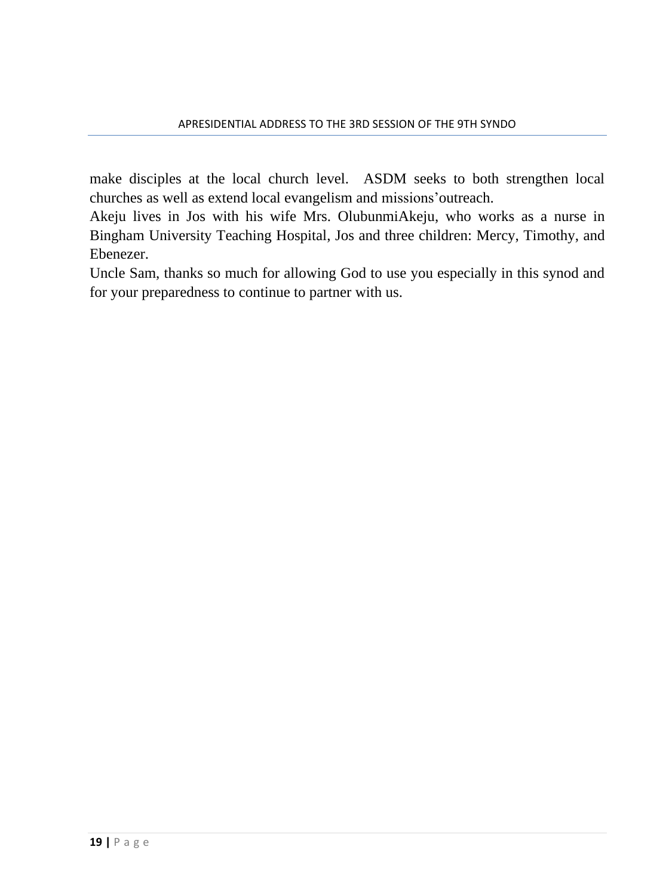make disciples at the local church level. ASDM seeks to both strengthen local churches as well as extend local evangelism and missions'outreach.

Akeju lives in Jos with his wife Mrs. OlubunmiAkeju, who works as a nurse in Bingham University Teaching Hospital, Jos and three children: Mercy, Timothy, and Ebenezer.

Uncle Sam, thanks so much for allowing God to use you especially in this synod and for your preparedness to continue to partner with us.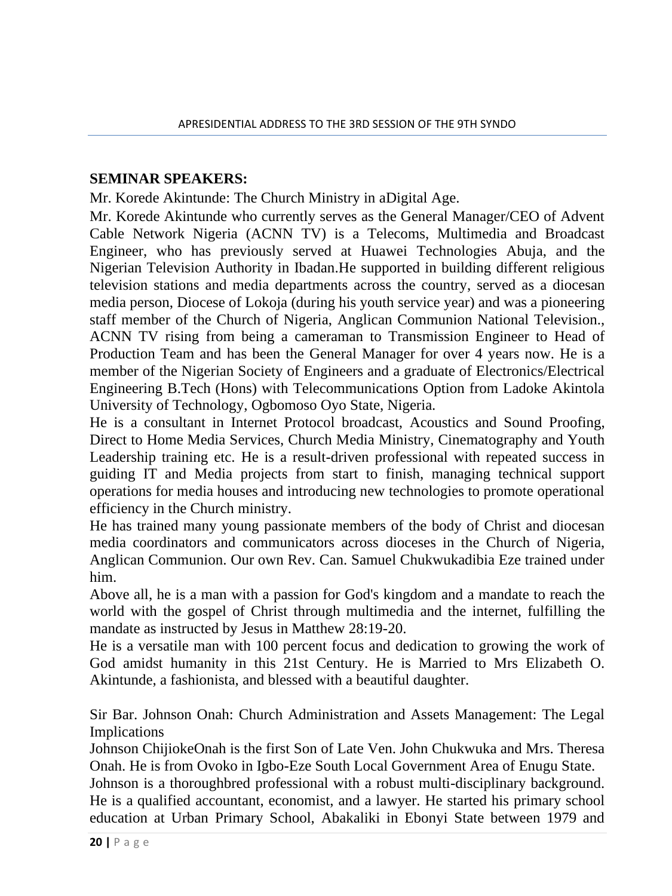#### **SEMINAR SPEAKERS:**

Mr. Korede Akintunde: The Church Ministry in aDigital Age.

Mr. Korede Akintunde who currently serves as the General Manager/CEO of Advent Cable Network Nigeria (ACNN TV) is a Telecoms, Multimedia and Broadcast Engineer, who has previously served at Huawei Technologies Abuja, and the Nigerian Television Authority in Ibadan.He supported in building different religious television stations and media departments across the country, served as a diocesan media person, Diocese of Lokoja (during his youth service year) and was a pioneering staff member of the Church of Nigeria, Anglican Communion National Television., ACNN TV rising from being a cameraman to Transmission Engineer to Head of Production Team and has been the General Manager for over 4 years now. He is a member of the Nigerian Society of Engineers and a graduate of Electronics/Electrical Engineering B.Tech (Hons) with Telecommunications Option from Ladoke Akintola University of Technology, Ogbomoso Oyo State, Nigeria.

He is a consultant in Internet Protocol broadcast, Acoustics and Sound Proofing, Direct to Home Media Services, Church Media Ministry, Cinematography and Youth Leadership training etc. He is a result-driven professional with repeated success in guiding IT and Media projects from start to finish, managing technical support operations for media houses and introducing new technologies to promote operational efficiency in the Church ministry.

He has trained many young passionate members of the body of Christ and diocesan media coordinators and communicators across dioceses in the Church of Nigeria, Anglican Communion. Our own Rev. Can. Samuel Chukwukadibia Eze trained under him.

Above all, he is a man with a passion for God's kingdom and a mandate to reach the world with the gospel of Christ through multimedia and the internet, fulfilling the mandate as instructed by Jesus in Matthew 28:19-20.

He is a versatile man with 100 percent focus and dedication to growing the work of God amidst humanity in this 21st Century. He is Married to Mrs Elizabeth O. Akintunde, a fashionista, and blessed with a beautiful daughter.

Sir Bar. Johnson Onah: Church Administration and Assets Management: The Legal Implications

Johnson ChijiokeOnah is the first Son of Late Ven. John Chukwuka and Mrs. Theresa Onah. He is from Ovoko in Igbo-Eze South Local Government Area of Enugu State.

Johnson is a thoroughbred professional with a robust multi-disciplinary background. He is a qualified accountant, economist, and a lawyer. He started his primary school education at Urban Primary School, Abakaliki in Ebonyi State between 1979 and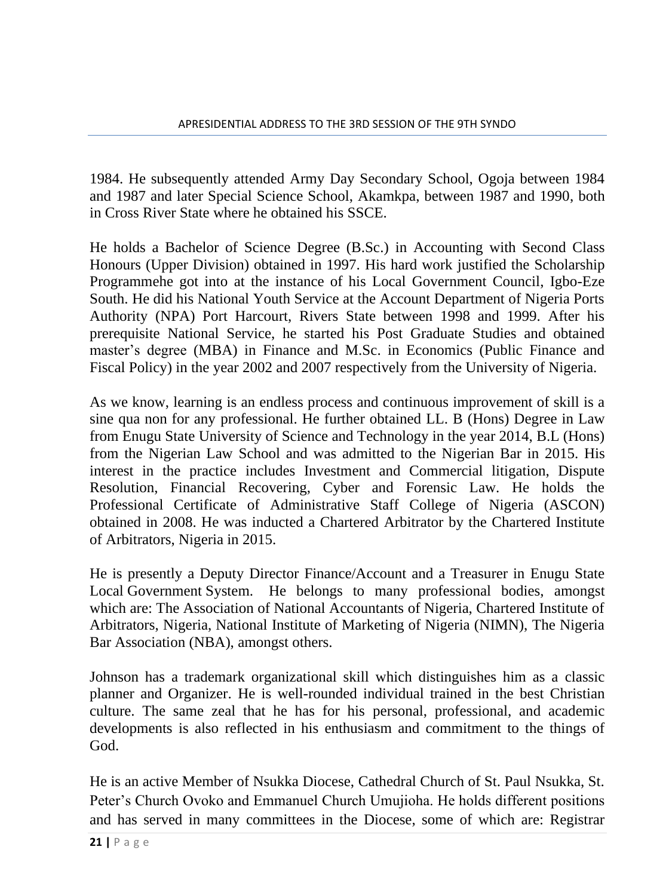1984. He subsequently attended Army Day Secondary School, Ogoja between 1984 and 1987 and later Special Science School, Akamkpa, between 1987 and 1990, both in Cross River State where he obtained his SSCE.

He holds a Bachelor of Science Degree (B.Sc.) in Accounting with Second Class Honours (Upper Division) obtained in 1997. His hard work justified the Scholarship Programmehe got into at the instance of his Local Government Council, Igbo-Eze South. He did his National Youth Service at the Account Department of Nigeria Ports Authority (NPA) Port Harcourt, Rivers State between 1998 and 1999. After his prerequisite National Service, he started his Post Graduate Studies and obtained master's degree (MBA) in Finance and M.Sc. in Economics (Public Finance and Fiscal Policy) in the year 2002 and 2007 respectively from the University of Nigeria.

As we know, learning is an endless process and continuous improvement of skill is a sine qua non for any professional. He further obtained LL. B (Hons) Degree in Law from Enugu State University of Science and Technology in the year 2014, B.L (Hons) from the Nigerian Law School and was admitted to the Nigerian Bar in 2015. His interest in the practice includes Investment and Commercial litigation, Dispute Resolution, Financial Recovering, Cyber and Forensic Law. He holds the Professional Certificate of Administrative Staff College of Nigeria (ASCON) obtained in 2008. He was inducted a Chartered Arbitrator by the Chartered Institute of Arbitrators, Nigeria in 2015.

He is presently a Deputy Director Finance/Account and a Treasurer in Enugu State Local Government System. He belongs to many professional bodies, amongst which are: The Association of National Accountants of Nigeria, Chartered Institute of Arbitrators, Nigeria, National Institute of Marketing of Nigeria (NIMN), The Nigeria Bar Association (NBA), amongst others.

Johnson has a trademark organizational skill which distinguishes him as a classic planner and Organizer. He is well-rounded individual trained in the best Christian culture. The same zeal that he has for his personal, professional, and academic developments is also reflected in his enthusiasm and commitment to the things of God.

He is an active Member of Nsukka Diocese, Cathedral Church of St. Paul Nsukka, St. Peter's Church Ovoko and Emmanuel Church Umujioha. He holds different positions and has served in many committees in the Diocese, some of which are: Registrar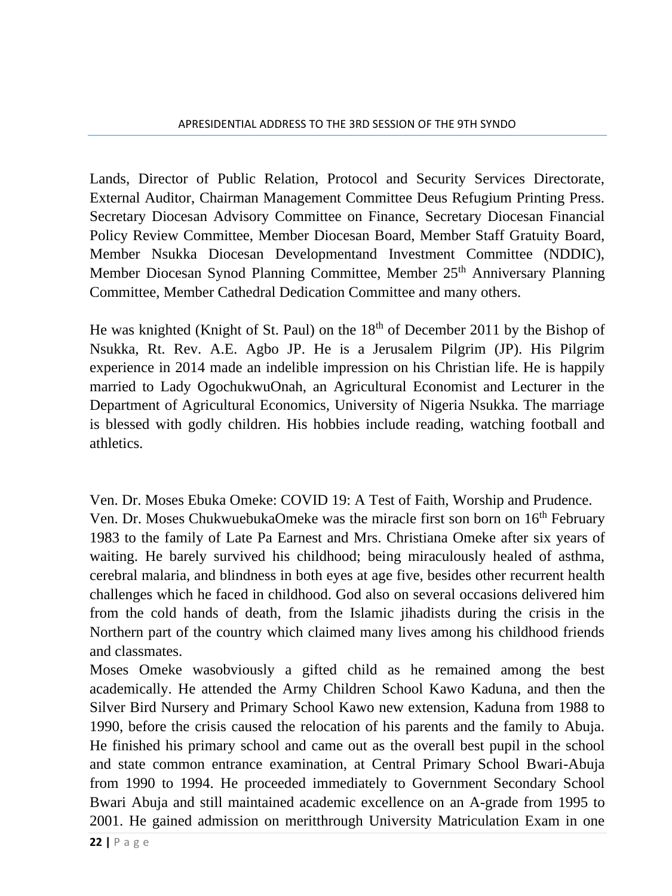Lands, Director of Public Relation, Protocol and Security Services Directorate, External Auditor, Chairman Management Committee Deus Refugium Printing Press. Secretary Diocesan Advisory Committee on Finance, Secretary Diocesan Financial Policy Review Committee, Member Diocesan Board, Member Staff Gratuity Board, Member Nsukka Diocesan Developmentand Investment Committee (NDDIC), Member Diocesan Synod Planning Committee, Member 25<sup>th</sup> Anniversary Planning Committee, Member Cathedral Dedication Committee and many others.

He was knighted (Knight of St. Paul) on the 18<sup>th</sup> of December 2011 by the Bishop of Nsukka, Rt. Rev. A.E. Agbo JP. He is a Jerusalem Pilgrim (JP). His Pilgrim experience in 2014 made an indelible impression on his Christian life. He is happily married to Lady OgochukwuOnah, an Agricultural Economist and Lecturer in the Department of Agricultural Economics, University of Nigeria Nsukka. The marriage is blessed with godly children. His hobbies include reading, watching football and athletics.

Ven. Dr. Moses Ebuka Omeke: COVID 19: A Test of Faith, Worship and Prudence. Ven. Dr. Moses ChukwuebukaOmeke was the miracle first son born on 16<sup>th</sup> February 1983 to the family of Late Pa Earnest and Mrs. Christiana Omeke after six years of waiting. He barely survived his childhood; being miraculously healed of asthma, cerebral malaria, and blindness in both eyes at age five, besides other recurrent health challenges which he faced in childhood. God also on several occasions delivered him from the cold hands of death, from the Islamic jihadists during the crisis in the Northern part of the country which claimed many lives among his childhood friends and classmates.

Moses Omeke wasobviously a gifted child as he remained among the best academically. He attended the Army Children School Kawo Kaduna, and then the Silver Bird Nursery and Primary School Kawo new extension, Kaduna from 1988 to 1990, before the crisis caused the relocation of his parents and the family to Abuja. He finished his primary school and came out as the overall best pupil in the school and state common entrance examination, at Central Primary School Bwari-Abuja from 1990 to 1994. He proceeded immediately to Government Secondary School Bwari Abuja and still maintained academic excellence on an A-grade from 1995 to 2001. He gained admission on meritthrough University Matriculation Exam in one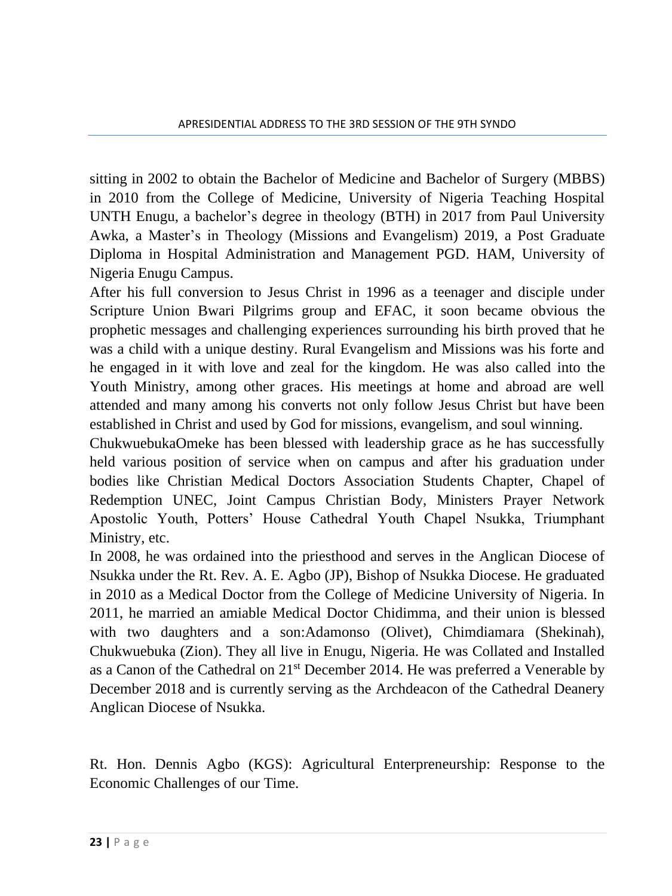sitting in 2002 to obtain the Bachelor of Medicine and Bachelor of Surgery (MBBS) in 2010 from the College of Medicine, University of Nigeria Teaching Hospital UNTH Enugu, a bachelor's degree in theology (BTH) in 2017 from Paul University Awka, a Master's in Theology (Missions and Evangelism) 2019, a Post Graduate Diploma in Hospital Administration and Management PGD. HAM, University of Nigeria Enugu Campus.

After his full conversion to Jesus Christ in 1996 as a teenager and disciple under Scripture Union Bwari Pilgrims group and EFAC, it soon became obvious the prophetic messages and challenging experiences surrounding his birth proved that he was a child with a unique destiny. Rural Evangelism and Missions was his forte and he engaged in it with love and zeal for the kingdom. He was also called into the Youth Ministry, among other graces. His meetings at home and abroad are well attended and many among his converts not only follow Jesus Christ but have been established in Christ and used by God for missions, evangelism, and soul winning.

ChukwuebukaOmeke has been blessed with leadership grace as he has successfully held various position of service when on campus and after his graduation under bodies like Christian Medical Doctors Association Students Chapter, Chapel of Redemption UNEC, Joint Campus Christian Body, Ministers Prayer Network Apostolic Youth, Potters' House Cathedral Youth Chapel Nsukka, Triumphant Ministry, etc.

In 2008, he was ordained into the priesthood and serves in the Anglican Diocese of Nsukka under the Rt. Rev. A. E. Agbo (JP), Bishop of Nsukka Diocese. He graduated in 2010 as a Medical Doctor from the College of Medicine University of Nigeria. In 2011, he married an amiable Medical Doctor Chidimma, and their union is blessed with two daughters and a son:Adamonso (Olivet), Chimdiamara (Shekinah), Chukwuebuka (Zion). They all live in Enugu, Nigeria. He was Collated and Installed as a Canon of the Cathedral on  $21<sup>st</sup>$  December 2014. He was preferred a Venerable by December 2018 and is currently serving as the Archdeacon of the Cathedral Deanery Anglican Diocese of Nsukka.

Rt. Hon. Dennis Agbo (KGS): Agricultural Enterpreneurship: Response to the Economic Challenges of our Time.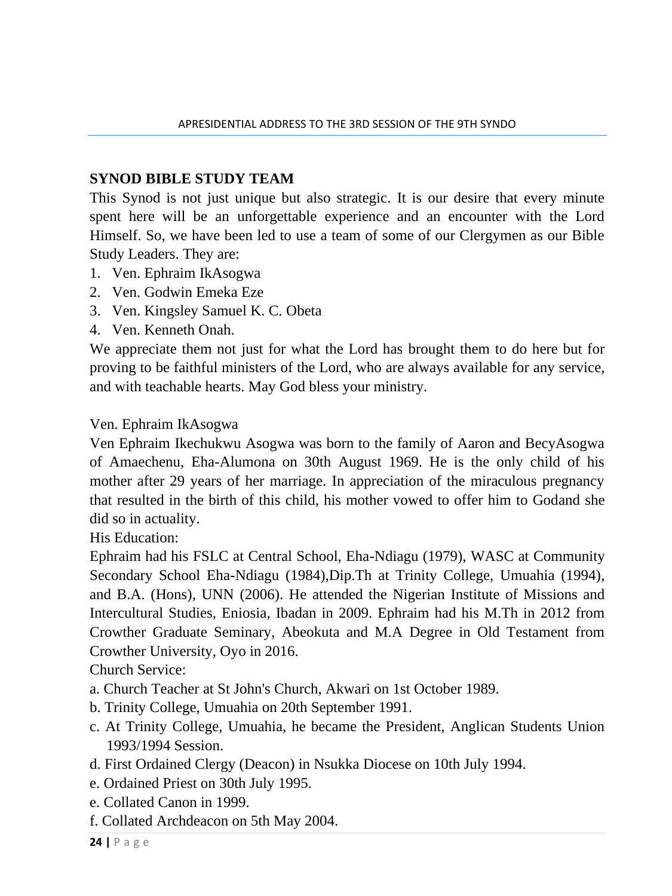#### **SYNOD BIBLE STUDY TEAM**

This Synod is not just unique but also strategic. It is our desire that every minute spent here will be an unforgettable experience and an encounter with the Lord Himself. So, we have been led to use a team of some of our Clergymen as our Bible Study Leaders. They are:

- 1. Ven. Ephraim IkAsogwa
- 2. Ven. Godwin Emeka Eze
- 3. Ven. Kingsley Samuel K. C. Obeta
- 4. Ven. Kenneth Onah.

We appreciate them not just for what the Lord has brought them to do here but for proving to be faithful ministers of the Lord, who are always available for any service, and with teachable hearts. May God bless your ministry.

#### Ven. Ephraim IkAsogwa

Ven Ephraim Ikechukwu Asogwa was born to the family of Aaron and BecyAsogwa of Amaechenu, Eha-Alumona on 30th August 1969. He is the only child of his mother after 29 years of her marriage. In appreciation of the miraculous pregnancy that resulted in the birth of this child, his mother vowed to offer him to Godand she did so in actuality.

His Education:

Ephraim had his FSLC at Central School, Eha-Ndiagu (1979), WASC at Community Secondary School Eha-Ndiagu (1984),Dip.Th at Trinity College, Umuahia (1994), and B.A. (Hons), UNN (2006). He attended the Nigerian Institute of Missions and Intercultural Studies, Eniosia, Ibadan in 2009. Ephraim had his M.Th in 2012 from Crowther Graduate Seminary, Abeokuta and M.A Degree in Old Testament from Crowther University, Oyo in 2016.

Church Service:

- a. Church Teacher at St John's Church, Akwari on 1st October 1989.
- b. Trinity College, Umuahia on 20th September 1991.
- c. At Trinity College, Umuahia, he became the President, Anglican Students Union 1993/1994 Session.
- d. First Ordained Clergy (Deacon) in Nsukka Diocese on 10th July 1994.
- e. Ordained Priest on 30th July 1995.
- e. Collated Canon in 1999.
- f. Collated Archdeacon on 5th May 2004.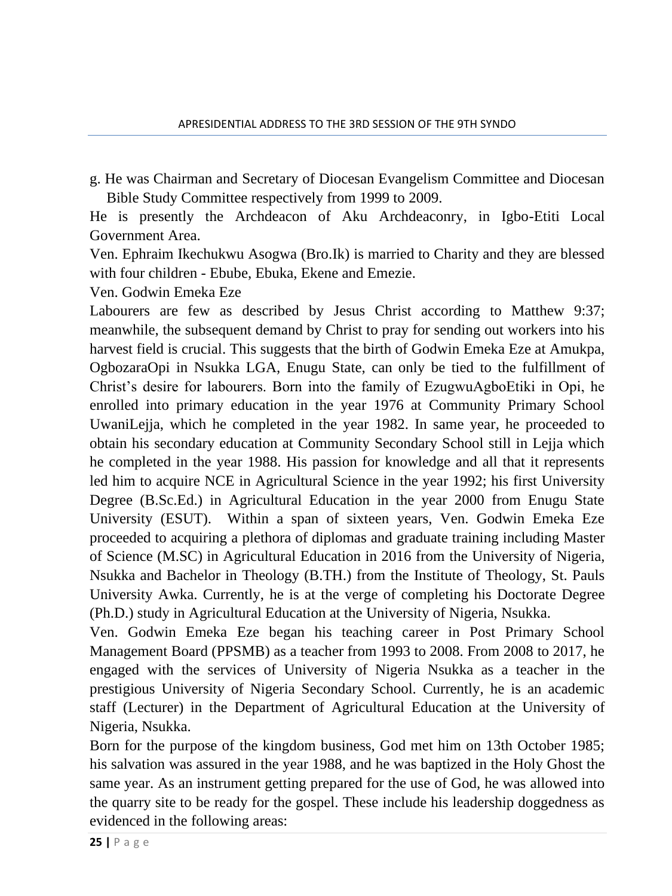g. He was Chairman and Secretary of Diocesan Evangelism Committee and Diocesan Bible Study Committee respectively from 1999 to 2009.

He is presently the Archdeacon of Aku Archdeaconry, in Igbo-Etiti Local Government Area.

Ven. Ephraim Ikechukwu Asogwa (Bro.Ik) is married to Charity and they are blessed with four children - Ebube, Ebuka, Ekene and Emezie.

Ven. Godwin Emeka Eze

Labourers are few as described by Jesus Christ according to Matthew 9:37; meanwhile, the subsequent demand by Christ to pray for sending out workers into his harvest field is crucial. This suggests that the birth of Godwin Emeka Eze at Amukpa, OgbozaraOpi in Nsukka LGA, Enugu State, can only be tied to the fulfillment of Christ's desire for labourers. Born into the family of EzugwuAgboEtiki in Opi, he enrolled into primary education in the year 1976 at Community Primary School UwaniLejja, which he completed in the year 1982. In same year, he proceeded to obtain his secondary education at Community Secondary School still in Lejja which he completed in the year 1988. His passion for knowledge and all that it represents led him to acquire NCE in Agricultural Science in the year 1992; his first University Degree (B.Sc.Ed.) in Agricultural Education in the year 2000 from Enugu State University (ESUT). Within a span of sixteen years, Ven. Godwin Emeka Eze proceeded to acquiring a plethora of diplomas and graduate training including Master of Science (M.SC) in Agricultural Education in 2016 from the University of Nigeria, Nsukka and Bachelor in Theology (B.TH.) from the Institute of Theology, St. Pauls University Awka. Currently, he is at the verge of completing his Doctorate Degree (Ph.D.) study in Agricultural Education at the University of Nigeria, Nsukka.

Ven. Godwin Emeka Eze began his teaching career in Post Primary School Management Board (PPSMB) as a teacher from 1993 to 2008. From 2008 to 2017, he engaged with the services of University of Nigeria Nsukka as a teacher in the prestigious University of Nigeria Secondary School. Currently, he is an academic staff (Lecturer) in the Department of Agricultural Education at the University of Nigeria, Nsukka.

Born for the purpose of the kingdom business, God met him on 13th October 1985; his salvation was assured in the year 1988, and he was baptized in the Holy Ghost the same year. As an instrument getting prepared for the use of God, he was allowed into the quarry site to be ready for the gospel. These include his leadership doggedness as evidenced in the following areas: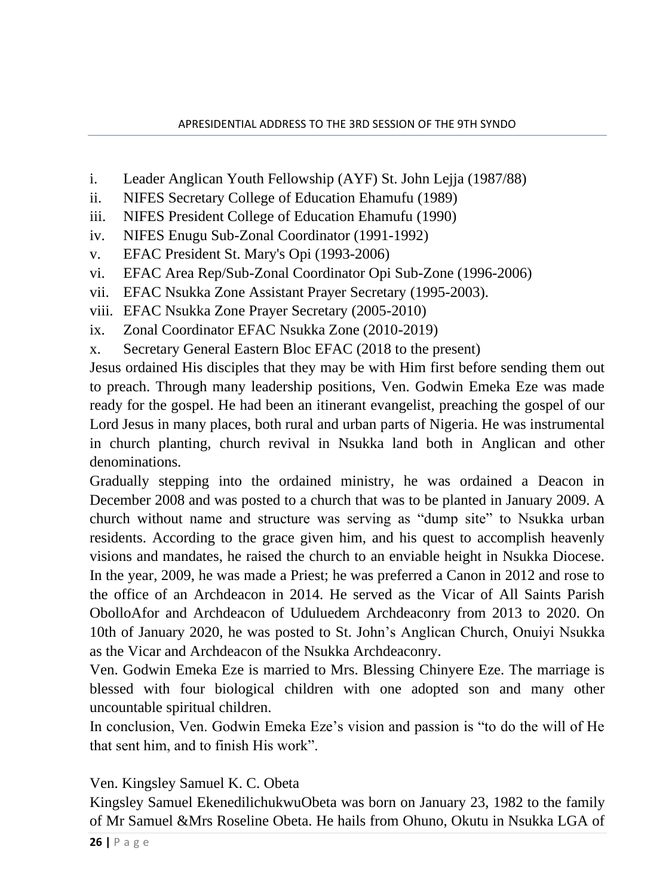- i. Leader Anglican Youth Fellowship (AYF) St. John Lejja (1987/88)
- ii. NIFES Secretary College of Education Ehamufu (1989)
- iii. NIFES President College of Education Ehamufu (1990)
- iv. NIFES Enugu Sub-Zonal Coordinator (1991-1992)
- v. EFAC President St. Mary's Opi (1993-2006)
- vi. EFAC Area Rep/Sub-Zonal Coordinator Opi Sub-Zone (1996-2006)
- vii. EFAC Nsukka Zone Assistant Prayer Secretary (1995-2003).
- viii. EFAC Nsukka Zone Prayer Secretary (2005-2010)
- ix. Zonal Coordinator EFAC Nsukka Zone (2010-2019)
- x. Secretary General Eastern Bloc EFAC (2018 to the present)

Jesus ordained His disciples that they may be with Him first before sending them out to preach. Through many leadership positions, Ven. Godwin Emeka Eze was made ready for the gospel. He had been an itinerant evangelist, preaching the gospel of our Lord Jesus in many places, both rural and urban parts of Nigeria. He was instrumental in church planting, church revival in Nsukka land both in Anglican and other denominations.

Gradually stepping into the ordained ministry, he was ordained a Deacon in December 2008 and was posted to a church that was to be planted in January 2009. A church without name and structure was serving as "dump site" to Nsukka urban residents. According to the grace given him, and his quest to accomplish heavenly visions and mandates, he raised the church to an enviable height in Nsukka Diocese. In the year, 2009, he was made a Priest; he was preferred a Canon in 2012 and rose to the office of an Archdeacon in 2014. He served as the Vicar of All Saints Parish ObolloAfor and Archdeacon of Uduluedem Archdeaconry from 2013 to 2020. On 10th of January 2020, he was posted to St. John's Anglican Church, Onuiyi Nsukka as the Vicar and Archdeacon of the Nsukka Archdeaconry.

Ven. Godwin Emeka Eze is married to Mrs. Blessing Chinyere Eze. The marriage is blessed with four biological children with one adopted son and many other uncountable spiritual children.

In conclusion, Ven. Godwin Emeka Eze's vision and passion is "to do the will of He that sent him, and to finish His work".

Ven. Kingsley Samuel K. C. Obeta

Kingsley Samuel EkenedilichukwuObeta was born on January 23, 1982 to the family of Mr Samuel &Mrs Roseline Obeta. He hails from Ohuno, Okutu in Nsukka LGA of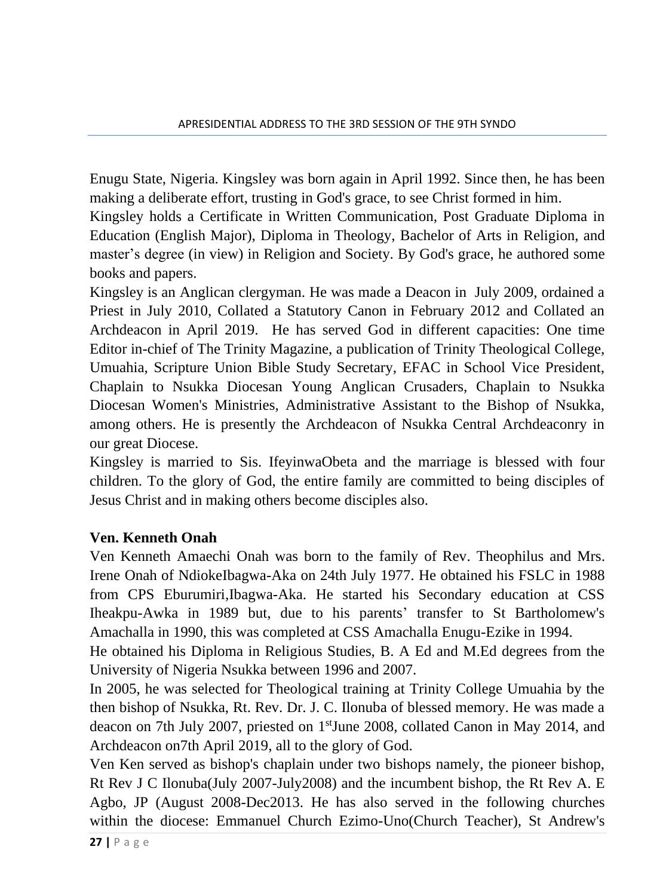Enugu State, Nigeria. Kingsley was born again in April 1992. Since then, he has been making a deliberate effort, trusting in God's grace, to see Christ formed in him.

Kingsley holds a Certificate in Written Communication, Post Graduate Diploma in Education (English Major), Diploma in Theology, Bachelor of Arts in Religion, and master's degree (in view) in Religion and Society. By God's grace, he authored some books and papers.

Kingsley is an Anglican clergyman. He was made a Deacon in July 2009, ordained a Priest in July 2010, Collated a Statutory Canon in February 2012 and Collated an Archdeacon in April 2019. He has served God in different capacities: One time Editor in-chief of The Trinity Magazine, a publication of Trinity Theological College, Umuahia, Scripture Union Bible Study Secretary, EFAC in School Vice President, Chaplain to Nsukka Diocesan Young Anglican Crusaders, Chaplain to Nsukka Diocesan Women's Ministries, Administrative Assistant to the Bishop of Nsukka, among others. He is presently the Archdeacon of Nsukka Central Archdeaconry in our great Diocese.

Kingsley is married to Sis. IfeyinwaObeta and the marriage is blessed with four children. To the glory of God, the entire family are committed to being disciples of Jesus Christ and in making others become disciples also.

### **Ven. Kenneth Onah**

Ven Kenneth Amaechi Onah was born to the family of Rev. Theophilus and Mrs. Irene Onah of NdiokeIbagwa-Aka on 24th July 1977. He obtained his FSLC in 1988 from CPS Eburumiri,Ibagwa-Aka. He started his Secondary education at CSS Iheakpu-Awka in 1989 but, due to his parents' transfer to St Bartholomew's Amachalla in 1990, this was completed at CSS Amachalla Enugu-Ezike in 1994.

He obtained his Diploma in Religious Studies, B. A Ed and M.Ed degrees from the University of Nigeria Nsukka between 1996 and 2007.

In 2005, he was selected for Theological training at Trinity College Umuahia by the then bishop of Nsukka, Rt. Rev. Dr. J. C. Ilonuba of blessed memory. He was made a deacon on 7th July 2007, priested on 1 stJune 2008, collated Canon in May 2014, and Archdeacon on7th April 2019, all to the glory of God.

Ven Ken served as bishop's chaplain under two bishops namely, the pioneer bishop, Rt Rev J C Ilonuba(July 2007-July 2008) and the incumbent bishop, the Rt Rev A. E Agbo, JP (August 2008-Dec2013. He has also served in the following churches within the diocese: Emmanuel Church Ezimo-Uno(Church Teacher), St Andrew's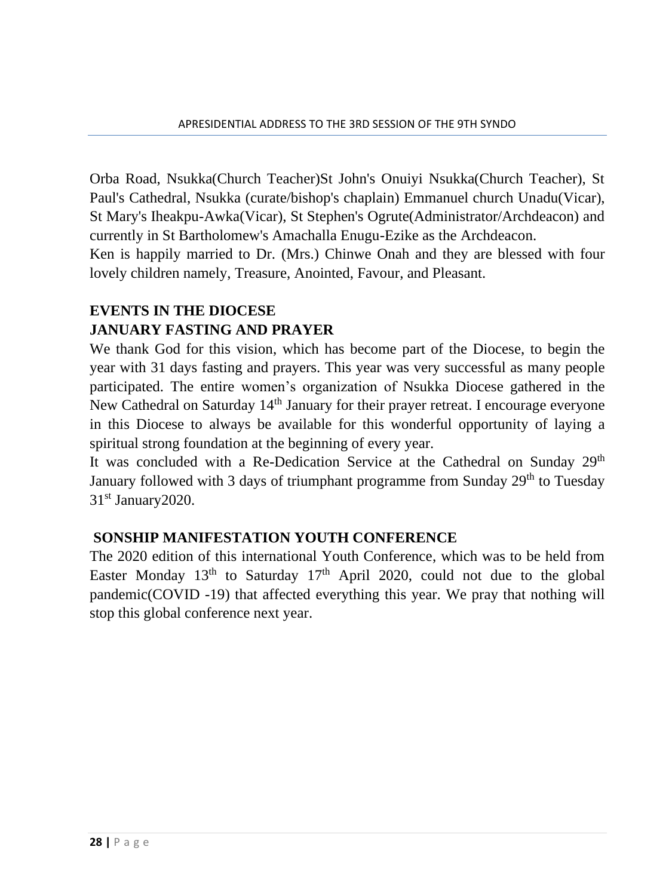Orba Road, Nsukka(Church Teacher)St John's Onuiyi Nsukka(Church Teacher), St Paul's Cathedral, Nsukka (curate/bishop's chaplain) Emmanuel church Unadu(Vicar), St Mary's Iheakpu-Awka(Vicar), St Stephen's Ogrute(Administrator/Archdeacon) and currently in St Bartholomew's Amachalla Enugu-Ezike as the Archdeacon.

Ken is happily married to Dr. (Mrs.) Chinwe Onah and they are blessed with four lovely children namely, Treasure, Anointed, Favour, and Pleasant.

### **EVENTS IN THE DIOCESE JANUARY FASTING AND PRAYER**

We thank God for this vision, which has become part of the Diocese, to begin the year with 31 days fasting and prayers. This year was very successful as many people participated. The entire women's organization of Nsukka Diocese gathered in the New Cathedral on Saturday 14<sup>th</sup> January for their prayer retreat. I encourage everyone in this Diocese to always be available for this wonderful opportunity of laying a spiritual strong foundation at the beginning of every year.

It was concluded with a Re-Dedication Service at the Cathedral on Sunday  $29<sup>th</sup>$ January followed with 3 days of triumphant programme from Sunday 29<sup>th</sup> to Tuesday 31<sup>st</sup> January2020.

## **SONSHIP MANIFESTATION YOUTH CONFERENCE**

The 2020 edition of this international Youth Conference, which was to be held from Easter Monday  $13<sup>th</sup>$  to Saturday  $17<sup>th</sup>$  April 2020, could not due to the global pandemic(COVID -19) that affected everything this year. We pray that nothing will stop this global conference next year.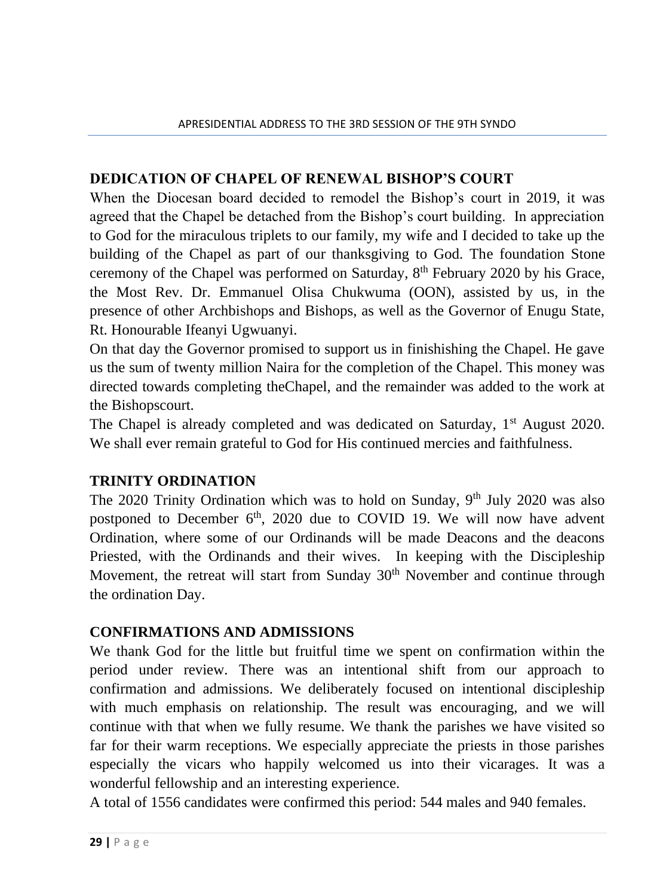### **DEDICATION OF CHAPEL OF RENEWAL BISHOP'S COURT**

When the Diocesan board decided to remodel the Bishop's court in 2019, it was agreed that the Chapel be detached from the Bishop's court building. In appreciation to God for the miraculous triplets to our family, my wife and I decided to take up the building of the Chapel as part of our thanksgiving to God. The foundation Stone ceremony of the Chapel was performed on Saturday, 8<sup>th</sup> February 2020 by his Grace, the Most Rev. Dr. Emmanuel Olisa Chukwuma (OON), assisted by us, in the presence of other Archbishops and Bishops, as well as the Governor of Enugu State, Rt. Honourable Ifeanyi Ugwuanyi.

On that day the Governor promised to support us in finishishing the Chapel. He gave us the sum of twenty million Naira for the completion of the Chapel. This money was directed towards completing theChapel, and the remainder was added to the work at the Bishopscourt.

The Chapel is already completed and was dedicated on Saturday, 1<sup>st</sup> August 2020. We shall ever remain grateful to God for His continued mercies and faithfulness.

### **TRINITY ORDINATION**

The 2020 Trinity Ordination which was to hold on Sunday,  $9<sup>th</sup>$  July 2020 was also postponed to December  $6<sup>th</sup>$ , 2020 due to COVID 19. We will now have advent Ordination, where some of our Ordinands will be made Deacons and the deacons Priested, with the Ordinands and their wives. In keeping with the Discipleship Movement, the retreat will start from Sunday 30<sup>th</sup> November and continue through the ordination Day.

### **CONFIRMATIONS AND ADMISSIONS**

We thank God for the little but fruitful time we spent on confirmation within the period under review. There was an intentional shift from our approach to confirmation and admissions. We deliberately focused on intentional discipleship with much emphasis on relationship. The result was encouraging, and we will continue with that when we fully resume. We thank the parishes we have visited so far for their warm receptions. We especially appreciate the priests in those parishes especially the vicars who happily welcomed us into their vicarages. It was a wonderful fellowship and an interesting experience.

A total of 1556 candidates were confirmed this period: 544 males and 940 females.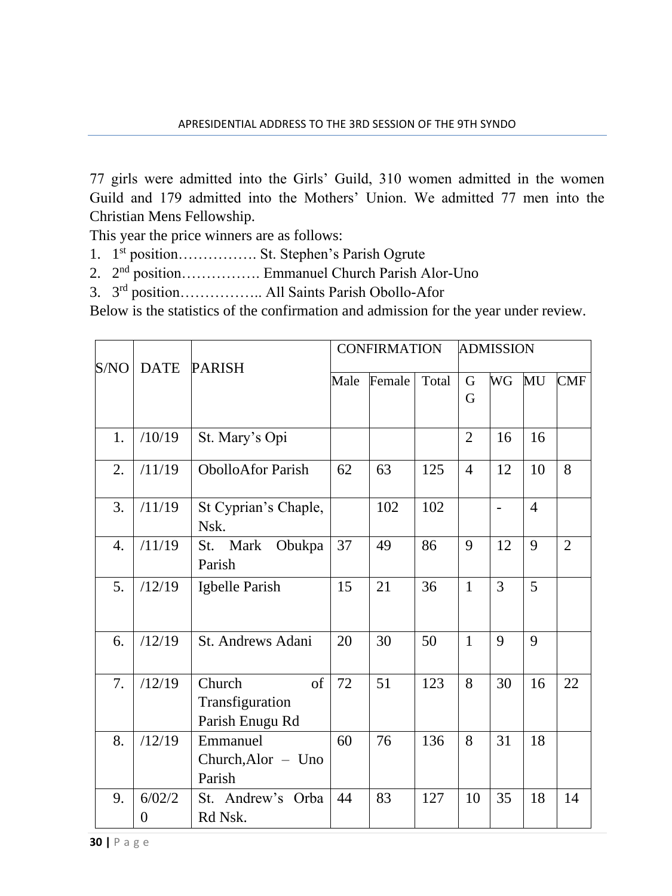77 girls were admitted into the Girls' Guild, 310 women admitted in the women Guild and 179 admitted into the Mothers' Union. We admitted 77 men into the Christian Mens Fellowship.

This year the price winners are as follows:

- 1. 1<sup>st</sup> position................. St. Stephen's Parish Ogrute
- 2. 2<sup>nd</sup> position................. Emmanuel Church Parish Alor-Uno
- 3. 3<sup>rd</sup> position.................. All Saints Parish Obollo-Afor

Below is the statistics of the confirmation and admission for the year under review.

|                  | <b>DATE</b> |                                                    |      | <b>CONFIRMATION</b> |       |                | <b>ADMISSION</b> |                |                |
|------------------|-------------|----------------------------------------------------|------|---------------------|-------|----------------|------------------|----------------|----------------|
| S/NO             |             | <b>PARISH</b>                                      | Male | Female              | Total | G<br>G         | WG               | MU             | <b>CMF</b>     |
| 1.               | /10/19      | St. Mary's Opi                                     |      |                     |       | $\overline{2}$ | 16               | 16             |                |
| 2.               | /11/19      | <b>ObolloAfor Parish</b>                           | 62   | 63                  | 125   | $\overline{4}$ | 12               | 10             | 8              |
| 3.               | /11/19      | St Cyprian's Chaple,<br>Nsk.                       |      | 102                 | 102   |                |                  | $\overline{4}$ |                |
| $\overline{4}$ . | /11/19      | St. Mark<br>Obukpa<br>Parish                       | 37   | 49                  | 86    | 9              | 12               | 9              | $\overline{2}$ |
| 5.               | /12/19      | Igbelle Parish                                     | 15   | 21                  | 36    | $\mathbf{1}$   | 3                | 5              |                |
| 6.               | /12/19      | St. Andrews Adani                                  | 20   | 30                  | 50    | $\mathbf{1}$   | 9                | 9              |                |
| 7.               | /12/19      | Church<br>of<br>Transfiguration<br>Parish Enugu Rd | 72   | 51                  | 123   | 8              | 30               | 16             | 22             |
| 8.               | /12/19      | Emmanuel<br>$Church, Alor - Uno$<br>Parish         | 60   | 76                  | 136   | 8              | 31               | 18             |                |
| 9.               | 6/02/2<br>0 | St. Andrew's Orba<br>Rd Nsk.                       | 44   | 83                  | 127   | 10             | 35               | 18             | 14             |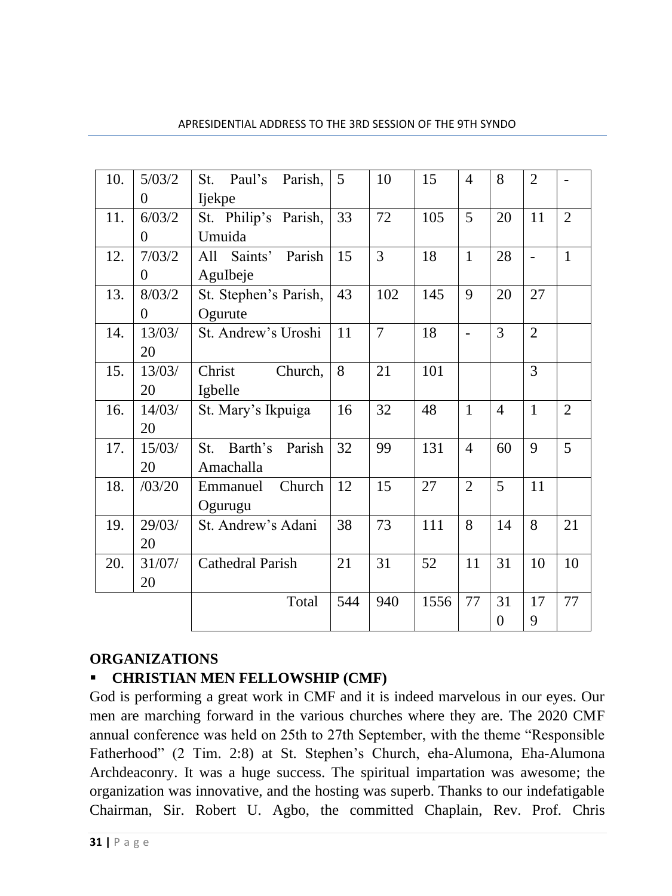| 10. | 5/03/2         | St. Paul's Parish,       | 5   | 10             | 15   | 4              | 8              | $\overline{2}$ |                |
|-----|----------------|--------------------------|-----|----------------|------|----------------|----------------|----------------|----------------|
|     | $\overline{0}$ | Ijekpe                   |     |                |      |                |                |                |                |
| 11. | 6/03/2         | St. Philip's Parish,     | 33  | 72             | 105  | 5              | 20             | 11             | $\overline{2}$ |
|     | $\theta$       | Umuida                   |     |                |      |                |                |                |                |
| 12. | 7/03/2         | All Saints' Parish       | 15  | 3              | 18   | $\mathbf{1}$   | 28             | $\overline{a}$ | $\mathbf{1}$   |
|     | $\overline{0}$ | AguIbeje                 |     |                |      |                |                |                |                |
| 13. | 8/03/2         | St. Stephen's Parish,    | 43  | 102            | 145  | 9              | 20             | 27             |                |
|     | $\overline{0}$ | Ogurute                  |     |                |      |                |                |                |                |
| 14. | 13/03/         | St. Andrew's Uroshi      | 11  | $\overline{7}$ | 18   | $\overline{a}$ | 3              | $\overline{2}$ |                |
|     | 20             |                          |     |                |      |                |                |                |                |
| 15. | 13/03/         | Christ<br>Church,        | 8   | 21             | 101  |                |                | $\overline{3}$ |                |
|     | 20             | Igbelle                  |     |                |      |                |                |                |                |
| 16. | 14/03/         | St. Mary's Ikpuiga       | 16  | 32             | 48   | $\mathbf{1}$   | $\overline{4}$ | $\mathbf{1}$   | $\overline{2}$ |
|     | 20             |                          |     |                |      |                |                |                |                |
| 17. | 15/03/         | Barth's<br>Parish<br>St. | 32  | 99             | 131  | 4              | 60             | 9              | 5              |
|     | 20             | Amachalla                |     |                |      |                |                |                |                |
| 18. | /03/20         | Church<br>Emmanuel       | 12  | 15             | 27   | $\overline{2}$ | 5              | 11             |                |
|     |                | Ogurugu                  |     |                |      |                |                |                |                |
| 19. | 29/03/         | St. Andrew's Adani       | 38  | 73             | 111  | 8              | 14             | 8              | 21             |
|     | 20             |                          |     |                |      |                |                |                |                |
| 20. | 31/07/         | Cathedral Parish         | 21  | 31             | 52   | 11             | 31             | 10             | 10             |
|     | 20             |                          |     |                |      |                |                |                |                |
|     |                | Total                    | 544 | 940            | 1556 | 77             | 31             | 17             | 77             |
|     |                |                          |     |                |      |                | $\overline{0}$ | 9              |                |

### **ORGANIZATIONS**

## ▪ **CHRISTIAN MEN FELLOWSHIP (CMF)**

God is performing a great work in CMF and it is indeed marvelous in our eyes. Our men are marching forward in the various churches where they are. The 2020 CMF annual conference was held on 25th to 27th September, with the theme "Responsible Fatherhood" (2 Tim. 2:8) at St. Stephen's Church, eha-Alumona, Eha-Alumona Archdeaconry. It was a huge success. The spiritual impartation was awesome; the organization was innovative, and the hosting was superb. Thanks to our indefatigable Chairman, Sir. Robert U. Agbo, the committed Chaplain, Rev. Prof. Chris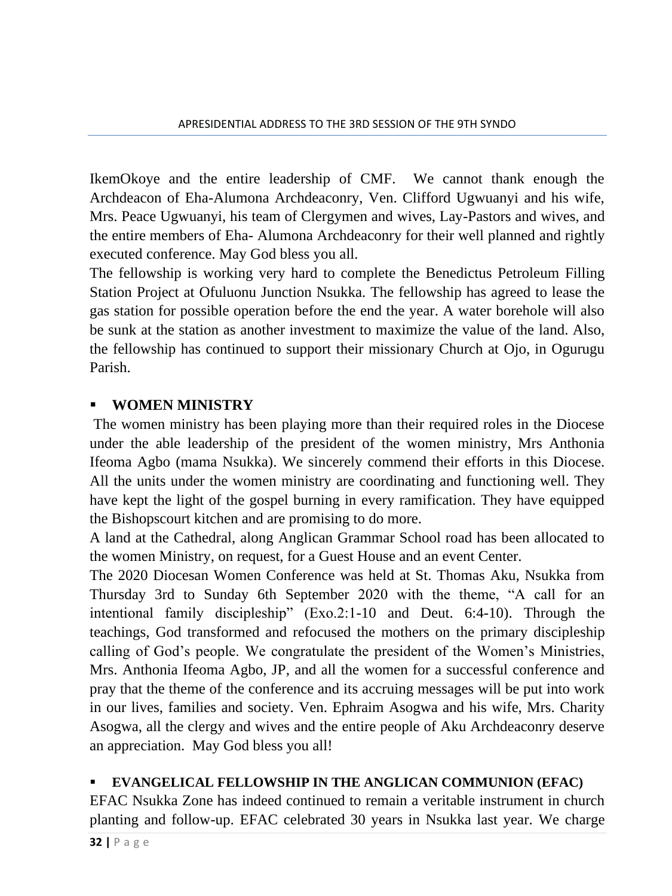IkemOkoye and the entire leadership of CMF. We cannot thank enough the Archdeacon of Eha-Alumona Archdeaconry, Ven. Clifford Ugwuanyi and his wife, Mrs. Peace Ugwuanyi, his team of Clergymen and wives, Lay-Pastors and wives, and the entire members of Eha- Alumona Archdeaconry for their well planned and rightly executed conference. May God bless you all.

The fellowship is working very hard to complete the Benedictus Petroleum Filling Station Project at Ofuluonu Junction Nsukka. The fellowship has agreed to lease the gas station for possible operation before the end the year. A water borehole will also be sunk at the station as another investment to maximize the value of the land. Also, the fellowship has continued to support their missionary Church at Ojo, in Ogurugu Parish.

## ▪ **WOMEN MINISTRY**

The women ministry has been playing more than their required roles in the Diocese under the able leadership of the president of the women ministry, Mrs Anthonia Ifeoma Agbo (mama Nsukka). We sincerely commend their efforts in this Diocese. All the units under the women ministry are coordinating and functioning well. They have kept the light of the gospel burning in every ramification. They have equipped the Bishopscourt kitchen and are promising to do more.

A land at the Cathedral, along Anglican Grammar School road has been allocated to the women Ministry, on request, for a Guest House and an event Center.

The 2020 Diocesan Women Conference was held at St. Thomas Aku, Nsukka from Thursday 3rd to Sunday 6th September 2020 with the theme, "A call for an intentional family discipleship" (Exo.2:1-10 and Deut. 6:4-10). Through the teachings, God transformed and refocused the mothers on the primary discipleship calling of God's people. We congratulate the president of the Women's Ministries, Mrs. Anthonia Ifeoma Agbo, JP, and all the women for a successful conference and pray that the theme of the conference and its accruing messages will be put into work in our lives, families and society. Ven. Ephraim Asogwa and his wife, Mrs. Charity Asogwa, all the clergy and wives and the entire people of Aku Archdeaconry deserve an appreciation. May God bless you all!

## ▪ **EVANGELICAL FELLOWSHIP IN THE ANGLICAN COMMUNION (EFAC)**

EFAC Nsukka Zone has indeed continued to remain a veritable instrument in church planting and follow-up. EFAC celebrated 30 years in Nsukka last year. We charge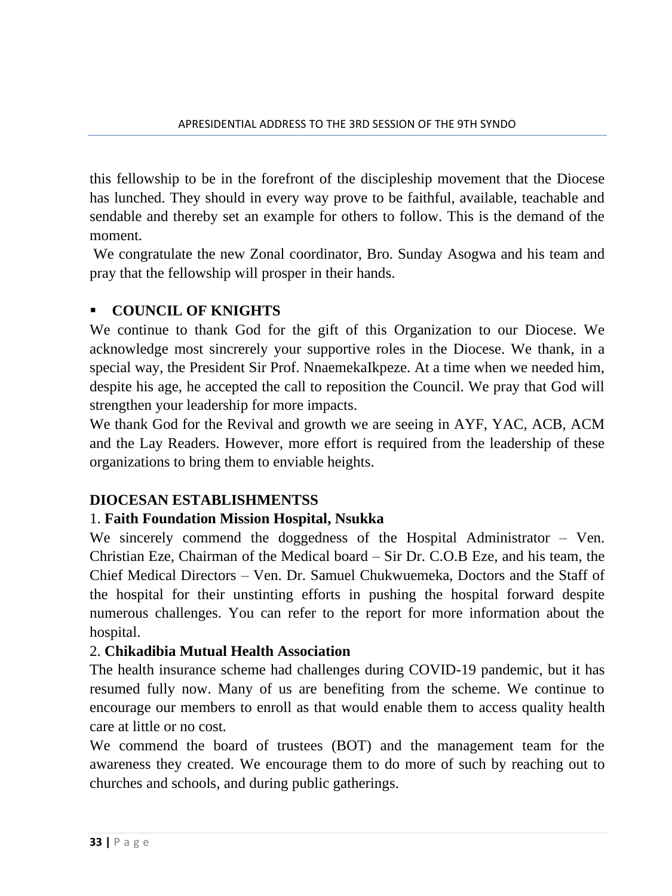this fellowship to be in the forefront of the discipleship movement that the Diocese has lunched. They should in every way prove to be faithful, available, teachable and sendable and thereby set an example for others to follow. This is the demand of the moment.

We congratulate the new Zonal coordinator, Bro. Sunday Asogwa and his team and pray that the fellowship will prosper in their hands.

## ▪ **COUNCIL OF KNIGHTS**

We continue to thank God for the gift of this Organization to our Diocese. We acknowledge most sincrerely your supportive roles in the Diocese. We thank, in a special way, the President Sir Prof. NnaemekaIkpeze. At a time when we needed him, despite his age, he accepted the call to reposition the Council. We pray that God will strengthen your leadership for more impacts.

We thank God for the Revival and growth we are seeing in AYF, YAC, ACB, ACM and the Lay Readers. However, more effort is required from the leadership of these organizations to bring them to enviable heights.

### **DIOCESAN ESTABLISHMENTSS**

### 1. **Faith Foundation Mission Hospital, Nsukka**

We sincerely commend the doggedness of the Hospital Administrator – Ven. Christian Eze, Chairman of the Medical board – Sir Dr. C.O.B Eze, and his team, the Chief Medical Directors – Ven. Dr. Samuel Chukwuemeka, Doctors and the Staff of the hospital for their unstinting efforts in pushing the hospital forward despite numerous challenges. You can refer to the report for more information about the hospital.

#### 2. **Chikadibia Mutual Health Association**

The health insurance scheme had challenges during COVID-19 pandemic, but it has resumed fully now. Many of us are benefiting from the scheme. We continue to encourage our members to enroll as that would enable them to access quality health care at little or no cost.

We commend the board of trustees (BOT) and the management team for the awareness they created. We encourage them to do more of such by reaching out to churches and schools, and during public gatherings.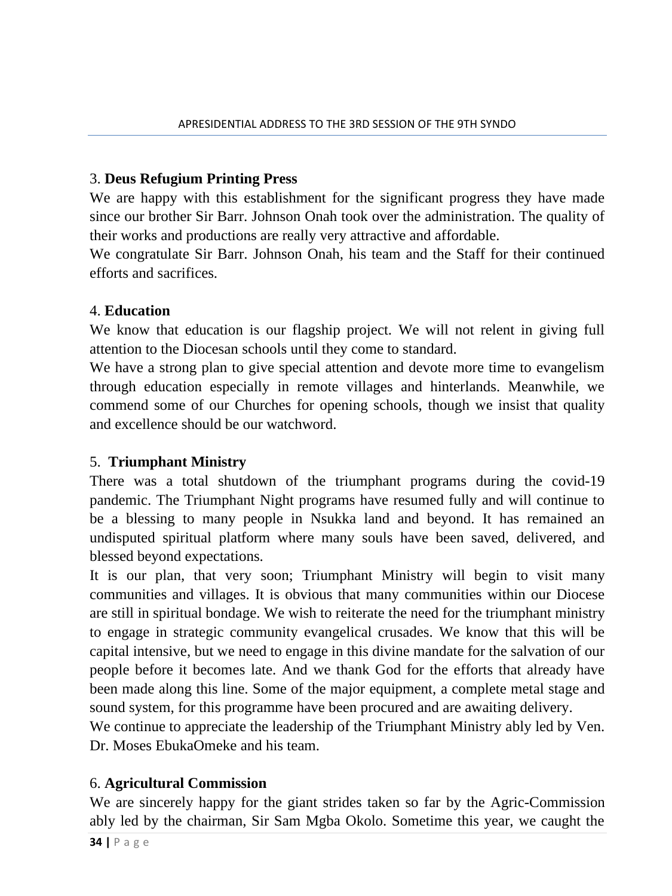### 3. **Deus Refugium Printing Press**

We are happy with this establishment for the significant progress they have made since our brother Sir Barr. Johnson Onah took over the administration. The quality of their works and productions are really very attractive and affordable.

We congratulate Sir Barr. Johnson Onah, his team and the Staff for their continued efforts and sacrifices.

### 4. **Education**

We know that education is our flagship project. We will not relent in giving full attention to the Diocesan schools until they come to standard.

We have a strong plan to give special attention and devote more time to evangelism through education especially in remote villages and hinterlands. Meanwhile, we commend some of our Churches for opening schools, though we insist that quality and excellence should be our watchword.

### 5. **Triumphant Ministry**

There was a total shutdown of the triumphant programs during the covid-19 pandemic. The Triumphant Night programs have resumed fully and will continue to be a blessing to many people in Nsukka land and beyond. It has remained an undisputed spiritual platform where many souls have been saved, delivered, and blessed beyond expectations.

It is our plan, that very soon; Triumphant Ministry will begin to visit many communities and villages. It is obvious that many communities within our Diocese are still in spiritual bondage. We wish to reiterate the need for the triumphant ministry to engage in strategic community evangelical crusades. We know that this will be capital intensive, but we need to engage in this divine mandate for the salvation of our people before it becomes late. And we thank God for the efforts that already have been made along this line. Some of the major equipment, a complete metal stage and sound system, for this programme have been procured and are awaiting delivery.

We continue to appreciate the leadership of the Triumphant Ministry ably led by Ven. Dr. Moses EbukaOmeke and his team.

#### 6. **Agricultural Commission**

We are sincerely happy for the giant strides taken so far by the Agric-Commission ably led by the chairman, Sir Sam Mgba Okolo. Sometime this year, we caught the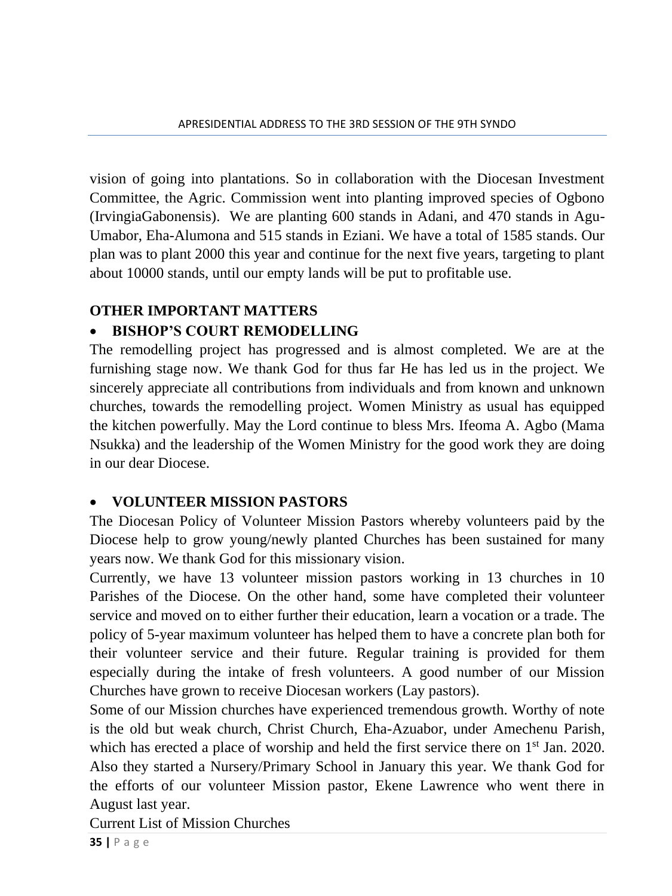vision of going into plantations. So in collaboration with the Diocesan Investment Committee, the Agric. Commission went into planting improved species of Ogbono (IrvingiaGabonensis). We are planting 600 stands in Adani, and 470 stands in Agu-Umabor, Eha-Alumona and 515 stands in Eziani. We have a total of 1585 stands. Our plan was to plant 2000 this year and continue for the next five years, targeting to plant about 10000 stands, until our empty lands will be put to profitable use.

## **OTHER IMPORTANT MATTERS**

## • **BISHOP'S COURT REMODELLING**

The remodelling project has progressed and is almost completed. We are at the furnishing stage now. We thank God for thus far He has led us in the project. We sincerely appreciate all contributions from individuals and from known and unknown churches, towards the remodelling project. Women Ministry as usual has equipped the kitchen powerfully. May the Lord continue to bless Mrs. Ifeoma A. Agbo (Mama Nsukka) and the leadership of the Women Ministry for the good work they are doing in our dear Diocese.

### • **VOLUNTEER MISSION PASTORS**

The Diocesan Policy of Volunteer Mission Pastors whereby volunteers paid by the Diocese help to grow young/newly planted Churches has been sustained for many years now. We thank God for this missionary vision.

Currently, we have 13 volunteer mission pastors working in 13 churches in 10 Parishes of the Diocese. On the other hand, some have completed their volunteer service and moved on to either further their education, learn a vocation or a trade. The policy of 5-year maximum volunteer has helped them to have a concrete plan both for their volunteer service and their future. Regular training is provided for them especially during the intake of fresh volunteers. A good number of our Mission Churches have grown to receive Diocesan workers (Lay pastors).

Some of our Mission churches have experienced tremendous growth. Worthy of note is the old but weak church, Christ Church, Eha-Azuabor, under Amechenu Parish, which has erected a place of worship and held the first service there on  $1<sup>st</sup>$  Jan. 2020. Also they started a Nursery/Primary School in January this year. We thank God for the efforts of our volunteer Mission pastor, Ekene Lawrence who went there in August last year.

Current List of Mission Churches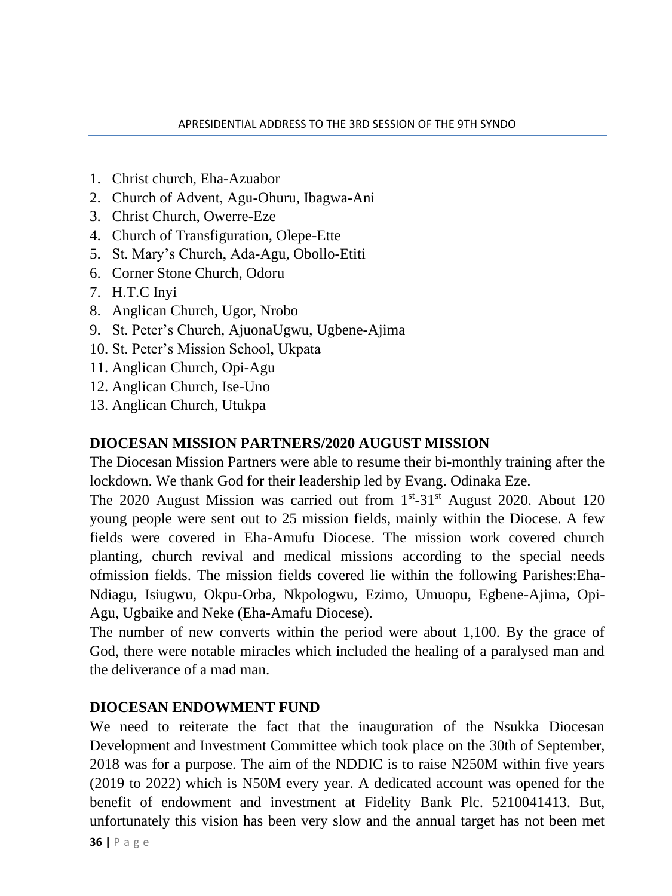- 1. Christ church, Eha-Azuabor
- 2. Church of Advent, Agu-Ohuru, Ibagwa-Ani
- 3. Christ Church, Owerre-Eze
- 4. Church of Transfiguration, Olepe-Ette
- 5. St. Mary's Church, Ada-Agu, Obollo-Etiti
- 6. Corner Stone Church, Odoru
- 7. H.T.C Inyi
- 8. Anglican Church, Ugor, Nrobo
- 9. St. Peter's Church, AjuonaUgwu, Ugbene-Ajima
- 10. St. Peter's Mission School, Ukpata
- 11. Anglican Church, Opi-Agu
- 12. Anglican Church, Ise-Uno
- 13. Anglican Church, Utukpa

### **DIOCESAN MISSION PARTNERS/2020 AUGUST MISSION**

The Diocesan Mission Partners were able to resume their bi-monthly training after the lockdown. We thank God for their leadership led by Evang. Odinaka Eze.

The 2020 August Mission was carried out from 1<sup>st</sup>-31<sup>st</sup> August 2020. About 120 young people were sent out to 25 mission fields, mainly within the Diocese. A few fields were covered in Eha-Amufu Diocese. The mission work covered church planting, church revival and medical missions according to the special needs ofmission fields. The mission fields covered lie within the following Parishes:Eha-Ndiagu, Isiugwu, Okpu-Orba, Nkpologwu, Ezimo, Umuopu, Egbene-Ajima, Opi-Agu, Ugbaike and Neke (Eha-Amafu Diocese).

The number of new converts within the period were about 1,100. By the grace of God, there were notable miracles which included the healing of a paralysed man and the deliverance of a mad man.

#### **DIOCESAN ENDOWMENT FUND**

We need to reiterate the fact that the inauguration of the Nsukka Diocesan Development and Investment Committee which took place on the 30th of September, 2018 was for a purpose. The aim of the NDDIC is to raise N250M within five years (2019 to 2022) which is N50M every year. A dedicated account was opened for the benefit of endowment and investment at Fidelity Bank Plc. 5210041413. But, unfortunately this vision has been very slow and the annual target has not been met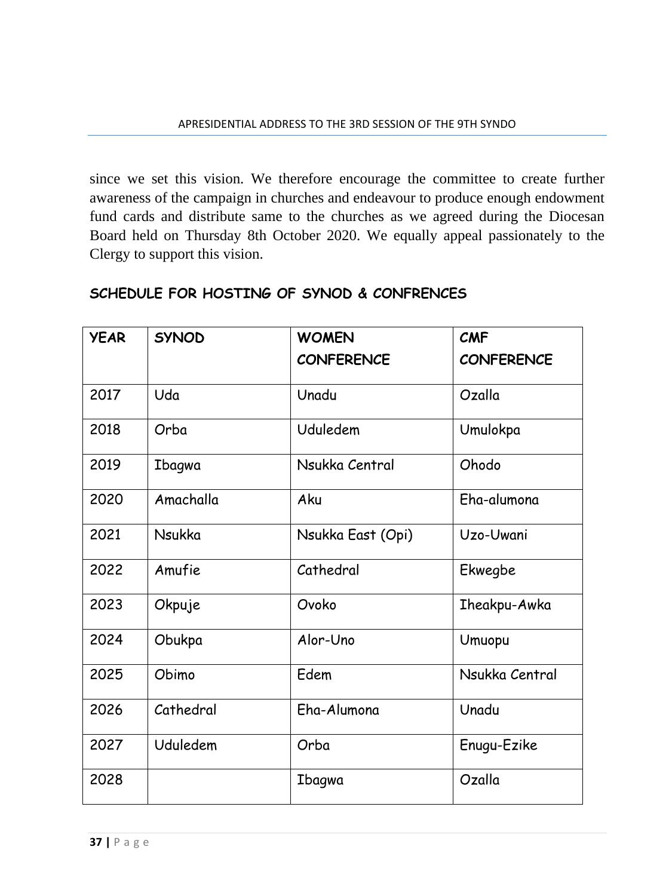since we set this vision. We therefore encourage the committee to create further awareness of the campaign in churches and endeavour to produce enough endowment fund cards and distribute same to the churches as we agreed during the Diocesan Board held on Thursday 8th October 2020. We equally appeal passionately to the Clergy to support this vision.

| <b>YEAR</b> | <b>SYNOD</b> | <b>WOMEN</b><br><b>CONFERENCE</b> | <b>CMF</b><br><b>CONFERENCE</b> |
|-------------|--------------|-----------------------------------|---------------------------------|
| 2017        | Uda          | Unadu                             | Ozalla                          |
| 2018        | Orba         | Uduledem                          | Umulokpa                        |
| 2019        | Ibagwa       | Nsukka Central                    | Ohodo                           |
| 2020        | Amachalla    | Aku                               | Eha-alumona                     |
| 2021        | Nsukka       | Nsukka East (Opi)                 | Uzo-Uwani                       |
| 2022        | Amufie       | Cathedral                         | Ekwegbe                         |
| 2023        | Okpuje       | Ovoko                             | <b>Theakpu-Awka</b>             |
| 2024        | Obukpa       | Alor-Uno                          | Umuopu                          |
| 2025        | Obimo        | Edem                              | Nsukka Central                  |
| 2026        | Cathedral    | Eha-Alumona                       | Unadu                           |
| 2027        | Uduledem     | Orba                              | Enugu-Ezike                     |
| 2028        |              | Ibagwa                            | Ozalla                          |

### **SCHEDULE FOR HOSTING OF SYNOD & CONFRENCES**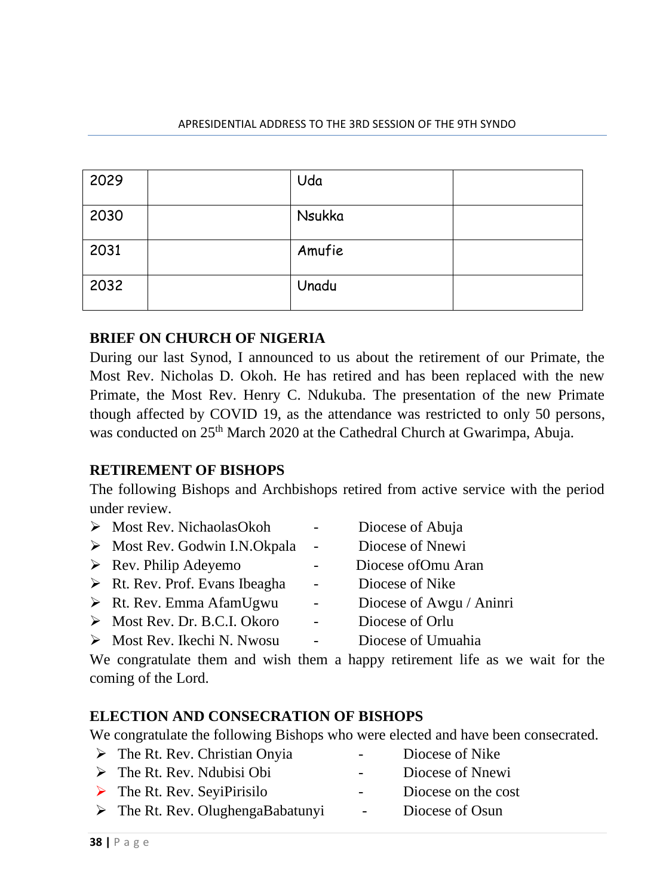#### APRESIDENTIAL ADDRESS TO THE 3RD SESSION OF THE 9TH SYNDO

| 2029 | Uda    |  |
|------|--------|--|
| 2030 | Nsukka |  |
| 2031 | Amufie |  |
| 2032 | Unadu  |  |

#### **BRIEF ON CHURCH OF NIGERIA**

During our last Synod, I announced to us about the retirement of our Primate, the Most Rev. Nicholas D. Okoh. He has retired and has been replaced with the new Primate, the Most Rev. Henry C. Ndukuba. The presentation of the new Primate though affected by COVID 19, as the attendance was restricted to only 50 persons, was conducted on 25<sup>th</sup> March 2020 at the Cathedral Church at Gwarimpa, Abuja.

#### **RETIREMENT OF BISHOPS**

The following Bishops and Archbishops retired from active service with the period under review.

| > Most Rev. NichaolasOkoh                     |                          | Diocese of Abuja         |
|-----------------------------------------------|--------------------------|--------------------------|
| $\triangleright$ Most Rev. Godwin I.N.Okpala  | $\sim$                   | Diocese of Nnewi         |
| $\triangleright$ Rev. Philip Adeyemo          |                          | Diocese of Omu Aran      |
| $\triangleright$ Rt. Rev. Prof. Evans Ibeagha | $\overline{\phantom{0}}$ | Diocese of Nike          |
| $\triangleright$ Rt. Rev. Emma AfamUgwu       | $\sim$ $-$               | Diocese of Awgu / Aninri |
| $\triangleright$ Most Rev. Dr. B.C.I. Okoro   |                          | Diocese of Orlu          |
| $\triangleright$ Most Rev. Ikechi N. Nwosu    |                          | Diocese of Umuahia       |

We congratulate them and wish them a happy retirement life as we wait for the coming of the Lord.

#### **ELECTION AND CONSECRATION OF BISHOPS**

We congratulate the following Bishops who were elected and have been consecrated.

| $\triangleright$ The Rt. Rev. Christian Onyia    | $\sim$ $\sim$    | Diocese of Nike     |
|--------------------------------------------------|------------------|---------------------|
| $\triangleright$ The Rt. Rev. Ndubisi Obi        | $\sim$ $\sim$    | Diocese of Nnewi    |
| $\triangleright$ The Rt. Rev. SeyiPirisilo       | $\sim$ 100 $\mu$ | Diocese on the cost |
| $\triangleright$ The Rt. Rev. OlughengaBabatunyi |                  | Diocese of Osun     |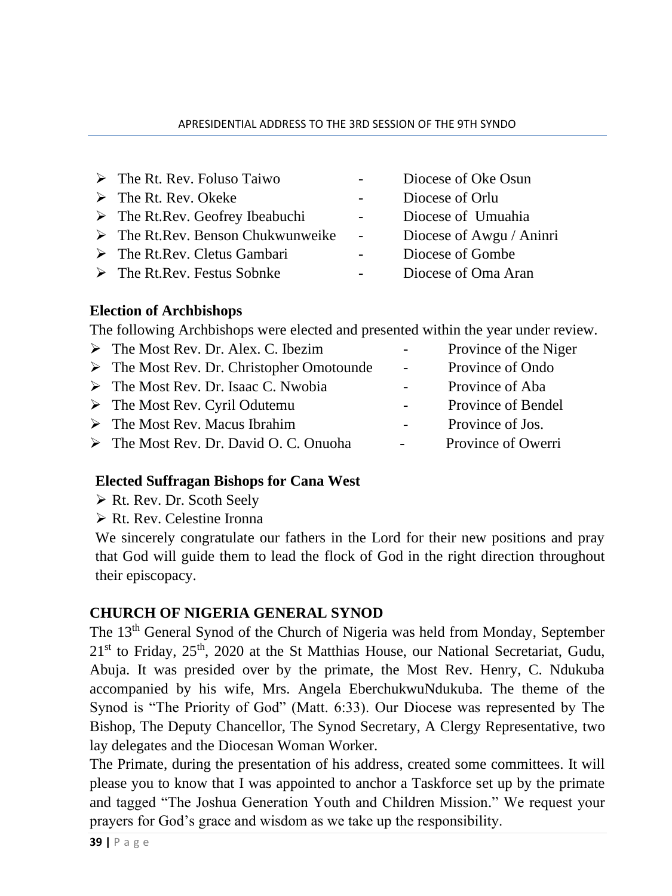#### APRESIDENTIAL ADDRESS TO THE 3RD SESSION OF THE 9TH SYNDO

- ➢ The Rt. Rev. Foluso Taiwo Diocese of Oke Osun
- ➢ The Rt. Rev. Okeke Diocese of Orlu
- ➢ The Rt.Rev. Geofrey Ibeabuchi Diocese of Umuahia
- ➢ The Rt.Rev. Benson Chukwunweike Diocese of Awgu / Aninri
- ➢ The Rt.Rev. Cletus Gambari Diocese of Gombe
- ➢ The Rt.Rev. Festus Sobnke Diocese of Oma Aran
- 
- 
- 
- 
- 
- 

## **Election of Archbishops**

The following Archbishops were elected and presented within the year under review.

➢ The Most Rev. Dr. Alex. C. Ibezim - Province of the Niger ➢ The Most Rev. Dr. Christopher Omotounde - Province of Ondo ➢ The Most Rev. Dr. Isaac C. Nwobia - Province of Aba ➢ The Most Rev. Cyril Odutemu - Province of Bendel ➢ The Most Rev. Macus Ibrahim - Province of Jos. ➢ The Most Rev. Dr. David O. C. Onuoha - Province of Owerri

## **Elected Suffragan Bishops for Cana West**

- ➢ Rt. Rev. Dr. Scoth Seely
- ➢ Rt. Rev. Celestine Ironna

We sincerely congratulate our fathers in the Lord for their new positions and pray that God will guide them to lead the flock of God in the right direction throughout their episcopacy.

## **CHURCH OF NIGERIA GENERAL SYNOD**

The 13<sup>th</sup> General Synod of the Church of Nigeria was held from Monday, September  $21<sup>st</sup>$  to Friday,  $25<sup>th</sup>$ ,  $2020$  at the St Matthias House, our National Secretariat, Gudu, Abuja. It was presided over by the primate, the Most Rev. Henry, C. Ndukuba accompanied by his wife, Mrs. Angela EberchukwuNdukuba. The theme of the Synod is "The Priority of God" (Matt. 6:33). Our Diocese was represented by The Bishop, The Deputy Chancellor, The Synod Secretary, A Clergy Representative, two lay delegates and the Diocesan Woman Worker.

The Primate, during the presentation of his address, created some committees. It will please you to know that I was appointed to anchor a Taskforce set up by the primate and tagged "The Joshua Generation Youth and Children Mission." We request your prayers for God's grace and wisdom as we take up the responsibility.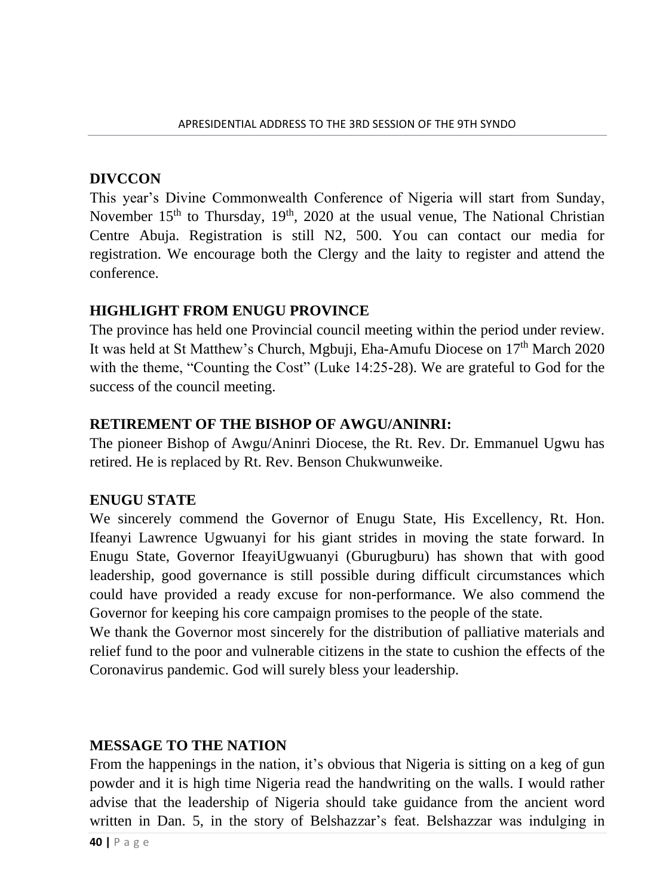#### **DIVCCON**

This year's Divine Commonwealth Conference of Nigeria will start from Sunday, November  $15<sup>th</sup>$  to Thursday,  $19<sup>th</sup>$ , 2020 at the usual venue, The National Christian Centre Abuja. Registration is still N2, 500. You can contact our media for registration. We encourage both the Clergy and the laity to register and attend the conference.

#### **HIGHLIGHT FROM ENUGU PROVINCE**

The province has held one Provincial council meeting within the period under review. It was held at St Matthew's Church, Mgbuji, Eha-Amufu Diocese on 17th March 2020 with the theme, "Counting the Cost" (Luke 14:25-28). We are grateful to God for the success of the council meeting.

#### **RETIREMENT OF THE BISHOP OF AWGU/ANINRI:**

The pioneer Bishop of Awgu/Aninri Diocese, the Rt. Rev. Dr. Emmanuel Ugwu has retired. He is replaced by Rt. Rev. Benson Chukwunweike.

#### **ENUGU STATE**

We sincerely commend the Governor of Enugu State, His Excellency, Rt. Hon. Ifeanyi Lawrence Ugwuanyi for his giant strides in moving the state forward. In Enugu State, Governor IfeayiUgwuanyi (Gburugburu) has shown that with good leadership, good governance is still possible during difficult circumstances which could have provided a ready excuse for non-performance. We also commend the Governor for keeping his core campaign promises to the people of the state.

We thank the Governor most sincerely for the distribution of palliative materials and relief fund to the poor and vulnerable citizens in the state to cushion the effects of the Coronavirus pandemic. God will surely bless your leadership.

#### **MESSAGE TO THE NATION**

From the happenings in the nation, it's obvious that Nigeria is sitting on a keg of gun powder and it is high time Nigeria read the handwriting on the walls. I would rather advise that the leadership of Nigeria should take guidance from the ancient word written in Dan. 5, in the story of Belshazzar's feat. Belshazzar was indulging in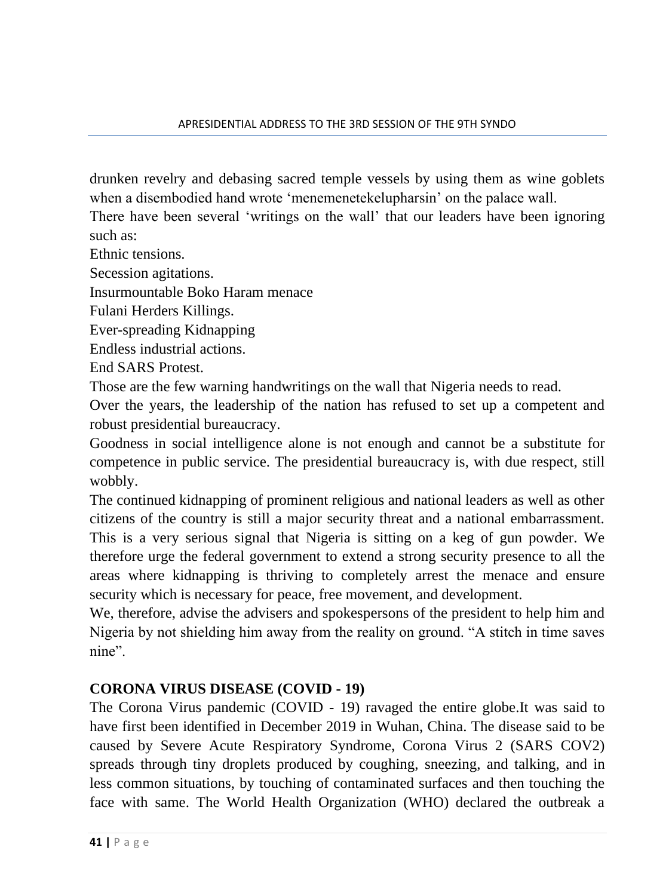drunken revelry and debasing sacred temple vessels by using them as wine goblets when a disembodied hand wrote 'menemenetekelupharsin' on the palace wall.

There have been several 'writings on the wall' that our leaders have been ignoring such as:

Ethnic tensions.

Secession agitations.

Insurmountable Boko Haram menace

Fulani Herders Killings.

Ever-spreading Kidnapping

Endless industrial actions.

End SARS Protest.

Those are the few warning handwritings on the wall that Nigeria needs to read.

Over the years, the leadership of the nation has refused to set up a competent and robust presidential bureaucracy.

Goodness in social intelligence alone is not enough and cannot be a substitute for competence in public service. The presidential bureaucracy is, with due respect, still wobbly.

The continued kidnapping of prominent religious and national leaders as well as other citizens of the country is still a major security threat and a national embarrassment. This is a very serious signal that Nigeria is sitting on a keg of gun powder. We therefore urge the federal government to extend a strong security presence to all the areas where kidnapping is thriving to completely arrest the menace and ensure security which is necessary for peace, free movement, and development.

We, therefore, advise the advisers and spokespersons of the president to help him and Nigeria by not shielding him away from the reality on ground. "A stitch in time saves nine".

### **CORONA VIRUS DISEASE (COVID - 19)**

The Corona Virus pandemic (COVID - 19) ravaged the entire globe.It was said to have first been identified in December 2019 in Wuhan, China. The disease said to be caused by Severe Acute Respiratory Syndrome, Corona Virus 2 (SARS COV2) spreads through tiny droplets produced by coughing, sneezing, and talking, and in less common situations, by touching of contaminated surfaces and then touching the face with same. The World Health Organization (WHO) declared the outbreak a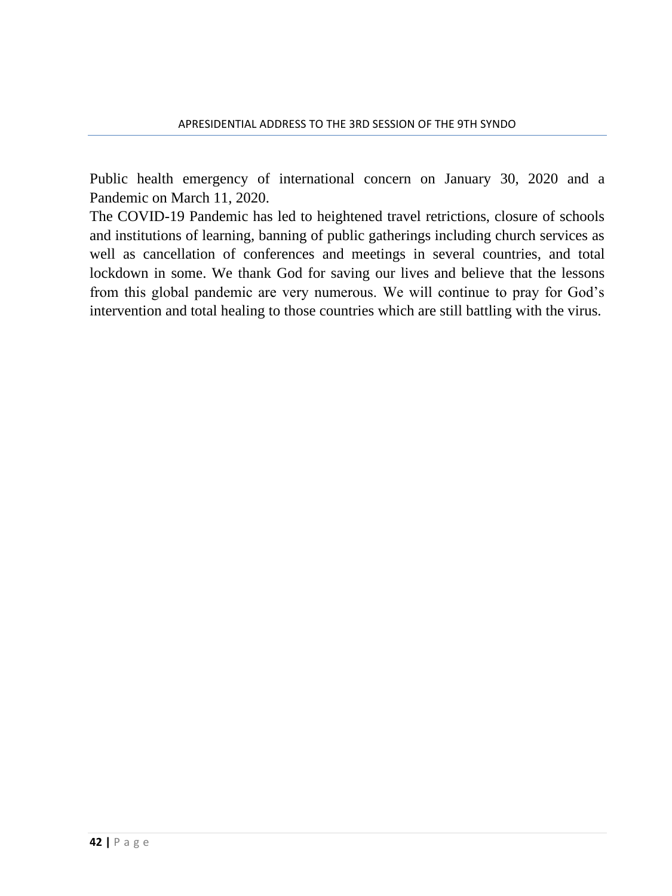Public health emergency of international concern on January 30, 2020 and a Pandemic on March 11, 2020.

The COVID-19 Pandemic has led to heightened travel retrictions, closure of schools and institutions of learning, banning of public gatherings including church services as well as cancellation of conferences and meetings in several countries, and total lockdown in some. We thank God for saving our lives and believe that the lessons from this global pandemic are very numerous. We will continue to pray for God's intervention and total healing to those countries which are still battling with the virus.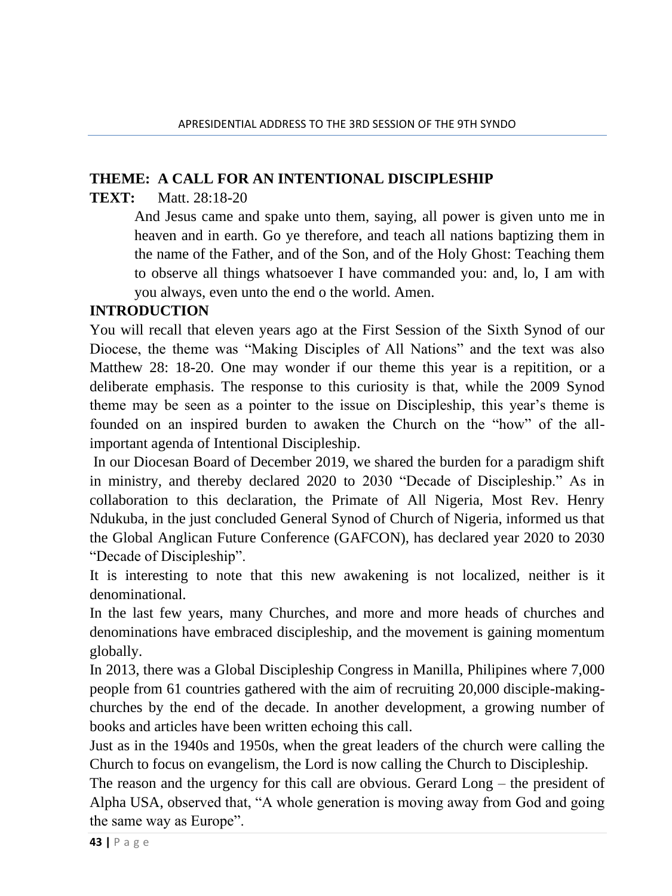#### **THEME: A CALL FOR AN INTENTIONAL DISCIPLESHIP**

### **TEXT:** Matt. 28:18-20

And Jesus came and spake unto them, saying, all power is given unto me in heaven and in earth. Go ye therefore, and teach all nations baptizing them in the name of the Father, and of the Son, and of the Holy Ghost: Teaching them to observe all things whatsoever I have commanded you: and, lo, I am with you always, even unto the end o the world. Amen.

### **INTRODUCTION**

You will recall that eleven years ago at the First Session of the Sixth Synod of our Diocese, the theme was "Making Disciples of All Nations" and the text was also Matthew 28: 18-20. One may wonder if our theme this year is a repitition, or a deliberate emphasis. The response to this curiosity is that, while the 2009 Synod theme may be seen as a pointer to the issue on Discipleship, this year's theme is founded on an inspired burden to awaken the Church on the "how" of the allimportant agenda of Intentional Discipleship.

In our Diocesan Board of December 2019, we shared the burden for a paradigm shift in ministry, and thereby declared 2020 to 2030 "Decade of Discipleship." As in collaboration to this declaration, the Primate of All Nigeria, Most Rev. Henry Ndukuba, in the just concluded General Synod of Church of Nigeria, informed us that the Global Anglican Future Conference (GAFCON), has declared year 2020 to 2030 "Decade of Discipleship".

It is interesting to note that this new awakening is not localized, neither is it denominational.

In the last few years, many Churches, and more and more heads of churches and denominations have embraced discipleship, and the movement is gaining momentum globally.

In 2013, there was a Global Discipleship Congress in Manilla, Philipines where 7,000 people from 61 countries gathered with the aim of recruiting 20,000 disciple-makingchurches by the end of the decade. In another development, a growing number of books and articles have been written echoing this call.

Just as in the 1940s and 1950s, when the great leaders of the church were calling the Church to focus on evangelism, the Lord is now calling the Church to Discipleship.

The reason and the urgency for this call are obvious. Gerard Long – the president of Alpha USA, observed that, "A whole generation is moving away from God and going the same way as Europe".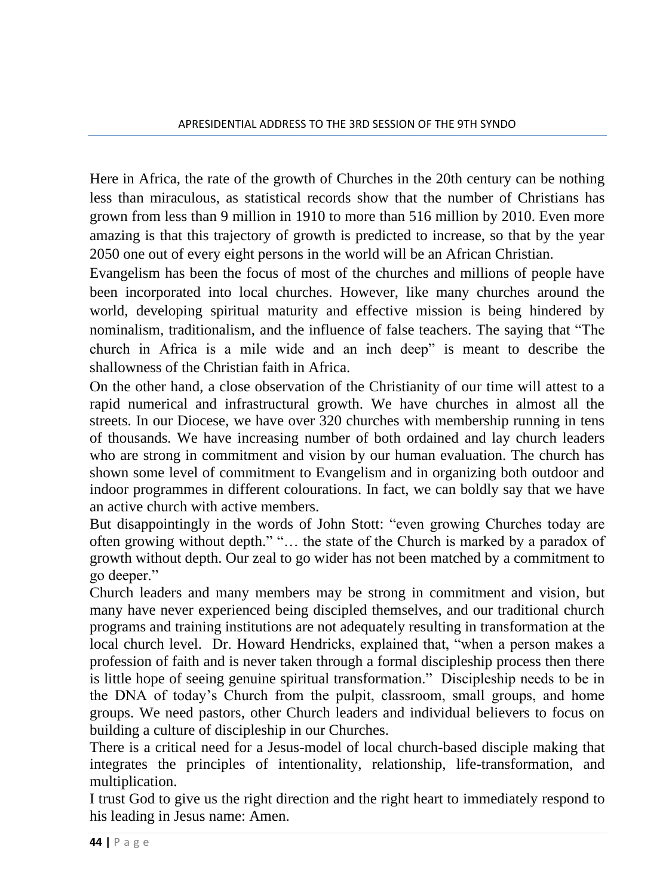Here in Africa, the rate of the growth of Churches in the 20th century can be nothing less than miraculous, as statistical records show that the number of Christians has grown from less than 9 million in 1910 to more than 516 million by 2010. Even more amazing is that this trajectory of growth is predicted to increase, so that by the year 2050 one out of every eight persons in the world will be an African Christian.

Evangelism has been the focus of most of the churches and millions of people have been incorporated into local churches. However, like many churches around the world, developing spiritual maturity and effective mission is being hindered by nominalism, traditionalism, and the influence of false teachers. The saying that "The church in Africa is a mile wide and an inch deep" is meant to describe the shallowness of the Christian faith in Africa.

On the other hand, a close observation of the Christianity of our time will attest to a rapid numerical and infrastructural growth. We have churches in almost all the streets. In our Diocese, we have over 320 churches with membership running in tens of thousands. We have increasing number of both ordained and lay church leaders who are strong in commitment and vision by our human evaluation. The church has shown some level of commitment to Evangelism and in organizing both outdoor and indoor programmes in different colourations. In fact, we can boldly say that we have an active church with active members.

But disappointingly in the words of John Stott: "even growing Churches today are often growing without depth." "… the state of the Church is marked by a paradox of growth without depth. Our zeal to go wider has not been matched by a commitment to go deeper."

Church leaders and many members may be strong in commitment and vision, but many have never experienced being discipled themselves, and our traditional church programs and training institutions are not adequately resulting in transformation at the local church level. Dr. Howard Hendricks, explained that, "when a person makes a profession of faith and is never taken through a formal discipleship process then there is little hope of seeing genuine spiritual transformation." Discipleship needs to be in the DNA of today's Church from the pulpit, classroom, small groups, and home groups. We need pastors, other Church leaders and individual believers to focus on building a culture of discipleship in our Churches.

There is a critical need for a Jesus-model of local church-based disciple making that integrates the principles of intentionality, relationship, life-transformation, and multiplication.

I trust God to give us the right direction and the right heart to immediately respond to his leading in Jesus name: Amen.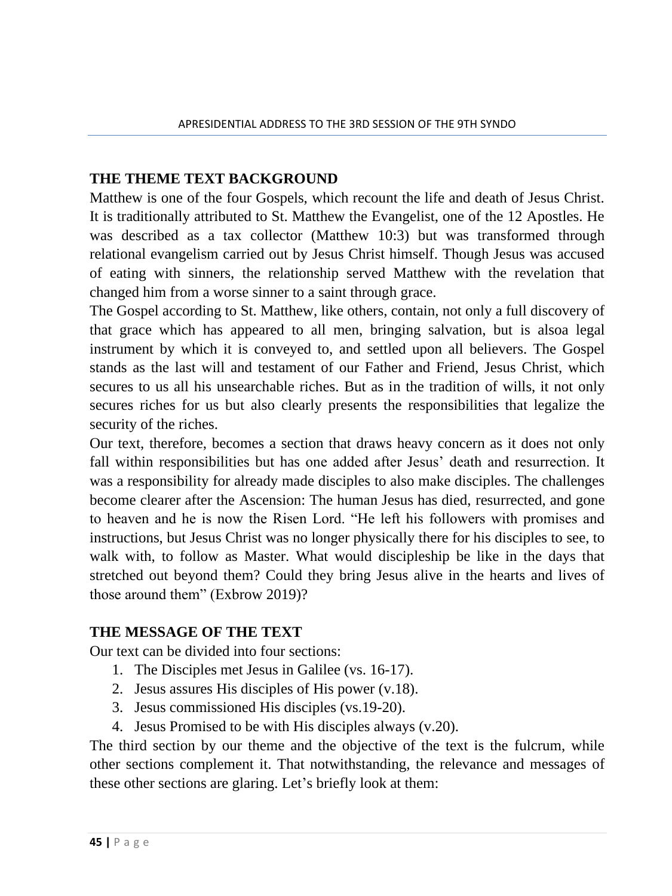#### **THE THEME TEXT BACKGROUND**

Matthew is one of the four Gospels, which recount the life and death of Jesus Christ. It is traditionally attributed to St. Matthew the Evangelist, one of the 12 Apostles. He was described as a tax collector (Matthew 10:3) but was transformed through relational evangelism carried out by Jesus Christ himself. Though Jesus was accused of eating with sinners, the relationship served Matthew with the revelation that changed him from a worse sinner to a saint through grace.

The Gospel according to St. Matthew, like others, contain, not only a full discovery of that grace which has appeared to all men, bringing salvation, but is alsoa legal instrument by which it is conveyed to, and settled upon all believers. The Gospel stands as the last will and testament of our Father and Friend, Jesus Christ, which secures to us all his unsearchable riches. But as in the tradition of wills, it not only secures riches for us but also clearly presents the responsibilities that legalize the security of the riches.

Our text, therefore, becomes a section that draws heavy concern as it does not only fall within responsibilities but has one added after Jesus' death and resurrection. It was a responsibility for already made disciples to also make disciples. The challenges become clearer after the Ascension: The human Jesus has died, resurrected, and gone to heaven and he is now the Risen Lord. "He left his followers with promises and instructions, but Jesus Christ was no longer physically there for his disciples to see, to walk with, to follow as Master. What would discipleship be like in the days that stretched out beyond them? Could they bring Jesus alive in the hearts and lives of those around them" (Exbrow 2019)?

#### **THE MESSAGE OF THE TEXT**

Our text can be divided into four sections:

- 1. The Disciples met Jesus in Galilee (vs. 16-17).
- 2. Jesus assures His disciples of His power (v.18).
- 3. Jesus commissioned His disciples (vs.19-20).
- 4. Jesus Promised to be with His disciples always (v.20).

The third section by our theme and the objective of the text is the fulcrum, while other sections complement it. That notwithstanding, the relevance and messages of these other sections are glaring. Let's briefly look at them: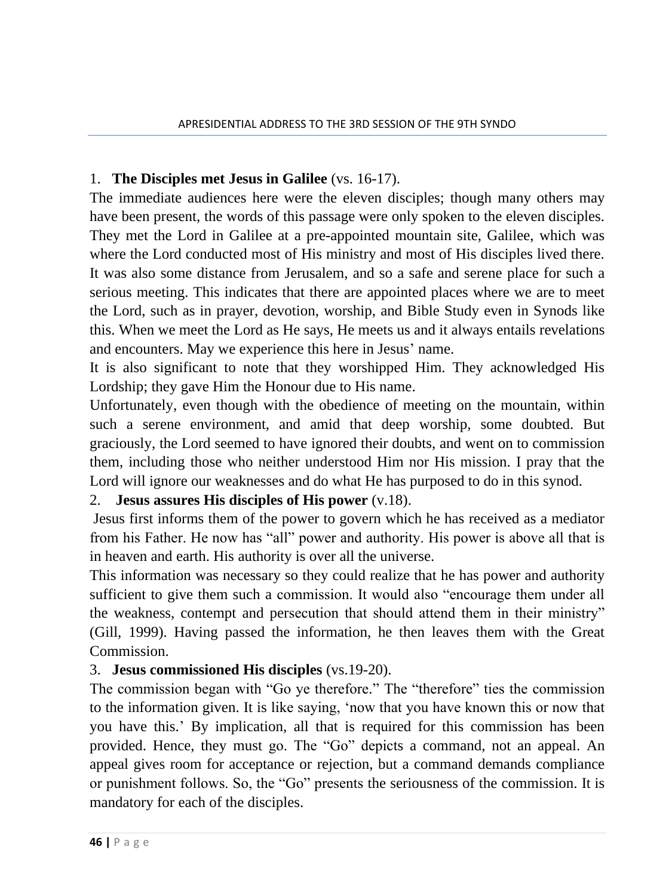### 1. **The Disciples met Jesus in Galilee** (vs. 16-17).

The immediate audiences here were the eleven disciples; though many others may have been present, the words of this passage were only spoken to the eleven disciples. They met the Lord in Galilee at a pre-appointed mountain site, Galilee, which was where the Lord conducted most of His ministry and most of His disciples lived there. It was also some distance from Jerusalem, and so a safe and serene place for such a serious meeting. This indicates that there are appointed places where we are to meet the Lord, such as in prayer, devotion, worship, and Bible Study even in Synods like this. When we meet the Lord as He says, He meets us and it always entails revelations and encounters. May we experience this here in Jesus' name.

It is also significant to note that they worshipped Him. They acknowledged His Lordship; they gave Him the Honour due to His name.

Unfortunately, even though with the obedience of meeting on the mountain, within such a serene environment, and amid that deep worship, some doubted. But graciously, the Lord seemed to have ignored their doubts, and went on to commission them, including those who neither understood Him nor His mission. I pray that the Lord will ignore our weaknesses and do what He has purposed to do in this synod.

### 2. **Jesus assures His disciples of His power** (v.18).

Jesus first informs them of the power to govern which he has received as a mediator from his Father. He now has "all" power and authority. His power is above all that is in heaven and earth. His authority is over all the universe.

This information was necessary so they could realize that he has power and authority sufficient to give them such a commission. It would also "encourage them under all the weakness, contempt and persecution that should attend them in their ministry" (Gill, 1999). Having passed the information, he then leaves them with the Great Commission.

### 3. **Jesus commissioned His disciples** (vs.19-20).

The commission began with "Go ye therefore." The "therefore" ties the commission to the information given. It is like saying, 'now that you have known this or now that you have this.' By implication, all that is required for this commission has been provided. Hence, they must go. The "Go" depicts a command, not an appeal. An appeal gives room for acceptance or rejection, but a command demands compliance or punishment follows. So, the "Go" presents the seriousness of the commission. It is mandatory for each of the disciples.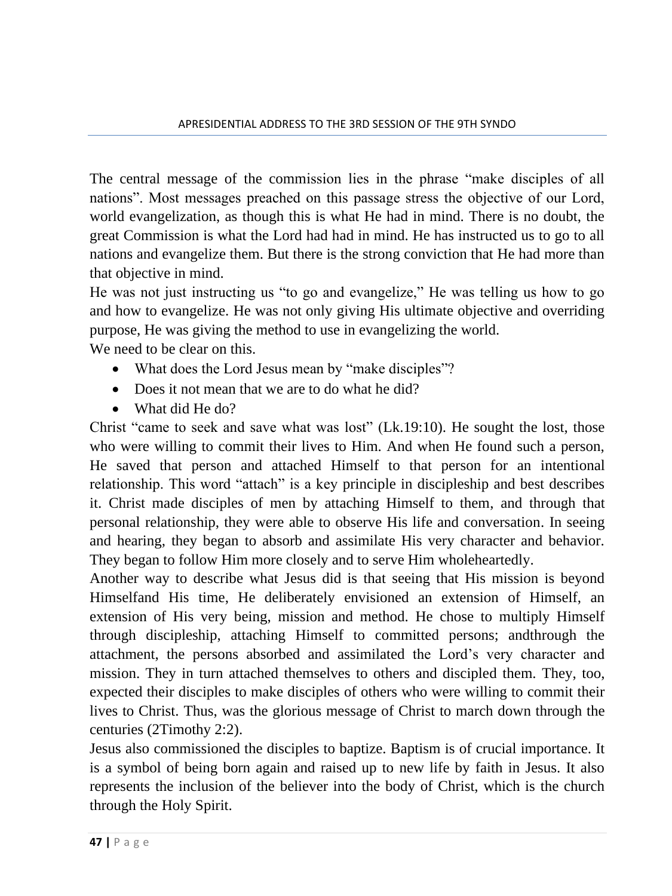The central message of the commission lies in the phrase "make disciples of all nations". Most messages preached on this passage stress the objective of our Lord, world evangelization, as though this is what He had in mind. There is no doubt, the great Commission is what the Lord had had in mind. He has instructed us to go to all nations and evangelize them. But there is the strong conviction that He had more than that objective in mind.

He was not just instructing us "to go and evangelize," He was telling us how to go and how to evangelize. He was not only giving His ultimate objective and overriding purpose, He was giving the method to use in evangelizing the world.

We need to be clear on this.

- What does the Lord Jesus mean by "make disciples"?
- Does it not mean that we are to do what he did?
- What did He do?

Christ "came to seek and save what was lost" (Lk.19:10). He sought the lost, those who were willing to commit their lives to Him. And when He found such a person, He saved that person and attached Himself to that person for an intentional relationship. This word "attach" is a key principle in discipleship and best describes it. Christ made disciples of men by attaching Himself to them, and through that personal relationship, they were able to observe His life and conversation. In seeing and hearing, they began to absorb and assimilate His very character and behavior. They began to follow Him more closely and to serve Him wholeheartedly.

Another way to describe what Jesus did is that seeing that His mission is beyond Himselfand His time, He deliberately envisioned an extension of Himself, an extension of His very being, mission and method. He chose to multiply Himself through discipleship, attaching Himself to committed persons; andthrough the attachment, the persons absorbed and assimilated the Lord's very character and mission. They in turn attached themselves to others and discipled them. They, too, expected their disciples to make disciples of others who were willing to commit their lives to Christ. Thus, was the glorious message of Christ to march down through the centuries (2Timothy 2:2).

Jesus also commissioned the disciples to baptize. Baptism is of crucial importance. It is a symbol of being born again and raised up to new life by faith in Jesus. It also represents the inclusion of the believer into the body of Christ, which is the church through the Holy Spirit.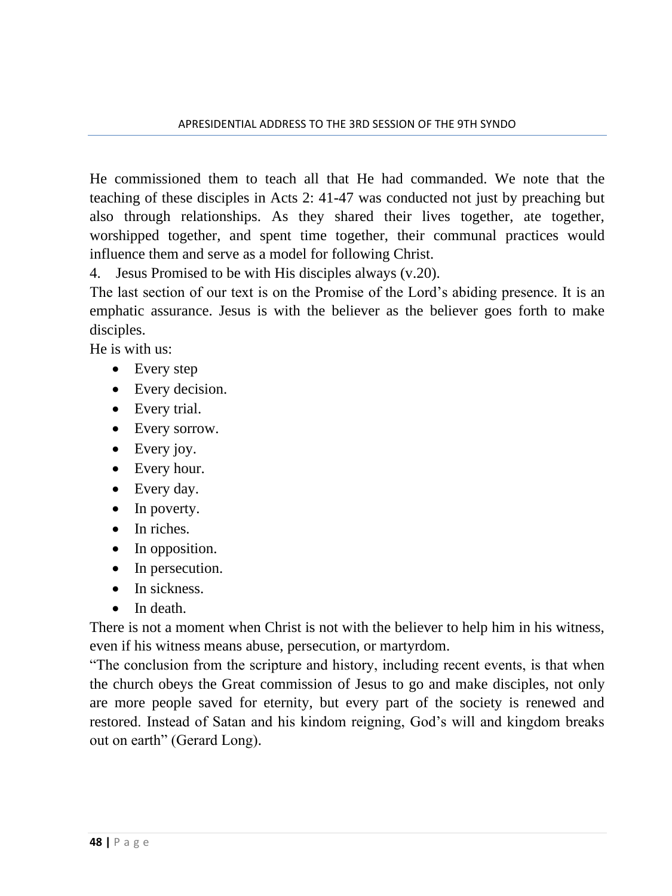He commissioned them to teach all that He had commanded. We note that the teaching of these disciples in Acts 2: 41-47 was conducted not just by preaching but also through relationships. As they shared their lives together, ate together, worshipped together, and spent time together, their communal practices would influence them and serve as a model for following Christ.

4. Jesus Promised to be with His disciples always (v.20).

The last section of our text is on the Promise of the Lord's abiding presence. It is an emphatic assurance. Jesus is with the believer as the believer goes forth to make disciples.

He is with us:

- Every step
- Every decision.
- Every trial.
- Every sorrow.
- Every joy.
- Every hour.
- Every day.
- In poverty.
- In riches.
- In opposition.
- In persecution.
- In sickness.
- In death.

There is not a moment when Christ is not with the believer to help him in his witness, even if his witness means abuse, persecution, or martyrdom.

"The conclusion from the scripture and history, including recent events, is that when the church obeys the Great commission of Jesus to go and make disciples, not only are more people saved for eternity, but every part of the society is renewed and restored. Instead of Satan and his kindom reigning, God's will and kingdom breaks out on earth" (Gerard Long).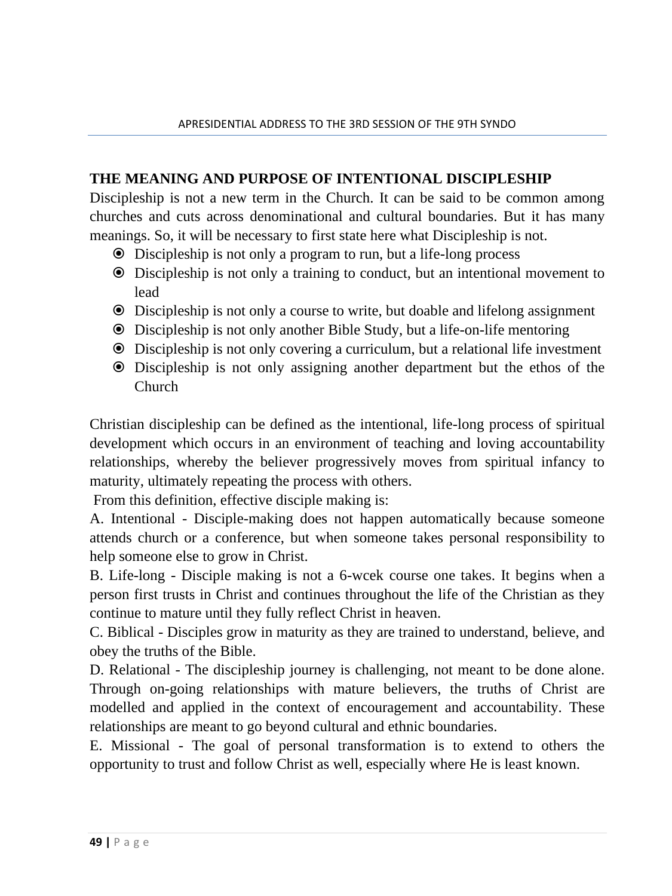### **THE MEANING AND PURPOSE OF INTENTIONAL DISCIPLESHIP**

Discipleship is not a new term in the Church. It can be said to be common among churches and cuts across denominational and cultural boundaries. But it has many meanings. So, it will be necessary to first state here what Discipleship is not.

- Discipleship is not only a program to run, but a life-long process
- Discipleship is not only a training to conduct, but an intentional movement to lead
- Discipleship is not only a course to write, but doable and lifelong assignment
- Discipleship is not only another Bible Study, but a life-on-life mentoring
- Discipleship is not only covering a curriculum, but a relational life investment
- Discipleship is not only assigning another department but the ethos of the Church

Christian discipleship can be defined as the intentional, life-long process of spiritual development which occurs in an environment of teaching and loving accountability relationships, whereby the believer progressively moves from spiritual infancy to maturity, ultimately repeating the process with others.

From this definition, effective disciple making is:

A. Intentional - Disciple-making does not happen automatically because someone attends church or a conference, but when someone takes personal responsibility to help someone else to grow in Christ.

B. Life-long - Disciple making is not a 6-wcek course one takes. It begins when a person first trusts in Christ and continues throughout the life of the Christian as they continue to mature until they fully reflect Christ in heaven.

C. Biblical - Disciples grow in maturity as they are trained to understand, believe, and obey the truths of the Bible.

D. Relational - The discipleship journey is challenging, not meant to be done alone. Through on-going relationships with mature believers, the truths of Christ are modelled and applied in the context of encouragement and accountability. These relationships are meant to go beyond cultural and ethnic boundaries.

E. Missional - The goal of personal transformation is to extend to others the opportunity to trust and follow Christ as well, especially where He is least known.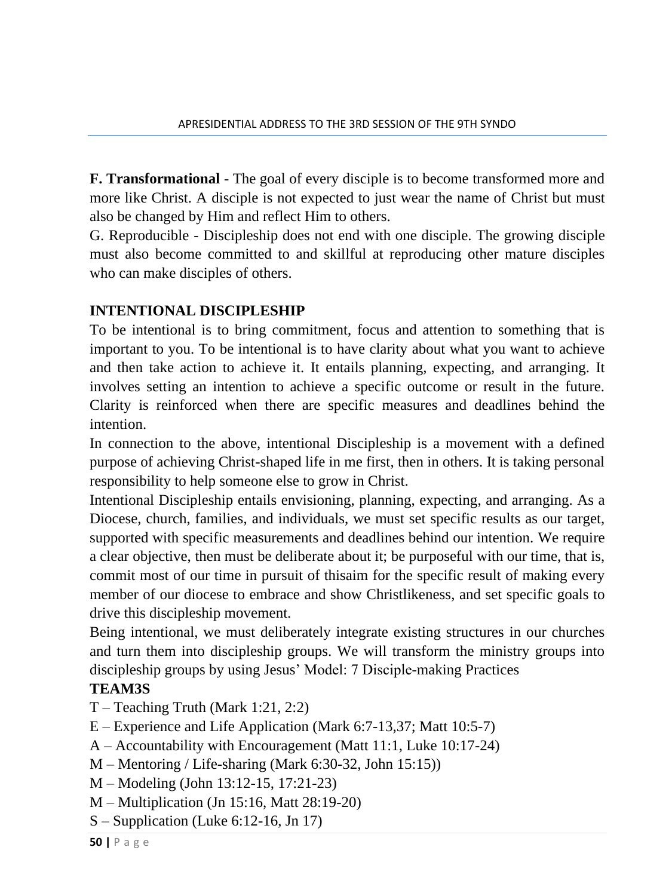**F. Transformational** - The goal of every disciple is to become transformed more and more like Christ. A disciple is not expected to just wear the name of Christ but must also be changed by Him and reflect Him to others.

G. Reproducible - Discipleship does not end with one disciple. The growing disciple must also become committed to and skillful at reproducing other mature disciples who can make disciples of others.

## **INTENTIONAL DISCIPLESHIP**

To be intentional is to bring commitment, focus and attention to something that is important to you. To be intentional is to have clarity about what you want to achieve and then take action to achieve it. It entails planning, expecting, and arranging. It involves setting an intention to achieve a specific outcome or result in the future. Clarity is reinforced when there are specific measures and deadlines behind the intention.

In connection to the above, intentional Discipleship is a movement with a defined purpose of achieving Christ-shaped life in me first, then in others. It is taking personal responsibility to help someone else to grow in Christ.

Intentional Discipleship entails envisioning, planning, expecting, and arranging. As a Diocese, church, families, and individuals, we must set specific results as our target, supported with specific measurements and deadlines behind our intention. We require a clear objective, then must be deliberate about it; be purposeful with our time, that is, commit most of our time in pursuit of thisaim for the specific result of making every member of our diocese to embrace and show Christlikeness, and set specific goals to drive this discipleship movement.

Being intentional, we must deliberately integrate existing structures in our churches and turn them into discipleship groups. We will transform the ministry groups into discipleship groups by using Jesus' Model: 7 Disciple-making Practices

### **TEAM3S**

- $T Teaching Truth (Mark 1:21, 2:2)$
- E Experience and Life Application (Mark 6:7-13,37; Matt 10:5-7)
- A Accountability with Encouragement (Matt 11:1, Luke 10:17-24)
- M Mentoring / Life-sharing (Mark 6:30-32, John 15:15))
- M Modeling (John 13:12-15, 17:21-23)
- M Multiplication (Jn 15:16, Matt 28:19-20)
- S Supplication (Luke 6:12-16, Jn 17)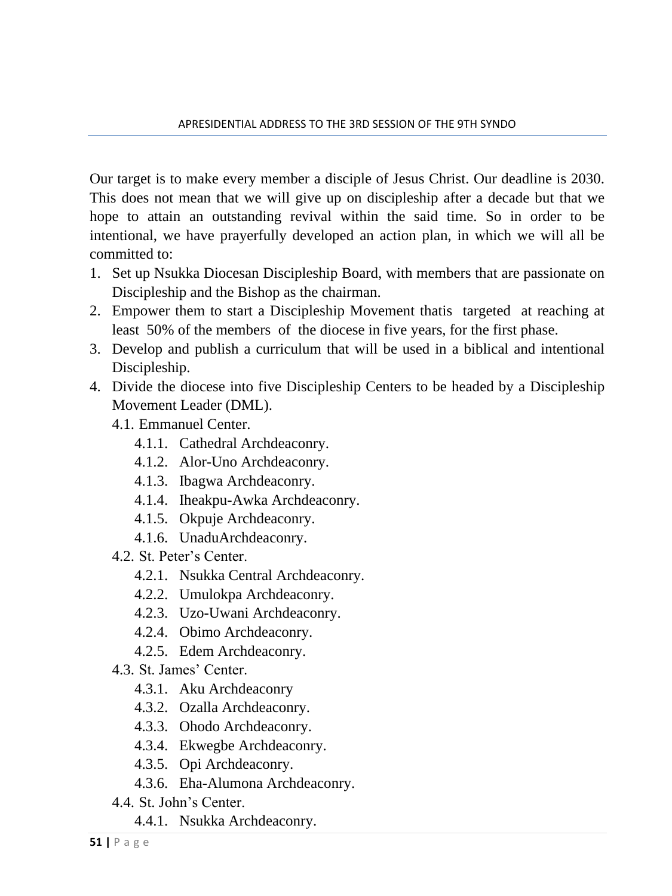Our target is to make every member a disciple of Jesus Christ. Our deadline is 2030. This does not mean that we will give up on discipleship after a decade but that we hope to attain an outstanding revival within the said time. So in order to be intentional, we have prayerfully developed an action plan, in which we will all be committed to:

- 1. Set up Nsukka Diocesan Discipleship Board, with members that are passionate on Discipleship and the Bishop as the chairman.
- 2. Empower them to start a Discipleship Movement thatis targeted at reaching at least 50% of the members of the diocese in five years, for the first phase.
- 3. Develop and publish a curriculum that will be used in a biblical and intentional Discipleship.
- 4. Divide the diocese into five Discipleship Centers to be headed by a Discipleship Movement Leader (DML).
	- 4.1. Emmanuel Center.
		- 4.1.1. Cathedral Archdeaconry.
		- 4.1.2. Alor-Uno Archdeaconry.
		- 4.1.3. Ibagwa Archdeaconry.
		- 4.1.4. Iheakpu-Awka Archdeaconry.
		- 4.1.5. Okpuje Archdeaconry.
		- 4.1.6. UnaduArchdeaconry.
	- 4.2. St. Peter's Center.
		- 4.2.1. Nsukka Central Archdeaconry.
		- 4.2.2. Umulokpa Archdeaconry.
		- 4.2.3. Uzo-Uwani Archdeaconry.
		- 4.2.4. Obimo Archdeaconry.
		- 4.2.5. Edem Archdeaconry.
	- 4.3. St. James' Center.
		- 4.3.1. Aku Archdeaconry
		- 4.3.2. Ozalla Archdeaconry.
		- 4.3.3. Ohodo Archdeaconry.
		- 4.3.4. Ekwegbe Archdeaconry.
		- 4.3.5. Opi Archdeaconry.
		- 4.3.6. Eha-Alumona Archdeaconry.
	- 4.4. St. John's Center.
		- 4.4.1. Nsukka Archdeaconry.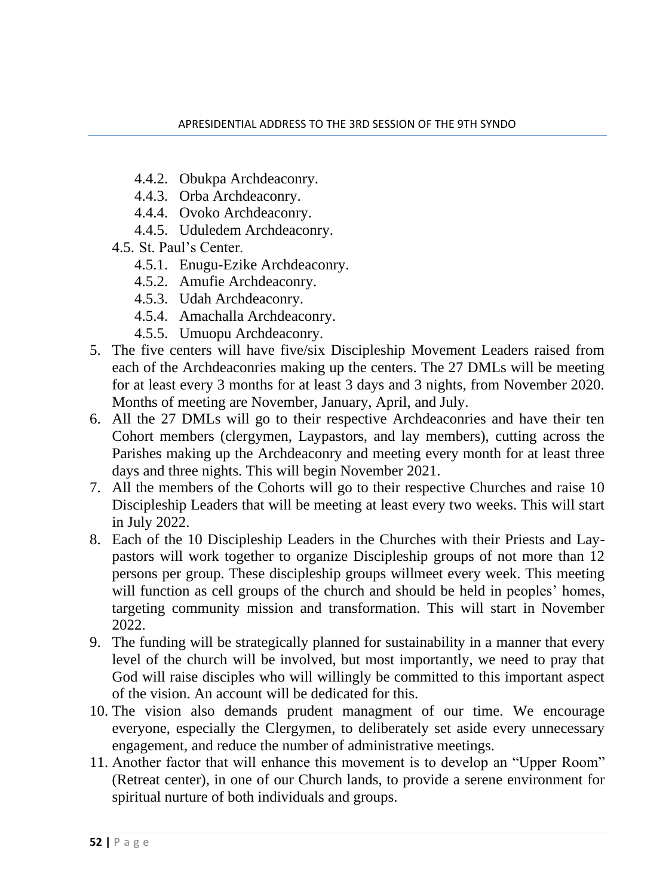- 4.4.2. Obukpa Archdeaconry.
- 4.4.3. Orba Archdeaconry.
- 4.4.4. Ovoko Archdeaconry.
- 4.4.5. Uduledem Archdeaconry.
- 4.5. St. Paul's Center.
	- 4.5.1. Enugu-Ezike Archdeaconry.
	- 4.5.2. Amufie Archdeaconry.
	- 4.5.3. Udah Archdeaconry.
	- 4.5.4. Amachalla Archdeaconry.
	- 4.5.5. Umuopu Archdeaconry.
- 5. The five centers will have five/six Discipleship Movement Leaders raised from each of the Archdeaconries making up the centers. The 27 DMLs will be meeting for at least every 3 months for at least 3 days and 3 nights, from November 2020. Months of meeting are November, January, April, and July.
- 6. All the 27 DMLs will go to their respective Archdeaconries and have their ten Cohort members (clergymen, Laypastors, and lay members), cutting across the Parishes making up the Archdeaconry and meeting every month for at least three days and three nights. This will begin November 2021.
- 7. All the members of the Cohorts will go to their respective Churches and raise 10 Discipleship Leaders that will be meeting at least every two weeks. This will start in July 2022.
- 8. Each of the 10 Discipleship Leaders in the Churches with their Priests and Laypastors will work together to organize Discipleship groups of not more than 12 persons per group. These discipleship groups willmeet every week. This meeting will function as cell groups of the church and should be held in peoples' homes, targeting community mission and transformation. This will start in November 2022.
- 9. The funding will be strategically planned for sustainability in a manner that every level of the church will be involved, but most importantly, we need to pray that God will raise disciples who will willingly be committed to this important aspect of the vision. An account will be dedicated for this.
- 10. The vision also demands prudent managment of our time. We encourage everyone, especially the Clergymen, to deliberately set aside every unnecessary engagement, and reduce the number of administrative meetings.
- 11. Another factor that will enhance this movement is to develop an "Upper Room" (Retreat center), in one of our Church lands, to provide a serene environment for spiritual nurture of both individuals and groups.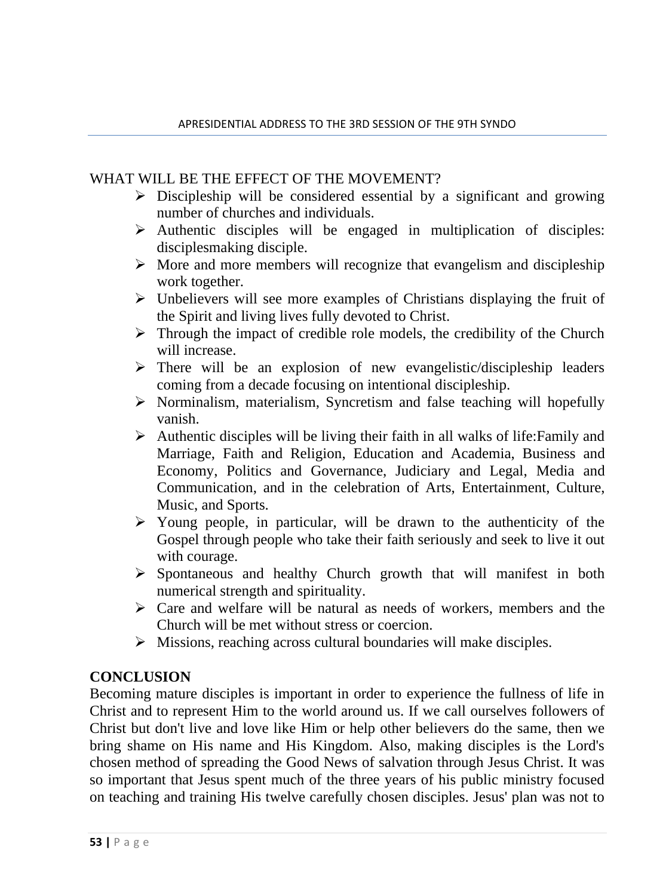#### WHAT WILL BE THE EFFECT OF THE MOVEMENT?

- $\triangleright$  Discipleship will be considered essential by a significant and growing number of churches and individuals.
- ➢ Authentic disciples will be engaged in multiplication of disciples: disciplesmaking disciple.
- $\triangleright$  More and more members will recognize that evangelism and discipleship work together.
- ➢ Unbelievers will see more examples of Christians displaying the fruit of the Spirit and living lives fully devoted to Christ.
- $\triangleright$  Through the impact of credible role models, the credibility of the Church will increase.
- $\triangleright$  There will be an explosion of new evangelistic/discipleship leaders coming from a decade focusing on intentional discipleship.
- ➢ Norminalism, materialism, Syncretism and false teaching will hopefully vanish.
- $\triangleright$  Authentic disciples will be living their faith in all walks of life: Family and Marriage, Faith and Religion, Education and Academia, Business and Economy, Politics and Governance, Judiciary and Legal, Media and Communication, and in the celebration of Arts, Entertainment, Culture, Music, and Sports.
- $\triangleright$  Young people, in particular, will be drawn to the authenticity of the Gospel through people who take their faith seriously and seek to live it out with courage.
- ➢ Spontaneous and healthy Church growth that will manifest in both numerical strength and spirituality.
- ➢ Care and welfare will be natural as needs of workers, members and the Church will be met without stress or coercion.
- ➢ Missions, reaching across cultural boundaries will make disciples.

#### **CONCLUSION**

Becoming mature disciples is important in order to experience the fullness of life in Christ and to represent Him to the world around us. If we call ourselves followers of Christ but don't live and love like Him or help other believers do the same, then we bring shame on His name and His Kingdom. Also, making disciples is the Lord's chosen method of spreading the Good News of salvation through Jesus Christ. It was so important that Jesus spent much of the three years of his public ministry focused on teaching and training His twelve carefully chosen disciples. Jesus' plan was not to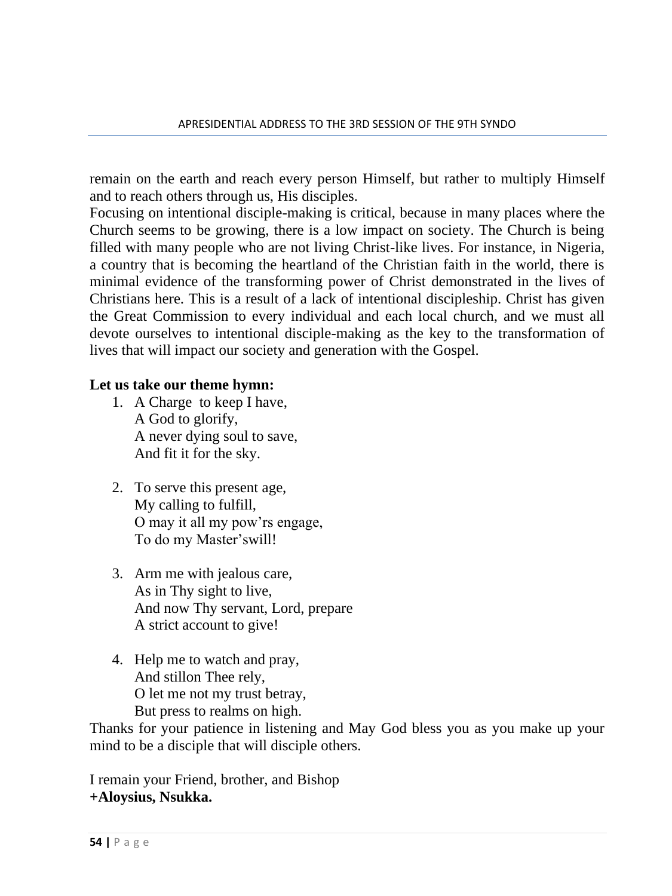remain on the earth and reach every person Himself, but rather to multiply Himself and to reach others through us, His disciples.

Focusing on intentional disciple-making is critical, because in many places where the Church seems to be growing, there is a low impact on society. The Church is being filled with many people who are not living Christ-like lives. For instance, in Nigeria, a country that is becoming the heartland of the Christian faith in the world, there is minimal evidence of the transforming power of Christ demonstrated in the lives of Christians here. This is a result of a lack of intentional discipleship. Christ has given the Great Commission to every individual and each local church, and we must all devote ourselves to intentional disciple-making as the key to the transformation of lives that will impact our society and generation with the Gospel.

#### **Let us take our theme hymn:**

- 1. A Charge to keep I have, A God to glorify, A never dying soul to save, And fit it for the sky.
- 2. To serve this present age, My calling to fulfill, O may it all my pow'rs engage, To do my Master'swill!
- 3. Arm me with jealous care, As in Thy sight to live, And now Thy servant, Lord, prepare A strict account to give!
- 4. Help me to watch and pray, And stillon Thee rely, O let me not my trust betray, But press to realms on high.

Thanks for your patience in listening and May God bless you as you make up your mind to be a disciple that will disciple others.

I remain your Friend, brother, and Bishop **+Aloysius, Nsukka.**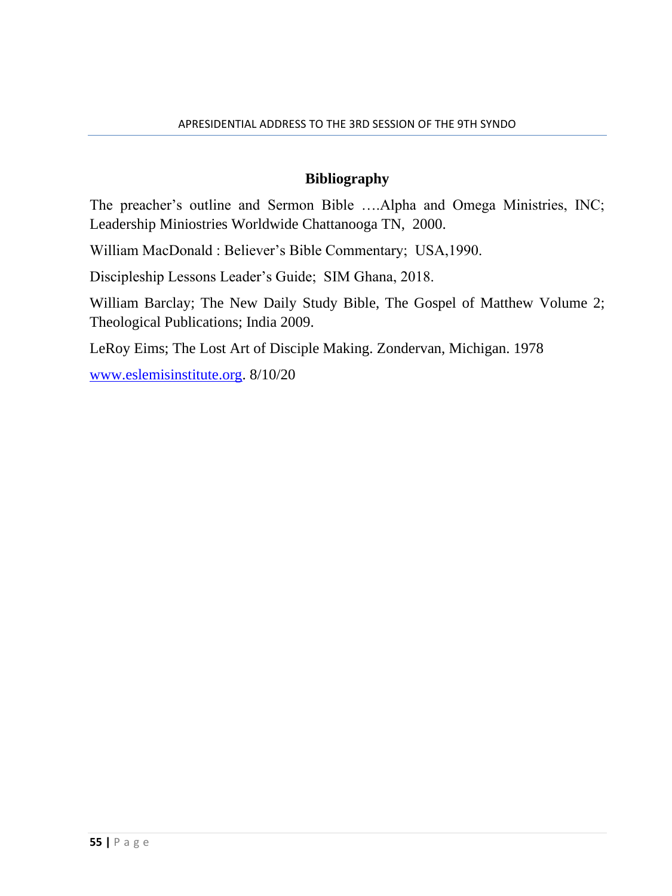### **Bibliography**

The preacher's outline and Sermon Bible ….Alpha and Omega Ministries, INC; Leadership Miniostries Worldwide Chattanooga TN, 2000.

William MacDonald : Believer's Bible Commentary; USA,1990.

Discipleship Lessons Leader's Guide; SIM Ghana, 2018.

William Barclay; The New Daily Study Bible, The Gospel of Matthew Volume 2; Theological Publications; India 2009.

LeRoy Eims; The Lost Art of Disciple Making. Zondervan, Michigan. 1978

[www.eslemisinstitute.org.](http://www.eslemisinstitute.org/) 8/10/20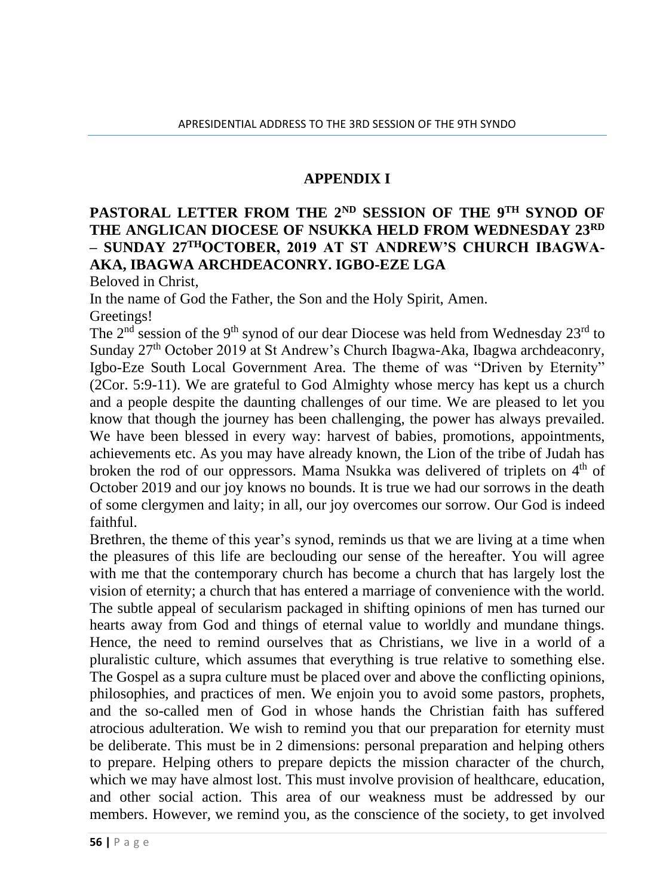### **APPENDIX I**

## **PASTORAL LETTER FROM THE 2ND SESSION OF THE 9TH SYNOD OF THE ANGLICAN DIOCESE OF NSUKKA HELD FROM WEDNESDAY 23RD – SUNDAY 27THOCTOBER, 2019 AT ST ANDREW'S CHURCH IBAGWA-AKA, IBAGWA ARCHDEACONRY. IGBO-EZE LGA**

Beloved in Christ,

In the name of God the Father, the Son and the Holy Spirit, Amen. Greetings!

The  $2<sup>nd</sup>$  session of the 9<sup>th</sup> synod of our dear Diocese was held from Wednesday  $23<sup>rd</sup>$  to Sunday 27th October 2019 at St Andrew's Church Ibagwa-Aka, Ibagwa archdeaconry, Igbo-Eze South Local Government Area. The theme of was "Driven by Eternity" (2Cor. 5:9-11). We are grateful to God Almighty whose mercy has kept us a church and a people despite the daunting challenges of our time. We are pleased to let you know that though the journey has been challenging, the power has always prevailed. We have been blessed in every way: harvest of babies, promotions, appointments, achievements etc. As you may have already known, the Lion of the tribe of Judah has broken the rod of our oppressors. Mama Nsukka was delivered of triplets on  $4<sup>th</sup>$  of October 2019 and our joy knows no bounds. It is true we had our sorrows in the death of some clergymen and laity; in all, our joy overcomes our sorrow. Our God is indeed faithful.

Brethren, the theme of this year's synod, reminds us that we are living at a time when the pleasures of this life are beclouding our sense of the hereafter. You will agree with me that the contemporary church has become a church that has largely lost the vision of eternity; a church that has entered a marriage of convenience with the world. The subtle appeal of secularism packaged in shifting opinions of men has turned our hearts away from God and things of eternal value to worldly and mundane things. Hence, the need to remind ourselves that as Christians, we live in a world of a pluralistic culture, which assumes that everything is true relative to something else. The Gospel as a supra culture must be placed over and above the conflicting opinions, philosophies, and practices of men. We enjoin you to avoid some pastors, prophets, and the so-called men of God in whose hands the Christian faith has suffered atrocious adulteration. We wish to remind you that our preparation for eternity must be deliberate. This must be in 2 dimensions: personal preparation and helping others to prepare. Helping others to prepare depicts the mission character of the church, which we may have almost lost. This must involve provision of healthcare, education, and other social action. This area of our weakness must be addressed by our members. However, we remind you, as the conscience of the society, to get involved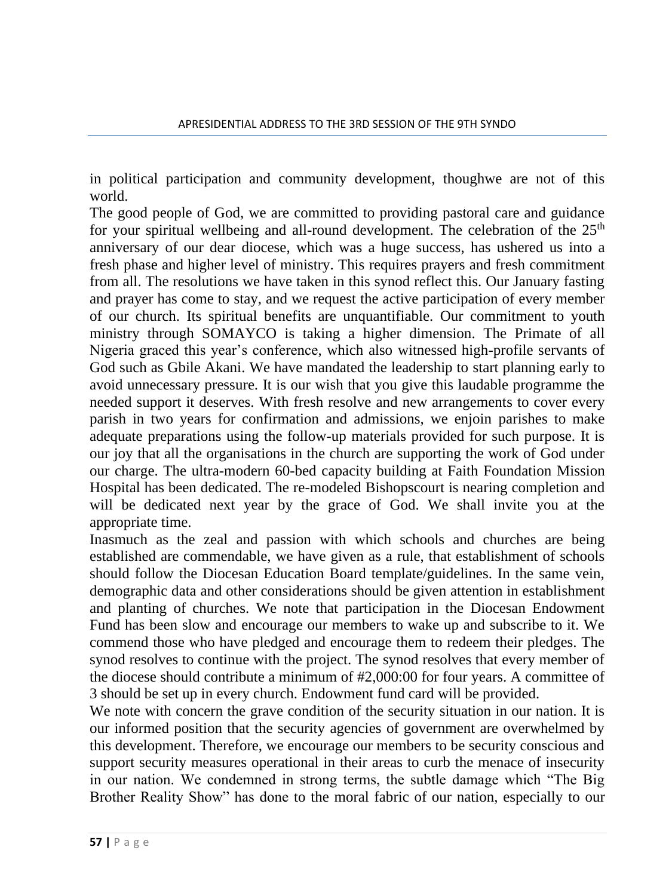in political participation and community development, thoughwe are not of this world.

The good people of God, we are committed to providing pastoral care and guidance for your spiritual wellbeing and all-round development. The celebration of the  $25<sup>th</sup>$ anniversary of our dear diocese, which was a huge success, has ushered us into a fresh phase and higher level of ministry. This requires prayers and fresh commitment from all. The resolutions we have taken in this synod reflect this. Our January fasting and prayer has come to stay, and we request the active participation of every member of our church. Its spiritual benefits are unquantifiable. Our commitment to youth ministry through SOMAYCO is taking a higher dimension. The Primate of all Nigeria graced this year's conference, which also witnessed high-profile servants of God such as Gbile Akani. We have mandated the leadership to start planning early to avoid unnecessary pressure. It is our wish that you give this laudable programme the needed support it deserves. With fresh resolve and new arrangements to cover every parish in two years for confirmation and admissions, we enjoin parishes to make adequate preparations using the follow-up materials provided for such purpose. It is our joy that all the organisations in the church are supporting the work of God under our charge. The ultra-modern 60-bed capacity building at Faith Foundation Mission Hospital has been dedicated. The re-modeled Bishopscourt is nearing completion and will be dedicated next year by the grace of God. We shall invite you at the appropriate time.

Inasmuch as the zeal and passion with which schools and churches are being established are commendable, we have given as a rule, that establishment of schools should follow the Diocesan Education Board template/guidelines. In the same vein, demographic data and other considerations should be given attention in establishment and planting of churches. We note that participation in the Diocesan Endowment Fund has been slow and encourage our members to wake up and subscribe to it. We commend those who have pledged and encourage them to redeem their pledges. The synod resolves to continue with the project. The synod resolves that every member of the diocese should contribute a minimum of #2,000:00 for four years. A committee of 3 should be set up in every church. Endowment fund card will be provided.

We note with concern the grave condition of the security situation in our nation. It is our informed position that the security agencies of government are overwhelmed by this development. Therefore, we encourage our members to be security conscious and support security measures operational in their areas to curb the menace of insecurity in our nation. We condemned in strong terms, the subtle damage which "The Big Brother Reality Show" has done to the moral fabric of our nation, especially to our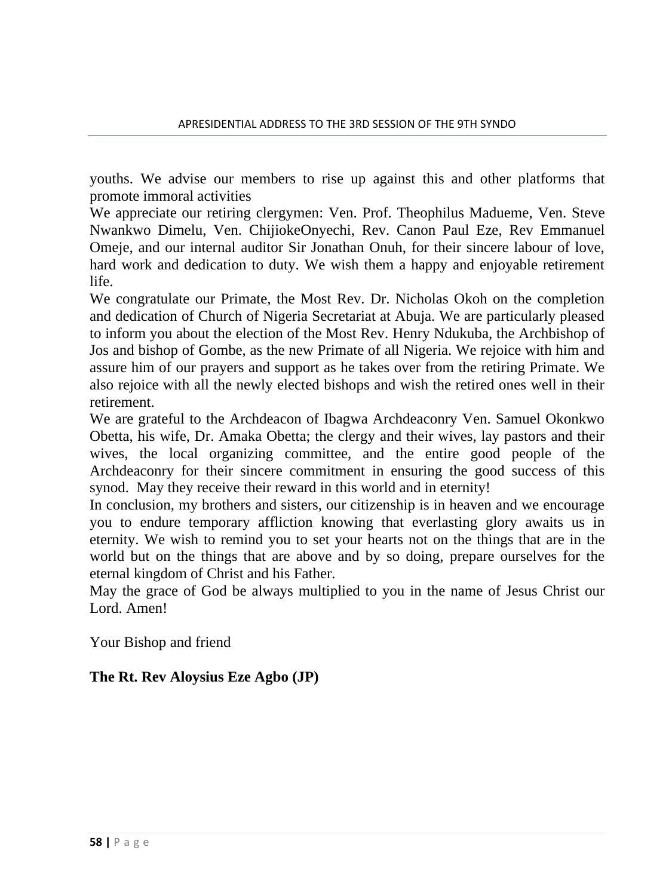youths. We advise our members to rise up against this and other platforms that promote immoral activities

We appreciate our retiring clergymen: Ven. Prof. Theophilus Madueme, Ven. Steve Nwankwo Dimelu, Ven. ChijiokeOnyechi, Rev. Canon Paul Eze, Rev Emmanuel Omeje, and our internal auditor Sir Jonathan Onuh, for their sincere labour of love, hard work and dedication to duty. We wish them a happy and enjoyable retirement life.

We congratulate our Primate, the Most Rev. Dr. Nicholas Okoh on the completion and dedication of Church of Nigeria Secretariat at Abuja. We are particularly pleased to inform you about the election of the Most Rev. Henry Ndukuba, the Archbishop of Jos and bishop of Gombe, as the new Primate of all Nigeria. We rejoice with him and assure him of our prayers and support as he takes over from the retiring Primate. We also rejoice with all the newly elected bishops and wish the retired ones well in their retirement.

We are grateful to the Archdeacon of Ibagwa Archdeaconry Ven. Samuel Okonkwo Obetta, his wife, Dr. Amaka Obetta; the clergy and their wives, lay pastors and their wives, the local organizing committee, and the entire good people of the Archdeaconry for their sincere commitment in ensuring the good success of this synod. May they receive their reward in this world and in eternity!

In conclusion, my brothers and sisters, our citizenship is in heaven and we encourage you to endure temporary affliction knowing that everlasting glory awaits us in eternity. We wish to remind you to set your hearts not on the things that are in the world but on the things that are above and by so doing, prepare ourselves for the eternal kingdom of Christ and his Father.

May the grace of God be always multiplied to you in the name of Jesus Christ our Lord. Amen!

Your Bishop and friend

**The Rt. Rev Aloysius Eze Agbo (JP)**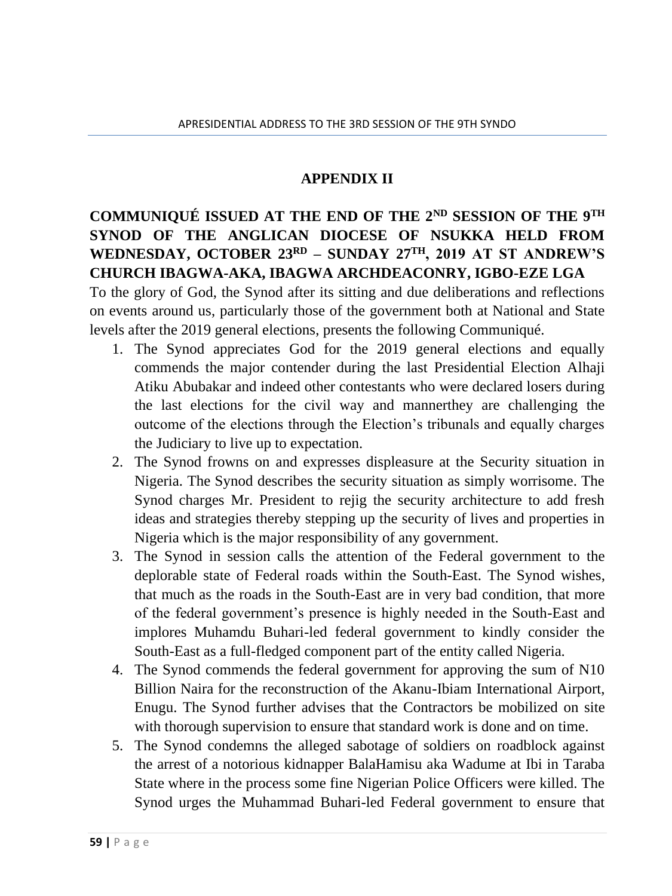#### **APPENDIX II**

## **COMMUNIQUÉ ISSUED AT THE END OF THE 2ND SESSION OF THE 9TH SYNOD OF THE ANGLICAN DIOCESE OF NSUKKA HELD FROM WEDNESDAY, OCTOBER 23RD – SUNDAY 27TH, 2019 AT ST ANDREW'S CHURCH IBAGWA-AKA, IBAGWA ARCHDEACONRY, IGBO-EZE LGA**

To the glory of God, the Synod after its sitting and due deliberations and reflections on events around us, particularly those of the government both at National and State levels after the 2019 general elections, presents the following Communiqué.

- 1. The Synod appreciates God for the 2019 general elections and equally commends the major contender during the last Presidential Election Alhaji Atiku Abubakar and indeed other contestants who were declared losers during the last elections for the civil way and mannerthey are challenging the outcome of the elections through the Election's tribunals and equally charges the Judiciary to live up to expectation.
- 2. The Synod frowns on and expresses displeasure at the Security situation in Nigeria. The Synod describes the security situation as simply worrisome. The Synod charges Mr. President to rejig the security architecture to add fresh ideas and strategies thereby stepping up the security of lives and properties in Nigeria which is the major responsibility of any government.
- 3. The Synod in session calls the attention of the Federal government to the deplorable state of Federal roads within the South-East. The Synod wishes, that much as the roads in the South-East are in very bad condition, that more of the federal government's presence is highly needed in the South-East and implores Muhamdu Buhari-led federal government to kindly consider the South-East as a full-fledged component part of the entity called Nigeria.
- 4. The Synod commends the federal government for approving the sum of N10 Billion Naira for the reconstruction of the Akanu-Ibiam International Airport, Enugu. The Synod further advises that the Contractors be mobilized on site with thorough supervision to ensure that standard work is done and on time.
- 5. The Synod condemns the alleged sabotage of soldiers on roadblock against the arrest of a notorious kidnapper BalaHamisu aka Wadume at Ibi in Taraba State where in the process some fine Nigerian Police Officers were killed. The Synod urges the Muhammad Buhari-led Federal government to ensure that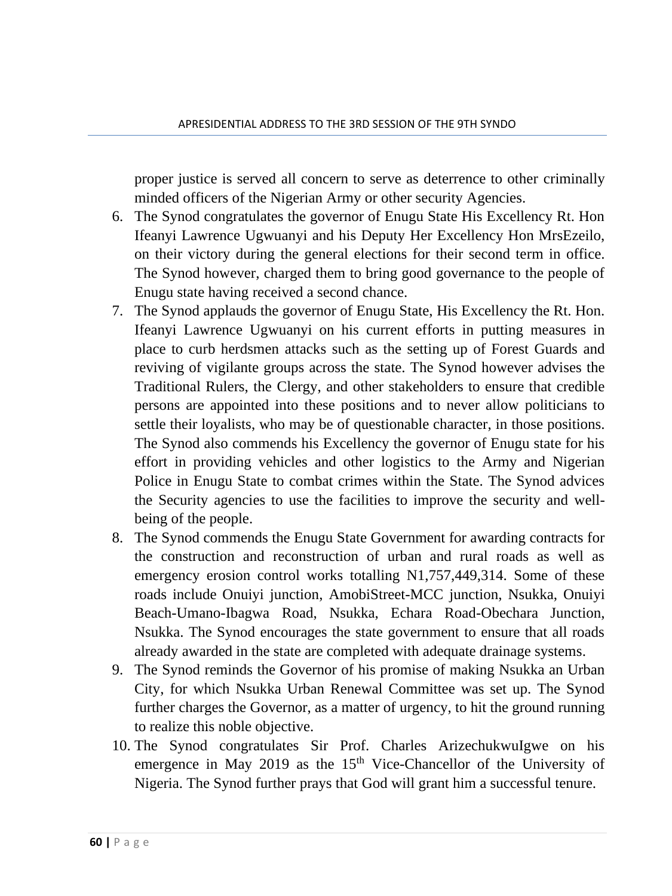proper justice is served all concern to serve as deterrence to other criminally minded officers of the Nigerian Army or other security Agencies.

- 6. The Synod congratulates the governor of Enugu State His Excellency Rt. Hon Ifeanyi Lawrence Ugwuanyi and his Deputy Her Excellency Hon MrsEzeilo, on their victory during the general elections for their second term in office. The Synod however, charged them to bring good governance to the people of Enugu state having received a second chance.
- 7. The Synod applauds the governor of Enugu State, His Excellency the Rt. Hon. Ifeanyi Lawrence Ugwuanyi on his current efforts in putting measures in place to curb herdsmen attacks such as the setting up of Forest Guards and reviving of vigilante groups across the state. The Synod however advises the Traditional Rulers, the Clergy, and other stakeholders to ensure that credible persons are appointed into these positions and to never allow politicians to settle their loyalists, who may be of questionable character, in those positions. The Synod also commends his Excellency the governor of Enugu state for his effort in providing vehicles and other logistics to the Army and Nigerian Police in Enugu State to combat crimes within the State. The Synod advices the Security agencies to use the facilities to improve the security and wellbeing of the people.
- 8. The Synod commends the Enugu State Government for awarding contracts for the construction and reconstruction of urban and rural roads as well as emergency erosion control works totalling N1,757,449,314. Some of these roads include Onuiyi junction, AmobiStreet-MCC junction, Nsukka, Onuiyi Beach-Umano-Ibagwa Road, Nsukka, Echara Road-Obechara Junction, Nsukka. The Synod encourages the state government to ensure that all roads already awarded in the state are completed with adequate drainage systems.
- 9. The Synod reminds the Governor of his promise of making Nsukka an Urban City, for which Nsukka Urban Renewal Committee was set up. The Synod further charges the Governor, as a matter of urgency, to hit the ground running to realize this noble objective.
- 10. The Synod congratulates Sir Prof. Charles ArizechukwuIgwe on his emergence in May 2019 as the  $15<sup>th</sup>$  Vice-Chancellor of the University of Nigeria. The Synod further prays that God will grant him a successful tenure.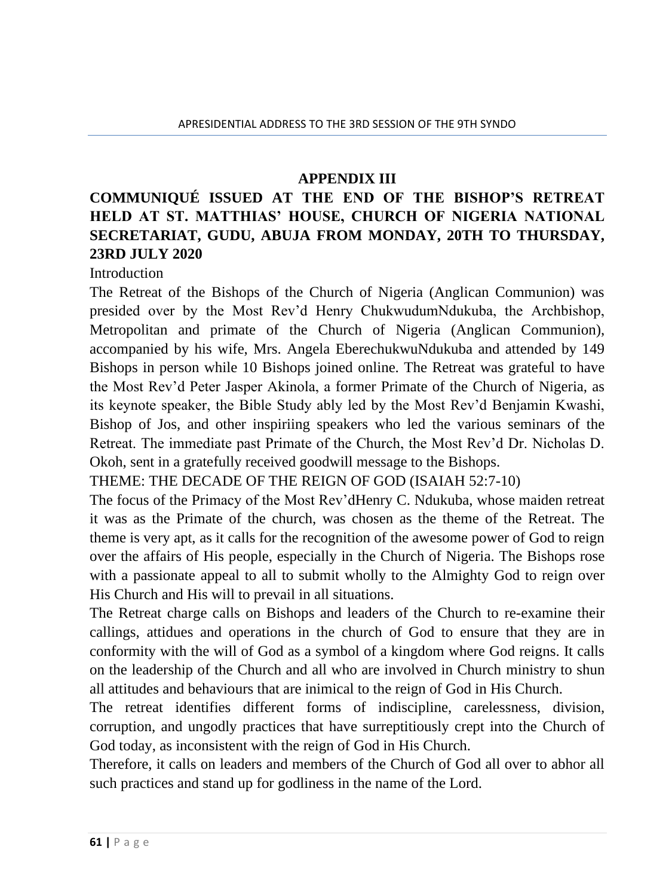#### **APPENDIX III**

## **COMMUNIQUÉ ISSUED AT THE END OF THE BISHOP'S RETREAT HELD AT ST. MATTHIAS' HOUSE, CHURCH OF NIGERIA NATIONAL SECRETARIAT, GUDU, ABUJA FROM MONDAY, 20TH TO THURSDAY, 23RD JULY 2020**

Introduction

The Retreat of the Bishops of the Church of Nigeria (Anglican Communion) was presided over by the Most Rev'd Henry ChukwudumNdukuba, the Archbishop, Metropolitan and primate of the Church of Nigeria (Anglican Communion), accompanied by his wife, Mrs. Angela EberechukwuNdukuba and attended by 149 Bishops in person while 10 Bishops joined online. The Retreat was grateful to have the Most Rev'd Peter Jasper Akinola, a former Primate of the Church of Nigeria, as its keynote speaker, the Bible Study ably led by the Most Rev'd Benjamin Kwashi, Bishop of Jos, and other inspiriing speakers who led the various seminars of the Retreat. The immediate past Primate of the Church, the Most Rev'd Dr. Nicholas D. Okoh, sent in a gratefully received goodwill message to the Bishops.

THEME: THE DECADE OF THE REIGN OF GOD (ISAIAH 52:7-10)

The focus of the Primacy of the Most Rev'dHenry C. Ndukuba, whose maiden retreat it was as the Primate of the church, was chosen as the theme of the Retreat. The theme is very apt, as it calls for the recognition of the awesome power of God to reign over the affairs of His people, especially in the Church of Nigeria. The Bishops rose with a passionate appeal to all to submit wholly to the Almighty God to reign over His Church and His will to prevail in all situations.

The Retreat charge calls on Bishops and leaders of the Church to re-examine their callings, attidues and operations in the church of God to ensure that they are in conformity with the will of God as a symbol of a kingdom where God reigns. It calls on the leadership of the Church and all who are involved in Church ministry to shun all attitudes and behaviours that are inimical to the reign of God in His Church.

The retreat identifies different forms of indiscipline, carelessness, division, corruption, and ungodly practices that have surreptitiously crept into the Church of God today, as inconsistent with the reign of God in His Church.

Therefore, it calls on leaders and members of the Church of God all over to abhor all such practices and stand up for godliness in the name of the Lord.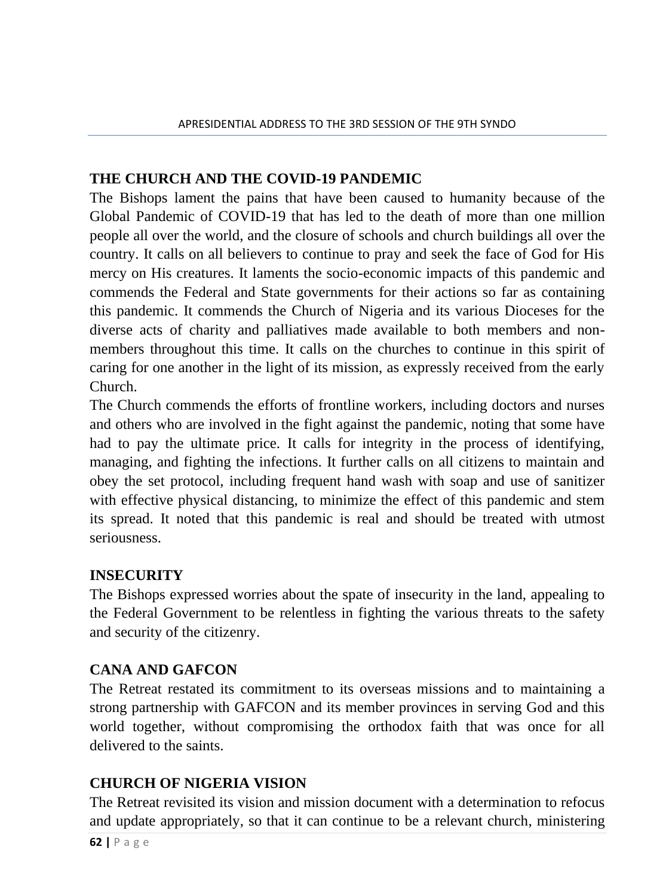## **THE CHURCH AND THE COVID-19 PANDEMIC**

The Bishops lament the pains that have been caused to humanity because of the Global Pandemic of COVID-19 that has led to the death of more than one million people all over the world, and the closure of schools and church buildings all over the country. It calls on all believers to continue to pray and seek the face of God for His mercy on His creatures. It laments the socio-economic impacts of this pandemic and commends the Federal and State governments for their actions so far as containing this pandemic. It commends the Church of Nigeria and its various Dioceses for the diverse acts of charity and palliatives made available to both members and nonmembers throughout this time. It calls on the churches to continue in this spirit of caring for one another in the light of its mission, as expressly received from the early Church.

The Church commends the efforts of frontline workers, including doctors and nurses and others who are involved in the fight against the pandemic, noting that some have had to pay the ultimate price. It calls for integrity in the process of identifying, managing, and fighting the infections. It further calls on all citizens to maintain and obey the set protocol, including frequent hand wash with soap and use of sanitizer with effective physical distancing, to minimize the effect of this pandemic and stem its spread. It noted that this pandemic is real and should be treated with utmost seriousness.

### **INSECURITY**

The Bishops expressed worries about the spate of insecurity in the land, appealing to the Federal Government to be relentless in fighting the various threats to the safety and security of the citizenry.

## **CANA AND GAFCON**

The Retreat restated its commitment to its overseas missions and to maintaining a strong partnership with GAFCON and its member provinces in serving God and this world together, without compromising the orthodox faith that was once for all delivered to the saints.

## **CHURCH OF NIGERIA VISION**

The Retreat revisited its vision and mission document with a determination to refocus and update appropriately, so that it can continue to be a relevant church, ministering